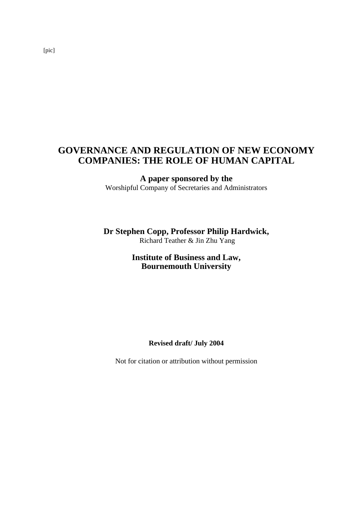# **GOVERNANCE AND REGULATION OF NEW ECONOMY COMPANIES: THE ROLE OF HUMAN CAPITAL**

# **A paper sponsored by the**

Worshipful Company of Secretaries and Administrators

**Dr Stephen Copp, Professor Philip Hardwick,**

Richard Teather & Jin Zhu Yang

# **Institute of Business and Law, Bournemouth University**

# **Revised draft/ July 2004**

Not for citation or attribution without permission

[pic]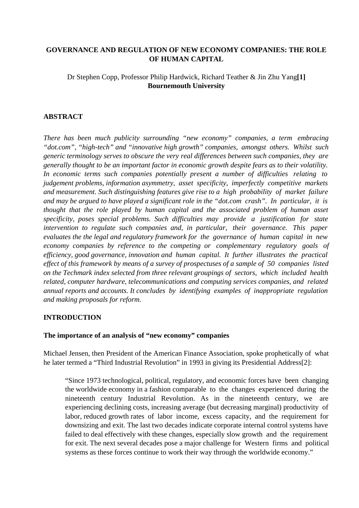# **GOVERNANCE AND REGULATION OF NEW ECONOMY COMPANIES: THE ROLE OF HUMAN CAPITAL**

# Dr Stephen Copp, Professor Philip Hardwick, Richard Teather & Jin Zhu Yang**[1] Bournemouth University**

# **ABSTRACT**

*There has been much publicity surrounding "new economy" companies, a term embracing "dot.com", "high-tech" and "innovative high growth" companies, amongst others. Whilst such generic terminology serves to obscure the very real differences between such companies, they are generally thought to be an important factor in economic growth despite fears as to their volatility. In economic terms such companies potentially present a number of difficulties relating to judgement problems, information asymmetry, asset specificity, imperfectly competitive markets and measurement. Such distinguishing features give rise to a high probability of market failure and may be argued to have played a significant role in the "dot.com crash". In particular, it is thought that the role played by human capital and the associated problem of human asset specificity, poses special problems. Such difficulties may provide a justification for state intervention to regulate such companies and, in particular, their governance. This paper evaluates the the legal and regulatory framework for the governance of human capital in new economy companies by reference to the competing or complementary regulatory goals of efficiency, good governance, innovation and human capital. It further illustrates the practical effect of this framework by means of a survey of prospectuses of a sample of 50 companies listed on the Techmark index selected from three relevant groupings of sectors, which included health related, computer hardware, telecommunications and computing services companies, and related annual reports and accounts. It concludes by identifying examples of inappropriate regulation and making proposals for reform.*

# **INTRODUCTION**

#### **The importance of an analysis of "new economy" companies**

Michael Jensen, then President of the American Finance Association, spoke prophetically of what he later termed a "Third Industrial Revolution" in 1993 in giving its Presidential Address[2]:

"Since 1973 technological, political, regulatory, and economic forces have been changing the worldwide economy in a fashion comparable to the changes experienced during the nineteenth century Industrial Revolution. As in the nineteenth century, we are experiencing declining costs, increasing average (but decreasing marginal) productivity of labor, reduced growth rates of labor income, excess capacity, and the requirement for downsizing and exit. The last two decades indicate corporate internal control systems have failed to deal effectively with these changes, especially slow growth and the requirement for exit. The next several decades pose a major challenge for Western firms and political systems as these forces continue to work their way through the worldwide economy."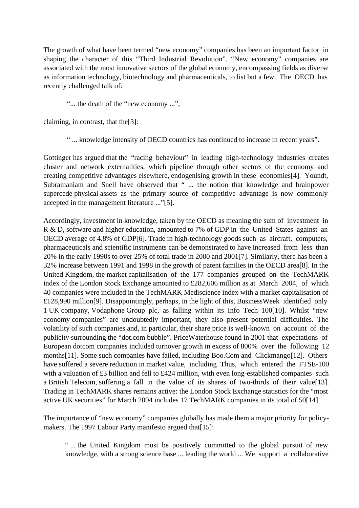The growth of what have been termed "new economy" companies has been an important factor in shaping the character of this "Third Industrial Revolution". "New economy" companies are associated with the most innovative sectors of the global economy, encompassing fields as diverse as information technology, biotechnology and pharmaceuticals, to list but a few. The OECD has recently challenged talk of:

"... the death of the "new economy ...",

claiming, in contrast, that the[3]:

" ... knowledge intensity of OECD countries has continued to increase in recent years".

Gottinger has argued that the "racing behaviour" in leading high-technology industries creates cluster and network externalities, which pipeline through other sectors of the economy and creating competitive advantages elsewhere, endogenising growth in these economies[4]. Youndt, Subramaniam and Snell have observed that " ... the notion that knowledge and brainpower supercede physical assets as the primary source of competitive advantage is now commonly accepted in the management literature ..."[5].

Accordingly, investment in knowledge, taken by the OECD as meaning the sum of investment in R & D, software and higher education, amounted to 7% of GDP in the United States against an OECD average of 4.8% of GDP[6]. Trade in high-technology goods such as aircraft, computers, pharmaceuticals and scientific instruments can be demonstrated to have increased from less than 20% in the early 1990s to over 25% of total trade in 2000 and 2001[7]. Similarly, there has been a 32% increase between 1991 and 1998 in the growth of patent families in the OECD area[8]. In the United Kingdom, the market capitalisation of the 177 companies grouped on the TechMARK index of the London Stock Exchange amounted to £282,606 million as at March 2004, of which 40 companies were included in the TechMARK Mediscience index with a market capitalisation of £128,990 million[9]. Disappointingly, perhaps, in the light of this, BusinessWeek identified only 1 UK company, Vodaphone Group plc, as falling within its Info Tech 100[10]. Whilst "new economy companies" are undoubtedly important, they also present potential difficulties. The volatility of such companies and, in particular, their share price is well-known on account of the publicity surrounding the "dot.com bubble". PriceWaterhouse found in 2001 that expectations of European dotcom companies included turnover growth in excess of 800% over the following 12 months[11]. Some such companies have failed, including Boo.Com and Clickmango[12]. Others have suffered a severe reduction in market value, including Thus, which entered the FTSE-100 with a valuation of £3 billion and fell to £424 million, with even long-established companies such a British Telecom, suffering a fall in the value of its shares of two-thirds of their value[13]. Trading in TechMARK shares remains active: the London Stock Exchange statistics for the "most active UK securities" for March 2004 includes 17 TechMARK companies in its total of 50[14].

The importance of "new economy" companies globally has made them a major priority for policymakers. The 1997 Labour Party manifesto argued that [15]:

" ... the United Kingdom must be positively committed to the global pursuit of new knowledge, with a strong science base ... leading the world ... We support a collaborative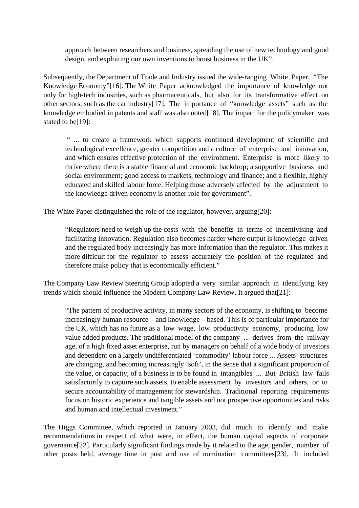approach between researchers and business, spreading the use of new technology and good design, and exploiting our own inventions to boost business in the UK".

Subsequently, the Department of Trade and Industry issued the wide-ranging White Paper, "The Knowledge Economy"[16]. The White Paper acknowledged the importance of knowledge not only for high-tech industries, such as pharmaceuticals, but also for its transformative effect on other sectors, such as the car industry[17]. The importance of "knowledge assets" such as the knowledge embodied in patents and staff was also noted[18]. The impact for the policymaker was stated to be[19]:

" ... to create a framework which supports continued development of scientific and technological excellence, greater competition and a culture of enterprise and innovation, and which ensures effective protection of the environment. Enterprise is more likely to thrive where there is a stable financial and economic backdrop; a supportive business and social environment; good access to markets, technology and finance; and a flexible, highly educated and skilled labour force. Helping those adversely affected by the adjustment to the knowledge driven economy is another role for government".

The White Paper distinguished the role of the regulator, however, arguing[20]:

"Regulators need to weigh up the costs with the benefits in terms of incentivising and facilitating innovation. Regulation also becomes harder where output is knowledge driven and the regulated body increasingly has more information than the regulator. This makes it more difficult for the regulator to assess accurately the position of the regulated and therefore make policy that is economically efficient."

The Company Law Review Steering Group adopted a very similar approach in identifying key trends which should influence the Modern Company Law Review. It argued that[21]:

"The pattern of productive activity, in many sectors of the economy, is shifting to become increasingly human resource – and knowledge – based. This is of particular importance for the UK, which has no future as a low wage, low productivity economy, producing low value added products. The traditional model of the company ... derives from the railway age, of a high fixed asset enterprise, run by managers on behalf of a wide body of investors and dependent on a largely undifferentiated 'commodity' labour force ... Assets structures are changing, and becoming increasingly 'soft', in the sense that a significant proportion of the value, or capacity, of a business is to be found in intangibles ... But British law fails satisfactorily to capture such assets, to enable assessment by investors and others, or to secure accountability of management for stewardship. Traditional reporting requirements focus on historic experience and tangible assets and not prospective opportunities and risks and human and intellectual investment."

The Higgs Committee, which reported in January 2003, did much to identify and make recommendations in respect of what were, in effect, the human capital aspects of corporate governance[22]. Particularly significant findings made by it related to the age, gender, number of other posts held, average time in post and use of nomination committees[23]. It included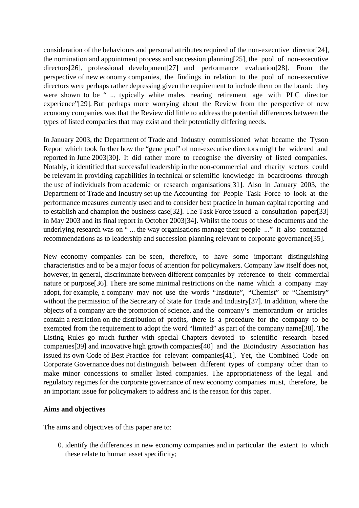consideration of the behaviours and personal attributes required of the non-executive director[24], the nomination and appointment process and succession planning[25], the pool of non-executive directors[26], professional development[27] and performance evaluation[28]. From the perspective of new economy companies, the findings in relation to the pool of non-executive directors were perhaps rather depressing given the requirement to include them on the board: they were shown to be " ... typically white males nearing retirement age with PLC director experience"[29]. But perhaps more worrying about the Review from the perspective of new economy companies was that the Review did little to address the potential differences between the types of listed companies that may exist and their potentially differing needs.

In January 2003, the Department of Trade and Industry commissioned what became the Tyson Report which took further how the "gene pool" of non-executive directors might be widened and reported in June 2003[30]. It did rather more to recognise the diversity of listed companies. Notably, it identified that successful leadership in the non-commercial and charity sectors could be relevant in providing capabilities in technical or scientific knowledge in boardrooms through the use of individuals from academic or research organisations[31]. Also in January 2003, the Department of Trade and Industry set up the Accounting for People Task Force to look at the performance measures currently used and to consider best practice in human capital reporting and to establish and champion the business case[32]. The Task Force issued a consultation paper[33] in May 2003 and its final report in October 2003[34]. Whilst the focus of these documents and the underlying research was on " ... the way organisations manage their people ..." it also contained recommendations as to leadership and succession planning relevant to corporate governance[35].

New economy companies can be seen, therefore, to have some important distinguishing characteristics and to be a major focus of attention for policymakers. Company law itself does not, however, in general, discriminate between different companies by reference to their commercial nature or purpose[36]. There are some minimal restrictions on the name which a company may adopt, for example, a company may not use the words "Institute", "Chemist" or "Chemistry" without the permission of the Secretary of State for Trade and Industry[37]. In addition, where the objects of a company are the promotion of science, and the company's memorandum or articles contain a restriction on the distribution of profits, there is a procedure for the company to be exempted from the requirement to adopt the word "limited" as part of the company name[38]. The Listing Rules go much further with special Chapters devoted to scientific research based companies[39] and innovative high growth companies[40] and the Bioindustry Association has issued its own Code of Best Practice for relevant companies[41]. Yet, the Combined Code on Corporate Governance does not distinguish between different types of company other than to make minor concessions to smaller listed companies. The appropriateness of the legal and regulatory regimes for the corporate governance of new economy companies must, therefore, be an important issue for policymakers to address and is the reason for this paper.

#### **Aims and objectives**

The aims and objectives of this paper are to:

0. identify the differences in new economy companies and in particular the extent to which these relate to human asset specificity;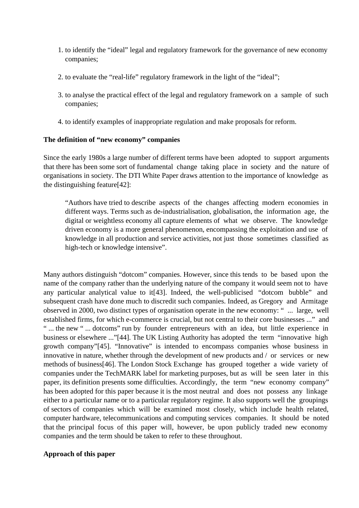- 1. to identify the "ideal" legal and regulatory framework for the governance of new economy companies;
- 2. to evaluate the "real-life" regulatory framework in the light of the "ideal";
- 3. to analyse the practical effect of the legal and regulatory framework on a sample of such companies;
- 4. to identify examples of inappropriate regulation and make proposals for reform.

# **The definition of "new economy" companies**

Since the early 1980s a large number of different terms have been adopted to support arguments that there has been some sort of fundamental change taking place in society and the nature of organisations in society. The DTI White Paper draws attention to the importance of knowledge as the distinguishing feature[42]:

"Authors have tried to describe aspects of the changes affecting modern economies in different ways. Terms such as de-industrialisation, globalisation, the information age, the digital or weightless economy all capture elements of what we observe. The knowledge driven economy is a more general phenomenon, encompassing the exploitation and use of knowledge in all production and service activities, not just those sometimes classified as high-tech or knowledge intensive".

Many authors distinguish "dotcom" companies. However, since this tends to be based upon the name of the company rather than the underlying nature of the company it would seem not to have any particular analytical value to it[43]. Indeed, the well-publicised "dotcom bubble" and subsequent crash have done much to discredit such companies. Indeed, as Gregory and Armitage observed in 2000, two distinct types of organisation operate in the new economy: " ... large, well established firms, for which e-commerce is crucial, but not central to their core businesses ..." and " ... the new " ... dotcoms" run by founder entrepreneurs with an idea, but little experience in business or elsewhere ..."[44]. The UK Listing Authority has adopted the term "innovative high growth company"[45]. "Innovative" is intended to encompass companies whose business in innovative in nature, whether through the development of new products and / or services or new methods of business[46]. The London Stock Exchange has grouped together a wide variety of companies under the TechMARK label for marketing purposes, but as will be seen later in this paper, its definition presents some difficulties. Accordingly, the term "new economy company" has been adopted for this paper because it is the most neutral and does not possess any linkage either to a particular name or to a particular regulatory regime. It also supports well the groupings of sectors of companies which will be examined most closely, which include health related, computer hardware, telecommunications and computing services companies. It should be noted that the principal focus of this paper will, however, be upon publicly traded new economy companies and the term should be taken to refer to these throughout.

# **Approach of this paper**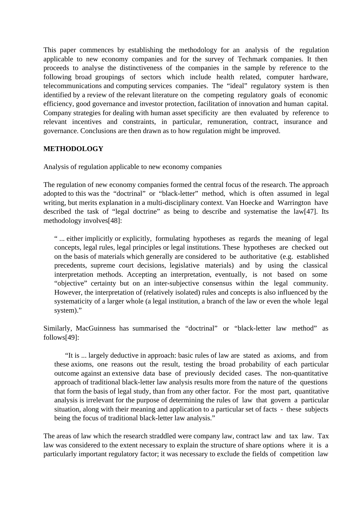This paper commences by establishing the methodology for an analysis of the regulation applicable to new economy companies and for the survey of Techmark companies. It then proceeds to analyse the distinctiveness of the companies in the sample by reference to the following broad groupings of sectors which include health related, computer hardware, telecommunications and computing services companies. The "ideal" regulatory system is then identified by a review of the relevant literature on the competing regulatory goals of economic efficiency, good governance and investor protection, facilitation of innovation and human capital. Company strategies for dealing with human asset specificity are then evaluated by reference to relevant incentives and constraints, in particular, remuneration, contract, insurance and governance. Conclusions are then drawn as to how regulation might be improved.

# **METHODOLOGY**

Analysis of regulation applicable to new economy companies

The regulation of new economy companies formed the central focus of the research. The approach adopted to this was the "doctrinal" or "black-letter" method, which is often assumed in legal writing, but merits explanation in a multi-disciplinary context. Van Hoecke and Warrington have described the task of "legal doctrine" as being to describe and systematise the law[47]. Its methodology involves[48]:

" ... either implicitly or explicitly, formulating hypotheses as regards the meaning of legal concepts, legal rules, legal principles or legal institutions. These hypotheses are checked out on the basis of materials which generally are considered to be authoritative (e.g. established precedents, supreme court decisions, legislative materials) and by using the classical interpretation methods. Accepting an interpretation, eventually, is not based on some "objective" certainty but on an inter-subjective consensus within the legal community. However, the interpretation of (relatively isolated) rules and concepts is also influenced by the systematicity of a larger whole (a legal institution, a branch of the law or even the whole legal system)."

Similarly, MacGuinness has summarised the "doctrinal" or "black-letter law method" as follows[49]:

 "It is ... largely deductive in approach: basic rules of law are stated as axioms, and from these axioms, one reasons out the result, testing the broad probability of each particular outcome against an extensive data base of previously decided cases. The non-quantitative approach of traditional black-letter law analysis results more from the nature of the questions that form the basis of legal study, than from any other factor. For the most part, quantitative analysis is irrelevant for the purpose of determining the rules of law that govern a particular situation, along with their meaning and application to a particular set of facts - these subjects being the focus of traditional black-letter law analysis."

The areas of law which the research straddled were company law, contract law and tax law. Tax law was considered to the extent necessary to explain the structure of share options where it is a particularly important regulatory factor; it was necessary to exclude the fields of competition law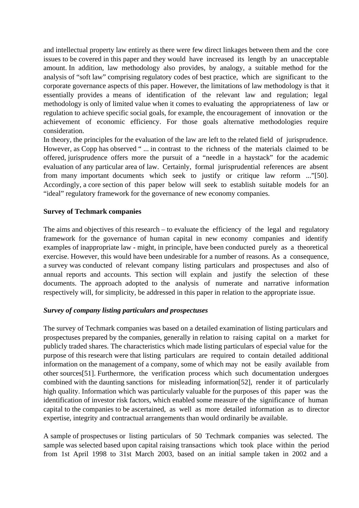and intellectual property law entirely as there were few direct linkages between them and the core issues to be covered in this paper and they would have increased its length by an unacceptable amount. In addition, law methodology also provides, by analogy, a suitable method for the analysis of "soft law" comprising regulatory codes of best practice, which are significant to the corporate governance aspects of this paper. However, the limitations of law methodology is that it essentially provides a means of identification of the relevant law and regulation; legal methodology is only of limited value when it comes to evaluating the appropriateness of law or regulation to achieve specific social goals, for example, the encouragement of innovation or the achievement of economic efficiency. For those goals alternative methodologies require consideration.

In theory, the principles for the evaluation of the law are left to the related field of jurisprudence. However, as Copp has observed " ... in contrast to the richness of the materials claimed to be offered, jurisprudence offers more the pursuit of a "needle in a haystack" for the academic evaluation of any particular area of law. Certainly, formal jurisprudential references are absent from many important documents which seek to justify or critique law reform ..."[50]. Accordingly, a core section of this paper below will seek to establish suitable models for an "ideal" regulatory framework for the governance of new economy companies.

#### **Survey of Techmark companies**

The aims and objectives of this research – to evaluate the efficiency of the legal and regulatory framework for the governance of human capital in new economy companies and identify examples of inappropriate law - might, in principle, have been conducted purely as a theoretical exercise. However, this would have been undesirable for a number of reasons. As a consequence, a survey was conducted of relevant company listing particulars and prospectuses and also of annual reports and accounts. This section will explain and justify the selection of these documents. The approach adopted to the analysis of numerate and narrative information respectively will, for simplicity, be addressed in this paper in relation to the appropriate issue.

#### *Survey of company listing particulars and prospectuses*

The survey of Techmark companies was based on a detailed examination of listing particulars and prospectuses prepared by the companies, generally in relation to raising capital on a market for publicly traded shares. The characteristics which made listing particulars of especial value for the purpose of this research were that listing particulars are required to contain detailed additional information on the management of a company, some of which may not be easily available from other sources[51]. Furthermore, the verification process which such documentation undergoes combined with the daunting sanctions for misleading information[52], render it of particularly high quality. Information which was particularly valuable for the purposes of this paper was the identification of investor risk factors, which enabled some measure of the significance of human capital to the companies to be ascertained, as well as more detailed information as to director expertise, integrity and contractual arrangements than would ordinarily be available.

A sample of prospectuses or listing particulars of 50 Techmark companies was selected. The sample was selected based upon capital raising transactions which took place within the period from 1st April 1998 to 31st March 2003, based on an initial sample taken in 2002 and a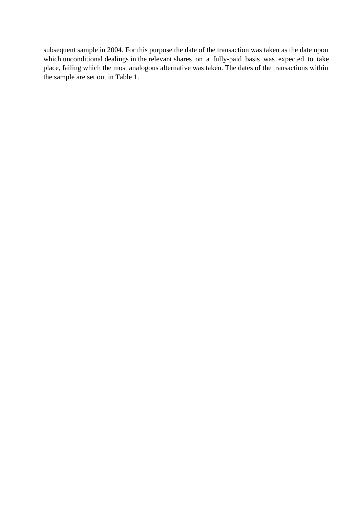subsequent sample in 2004. For this purpose the date of the transaction was taken as the date upon which unconditional dealings in the relevant shares on a fully-paid basis was expected to take place, failing which the most analogous alternative was taken. The dates of the transactions within the sample are set out in Table 1.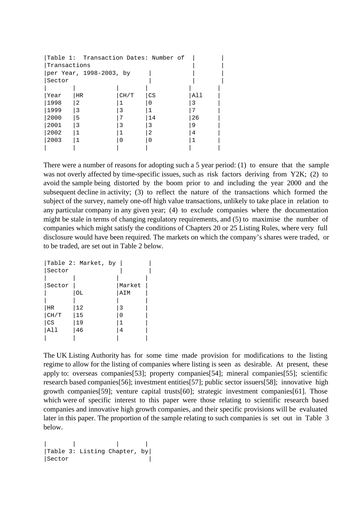|              | Table 1: Transaction Dates: Number of |      |    |     |  |  |  |  |  |  |
|--------------|---------------------------------------|------|----|-----|--|--|--|--|--|--|
| Transactions |                                       |      |    |     |  |  |  |  |  |  |
|              | per Year, 1998-2003, by               |      |    |     |  |  |  |  |  |  |
| Sector       |                                       |      |    |     |  |  |  |  |  |  |
|              |                                       |      |    |     |  |  |  |  |  |  |
| Year         | HR                                    | CH/T | CS | All |  |  |  |  |  |  |
| 1998         | 2                                     |      |    | 3   |  |  |  |  |  |  |
| 1999         | 3                                     |      |    |     |  |  |  |  |  |  |
| 2000         | -5                                    |      | 14 | 26  |  |  |  |  |  |  |
| 2001         | 3                                     | ર    | 3  | 9   |  |  |  |  |  |  |
| 2002         |                                       |      | 2  | 4   |  |  |  |  |  |  |
| 2003         |                                       |      |    |     |  |  |  |  |  |  |
|              |                                       |      |    |     |  |  |  |  |  |  |

There were a number of reasons for adopting such a 5 year period: (1) to ensure that the sample was not overly affected by time-specific issues, such as risk factors deriving from Y2K; (2) to avoid the sample being distorted by the boom prior to and including the year 2000 and the subsequent decline in activity; (3) to reflect the nature of the transactions which formed the subject of the survey, namely one-off high value transactions, unlikely to take place in relation to any particular company in any given year; (4) to exclude companies where the documentation might be stale in terms of changing regulatory requirements, and (5) to maximise the number of companies which might satisfy the conditions of Chapters 20 or 25 Listing Rules, where very full disclosure would have been required. The markets on which the company's shares were traded, or to be traded, are set out in Table 2 below.

|        | Table 2: Market, by |        |  |
|--------|---------------------|--------|--|
| Sector |                     |        |  |
|        |                     |        |  |
| Sector |                     | Market |  |
|        | ОL                  | AIM    |  |
|        |                     |        |  |
| HR     | 12                  | 3      |  |
| CH/T   | 15                  |        |  |
| CS     | 19                  |        |  |
| All    | 46                  | 4      |  |
|        |                     |        |  |

The UK Listing Authority has for some time made provision for modifications to the listing regime to allow for the listing of companies where listing is seen as desirable. At present, these apply to: overseas companies[53]; property companies[54]; mineral companies[55]; scientific research based companies[56]; investment entities[57]; public sector issuers[58]; innovative high growth companies[59]; venture capital trusts[60]; strategic investment companies[61]. Those which were of specific interest to this paper were those relating to scientific research based companies and innovative high growth companies, and their specific provisions will be evaluated later in this paper. The proportion of the sample relating to such companies is set out in Table 3 below.

| | | | |Table 3: Listing Chapter, by| |Sector |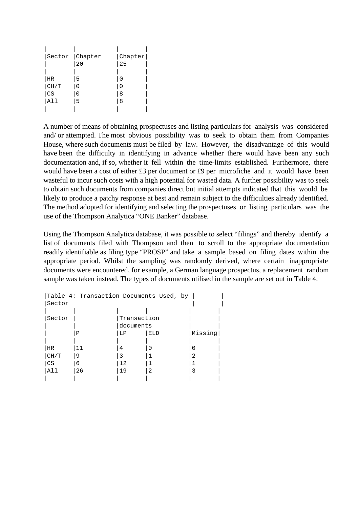| Sector  Chapter |    | Chapter          |  |
|-----------------|----|------------------|--|
|                 | 20 | 25               |  |
|                 |    |                  |  |
| HR              | .5 |                  |  |
| CH/T            | Ω  | $\left( \right)$ |  |
| CS              | 0  | 8                |  |
| All             | 5  | 8                |  |
|                 |    |                  |  |

A number of means of obtaining prospectuses and listing particulars for analysis was considered and/ or attempted. The most obvious possibility was to seek to obtain them from Companies House, where such documents must be filed by law. However, the disadvantage of this would have been the difficulty in identifying in advance whether there would have been any such documentation and, if so, whether it fell within the time-limits established. Furthermore, there would have been a cost of either £3 per document or £9 per microfiche and it would have been wasteful to incur such costs with a high potential for wasted data. A further possibility was to seek to obtain such documents from companies direct but initial attempts indicated that this would be likely to produce a patchy response at best and remain subject to the difficulties already identified. The method adopted for identifying and selecting the prospectuses or listing particulars was the use of the Thompson Analytica "ONE Banker" database.

Using the Thompson Analytica database, it was possible to select "filings" and thereby identify a list of documents filed with Thompson and then to scroll to the appropriate documentation readily identifiable as filing type "PROSP" and take a sample based on filing dates within the appropriate period. Whilst the sampling was randomly derived, where certain inappropriate documents were encountered, for example, a German language prospectus, a replacement random sample was taken instead. The types of documents utilised in the sample are set out in Table 4.

| Table 4: Transaction Documents Used, by<br>Sector |    |             |     |         |  |  |  |
|---------------------------------------------------|----|-------------|-----|---------|--|--|--|
|                                                   |    |             |     |         |  |  |  |
| Sector                                            |    | Transaction |     |         |  |  |  |
|                                                   |    | documents   |     |         |  |  |  |
|                                                   | P  | LP          | ELD | Missing |  |  |  |
|                                                   |    |             |     |         |  |  |  |
| <b>HR</b>                                         |    | 4           |     |         |  |  |  |
| CH/T                                              | 9  |             |     |         |  |  |  |
| CS                                                | 6  | 12          |     |         |  |  |  |
| $A\perp\perp$                                     | 26 | 1 9         |     |         |  |  |  |
|                                                   |    |             |     |         |  |  |  |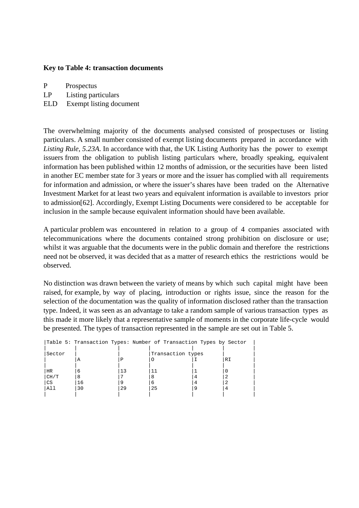#### **Key to Table 4: transaction documents**

| P   | Prospectus  |
|-----|-------------|
| T D | T (1941). 1 |

- LP Listing particulars
- ELD Exempt listing document

The overwhelming majority of the documents analysed consisted of prospectuses or listing particulars. A small number consisted of exempt listing documents prepared in accordance with *Listing Rule, 5.23A*. In accordance with that, the UK Listing Authority has the power to exempt issuers from the obligation to publish listing particulars where, broadly speaking, equivalent information has been published within 12 months of admission, or the securities have been listed in another EC member state for 3 years or more and the issuer has complied with all requirements for information and admission, or where the issuer's shares have been traded on the Alternative Investment Market for at least two years and equivalent information is available to investors prior to admission[62]. Accordingly, Exempt Listing Documents were considered to be acceptable for inclusion in the sample because equivalent information should have been available.

A particular problem was encountered in relation to a group of 4 companies associated with telecommunications where the documents contained strong prohibition on disclosure or use; whilst it was arguable that the documents were in the public domain and therefore the restrictions need not be observed, it was decided that as a matter of research ethics the restrictions would be observed.

No distinction was drawn between the variety of means by which such capital might have been raised, for example, by way of placing, introduction or rights issue, since the reason for the selection of the documentation was the quality of information disclosed rather than the transaction type. Indeed, it was seen as an advantage to take a random sample of various transaction types as this made it more likely that a representative sample of moments in the corporate life-cycle would be presented. The types of transaction represented in the sample are set out in Table 5.

|        |    |    | Table 5: Transaction Types: Number of Transaction Types by Sector |           |
|--------|----|----|-------------------------------------------------------------------|-----------|
| Sector |    |    | Transaction types                                                 |           |
|        |    |    |                                                                   |           |
|        | А  |    |                                                                   | <b>RI</b> |
|        |    |    |                                                                   |           |
| HR     | 6  |    |                                                                   |           |
| CH/T   | 8  |    |                                                                   |           |
| CS     | 16 |    | 6                                                                 |           |
| A11    | 30 | 29 | 25                                                                |           |
|        |    |    |                                                                   |           |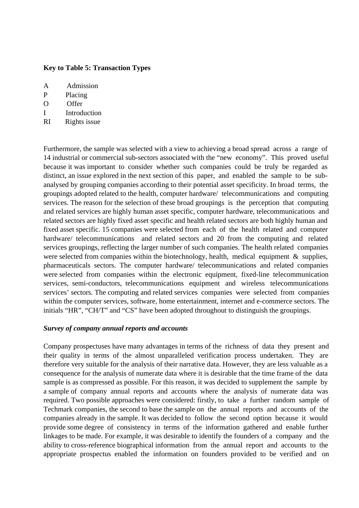### **Key to Table 5: Transaction Types**

- A Admission
- P Placing
- O Offer
- I Introduction
- RI Rights issue

Furthermore, the sample was selected with a view to achieving a broad spread across a range of 14 industrial or commercial sub-sectors associated with the "new economy". This proved useful because it was important to consider whether such companies could be truly be regarded as distinct, an issue explored in the next section of this paper, and enabled the sample to be subanalysed by grouping companies according to their potential asset specificity. In broad terms, the groupings adopted related to the health, computer hardware/ telecommunications and computing services. The reason for the selection of these broad groupings is the perception that computing and related services are highly human asset specific, computer hardware, telecommunications and related sectors are highly fixed asset specific and health related sectors are both highly human and fixed asset specific. 15 companies were selected from each of the health related and computer hardware/ telecommunications and related sectors and 20 from the computing and related services groupings, reflecting the larger number of such companies. The health related companies were selected from companies within the biotechnology, health, medical equipment & supplies, pharmaceuticals sectors. The computer hardware/ telecommunications and related companies were selected from companies within the electronic equipment, fixed-line telecommunication services, semi-conductors, telecommunications equipment and wireless telecommunications services' sectors. The computing and related services companies were selected from companies within the computer services, software, home entertainment, internet and e-commerce sectors. The initials "HR", "CH/T" and "CS" have been adopted throughout to distinguish the groupings.

#### *Survey of company annual reports and accounts*

Company prospectuses have many advantages in terms of the richness of data they present and their quality in terms of the almost unparalleled verification process undertaken. They are therefore very suitable for the analysis of their narrative data. However, they are less valuable as a consequence for the analysis of numerate data where it is desirable that the time frame of the data sample is as compressed as possible. For this reason, it was decided to supplement the sample by a sample of company annual reports and accounts where the analysis of numerate data was required. Two possible approaches were considered: firstly, to take a further random sample of Techmark companies, the second to base the sample on the annual reports and accounts of the companies already in the sample. It was decided to follow the second option because it would provide some degree of consistency in terms of the information gathered and enable further linkages to be made. For example, it was desirable to identify the founders of a company and the ability to cross-reference biographical information from the annual report and accounts to the appropriate prospectus enabled the information on founders provided to be verified and on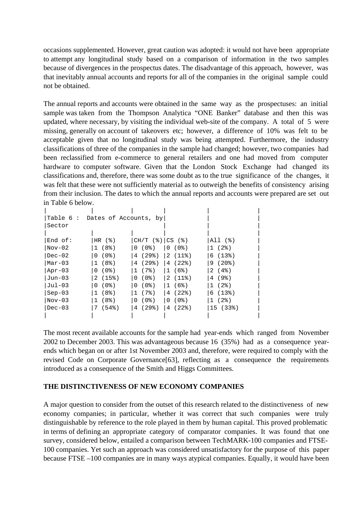occasions supplemented. However, great caution was adopted: it would not have been appropriate to attempt any longitudinal study based on a comparison of information in the two samples because of divergences in the prospectus dates. The disadvantage of this approach, however, was that inevitably annual accounts and reports for all of the companies in the original sample could not be obtained.

The annual reports and accounts were obtained in the same way as the prospectuses: an initial sample was taken from the Thompson Analytica "ONE Banker" database and then this was updated, where necessary, by visiting the individual web-site of the company. A total of 5 were missing, generally on account of takeovers etc; however, a difference of 10% was felt to be acceptable given that no longitudinal study was being attempted. Furthermore, the industry classifications of three of the companies in the sample had changed; however, two companies had been reclassified from e-commerce to general retailers and one had moved from computer hardware to computer software. Given that the London Stock Exchange had changed its classifications and, therefore, there was some doubt as to the true significance of the changes, it was felt that these were not sufficiently material as to outweigh the benefits of consistency arising from their inclusion. The dates to which the annual reports and accounts were prepared are set out in Table 6 below.

| Table 6: Dates of Accounts, by |                           |                      |         |                     |  |
|--------------------------------|---------------------------|----------------------|---------|---------------------|--|
| Sector                         |                           |                      |         |                     |  |
|                                |                           |                      |         |                     |  |
| End of:                        | HR(8)                     | $CH/T$ (%) $ CS$ (%) |         | All $(\frac{1}{6})$ |  |
| $Nov-02$                       | 1(8)                      | 0 (0%)               | 0(0%)   | 1(2)                |  |
| $Dec-02$                       | ( 0 % )<br>l 0            | 4(29)                | 2(118)  | 6(13)               |  |
| $Mar-03$                       | 1 (8%)                    | 4 (29%)              | 4(22)   | 9 (20%)             |  |
| $Apr-03$                       | ( 0 % )<br>$\overline{0}$ | 1(7)                 | 11 (6%) | $2(4\%)$            |  |
| Jun-03                         | 2(15)                     | $0(0$ ( $0$ $\})$    | 2(118)  | 4 (9%)              |  |
| $Jul-03$                       | ( 0 % )<br>0 <sub>1</sub> | 0(0.8)               | 11 (6%) | 1(2)                |  |
| $Sep-03$                       | 1(8)                      | 1(7)                 | 4(22)   | 6(13)               |  |
| $Nov-03$                       | (8%)<br>$\mathbf{1}$      | ( 0 % )<br>$\Omega$  | 0 (0%)  | 1(2)                |  |
| $Dec-03$                       | $7(54\%)$                 | 4(29)                | 4 (22%) | 15 (33%)            |  |
|                                |                           |                      |         |                     |  |

The most recent available accounts for the sample had year-ends which ranged from November 2002 to December 2003. This was advantageous because 16 (35%) had as a consequence yearends which began on or after 1st November 2003 and, therefore, were required to comply with the revised Code on Corporate Governance[63], reflecting as a consequence the requirements introduced as a consequence of the Smith and Higgs Committees.

# **THE DISTINCTIVENESS OF NEW ECONOMY COMPANIES**

A major question to consider from the outset of this research related to the distinctiveness of new economy companies; in particular, whether it was correct that such companies were truly distinguishable by reference to the role played in them by human capital. This proved problematic in terms of defining an appropriate category of comparator companies. It was found that one survey, considered below, entailed a comparison between TechMARK-100 companies and FTSE-100 companies. Yet such an approach was considered unsatisfactory for the purpose of this paper because FTSE –100 companies are in many ways atypical companies. Equally, it would have been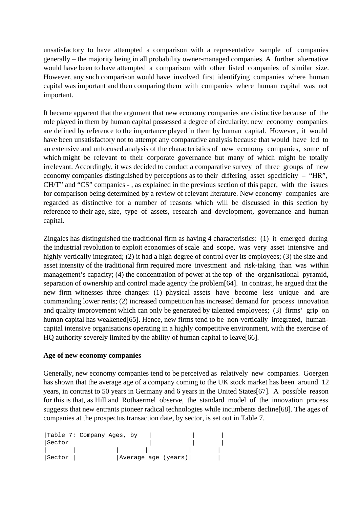unsatisfactory to have attempted a comparison with a representative sample of companies generally – the majority being in all probability owner-managed companies. A further alternative would have been to have attempted a comparison with other listed companies of similar size. However, any such comparison would have involved first identifying companies where human capital was important and then comparing them with companies where human capital was not important.

It became apparent that the argument that new economy companies are distinctive because of the role played in them by human capital possessed a degree of circularity: new economy companies are defined by reference to the importance played in them by human capital. However, it would have been unsatisfactory not to attempt any comparative analysis because that would have led to an extensive and unfocused analysis of the characteristics of new economy companies, some of which might be relevant to their corporate governance but many of which might be totally irrelevant. Accordingly, it was decided to conduct a comparative survey of three groups of new economy companies distinguished by perceptions as to their differing asset specificity – "HR", CH/T" and "CS" companies - , as explained in the previous section of this paper, with the issues for comparison being determined by a review of relevant literature. New economy companies are regarded as distinctive for a number of reasons which will be discussed in this section by reference to their age, size, type of assets, research and development, governance and human capital.

Zingales has distinguished the traditional firm as having 4 characteristics: (1) it emerged during the industrial revolution to exploit economies of scale and scope, was very asset intensive and highly vertically integrated; (2) it had a high degree of control over its employees; (3) the size and asset intensity of the traditional firm required more investment and risk-taking than was within management's capacity; (4) the concentration of power at the top of the organisational pyramid, separation of ownership and control made agency the problem[64]. In contrast, he argued that the new firm witnesses three changes: (1) physical assets have become less unique and are commanding lower rents; (2) increased competition has increased demand for process innovation and quality improvement which can only be generated by talented employees; (3) firms' grip on human capital has weakened[65]. Hence, new firms tend to be non-vertically integrated, humancapital intensive organisations operating in a highly competitive environment, with the exercise of HQ authority severely limited by the ability of human capital to leave[66].

#### **Age of new economy companies**

Generally, new economy companies tend to be perceived as relatively new companies. Goergen has shown that the average age of a company coming to the UK stock market has been around 12 years, in contrast to 50 years in Germany and 6 years in the United States[67]. A possible reason for this is that, as Hill and Rothaermel observe, the standard model of the innovation process suggests that new entrants pioneer radical technologies while incumbents decline[68]. The ages of companies at the prospectus transaction date, by sector, is set out in Table 7.

| Table 7: Company Ages, by |  |  |                     |  |
|---------------------------|--|--|---------------------|--|
| <i>Sector</i>             |  |  |                     |  |
|                           |  |  |                     |  |
| Sector                    |  |  | Average age (years) |  |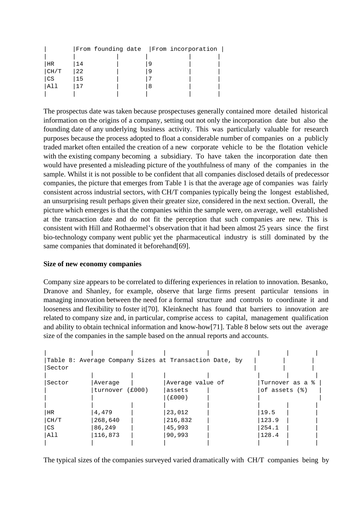|      |    |   | From founding date   From incorporation |
|------|----|---|-----------------------------------------|
|      |    |   |                                         |
| HR   | 14 |   |                                         |
| CH/T | 22 |   |                                         |
| l CS | 15 |   |                                         |
| ווג  |    | 8 |                                         |
|      |    |   |                                         |

The prospectus date was taken because prospectuses generally contained more detailed historical information on the origins of a company, setting out not only the incorporation date but also the founding date of any underlying business activity. This was particularly valuable for research purposes because the process adopted to float a considerable number of companies on a publicly traded market often entailed the creation of a new corporate vehicle to be the flotation vehicle with the existing company becoming a subsidiary. To have taken the incorporation date then would have presented a misleading picture of the youthfulness of many of the companies in the sample. Whilst it is not possible to be confident that all companies disclosed details of predecessor companies, the picture that emerges from Table 1 is that the average age of companies was fairly consistent across industrial sectors, with CH/T companies typically being the longest established, an unsurprising result perhaps given their greater size, considered in the next section. Overall, the picture which emerges is that the companies within the sample were, on average, well established at the transaction date and do not fit the perception that such companies are new. This is consistent with Hill and Rothaermel's observation that it had been almost 25 years since the first bio-technology company went public yet the pharmaceutical industry is still dominated by the same companies that dominated it beforehand[69].

# **Size of new economy companies**

Company size appears to be correlated to differing experiences in relation to innovation. Besanko, Dranove and Shanley, for example, observe that large firms present particular tensions in managing innovation between the need for a formal structure and controls to coordinate it and looseness and flexibility to foster it[70]. Kleinknecht has found that barriers to innovation are related to company size and, in particular, comprise access to capital, management qualification and ability to obtain technical information and know-how[71]. Table 8 below sets out the average size of the companies in the sample based on the annual reports and accounts.

| Table 8: Average Company Sizes at Transaction Date, by |         |                           |                  |               |                             |  |
|--------------------------------------------------------|---------|---------------------------|------------------|---------------|-----------------------------|--|
| Sector                                                 |         |                           |                  |               |                             |  |
|                                                        |         |                           |                  |               |                             |  |
| Sector                                                 | Average |                           | Average value of |               | Turnover as a $\frac{1}{6}$ |  |
|                                                        |         | turnover (£000)<br>assets |                  | of assets (%) |                             |  |
|                                                        |         |                           | (E000)           |               |                             |  |
|                                                        |         |                           |                  |               |                             |  |
| HR                                                     | 4,479   |                           | 23,012           | 19.5          |                             |  |
| CH/T                                                   | 268,640 |                           | 216,832          | 123.9         |                             |  |
| l CS                                                   | 86,249  |                           | 45,993           | 254.1         |                             |  |
| All                                                    | 116,873 |                           | 90,993           | 128.4         |                             |  |
|                                                        |         |                           |                  |               |                             |  |

The typical sizes of the companies surveyed varied dramatically with CH/T companies being by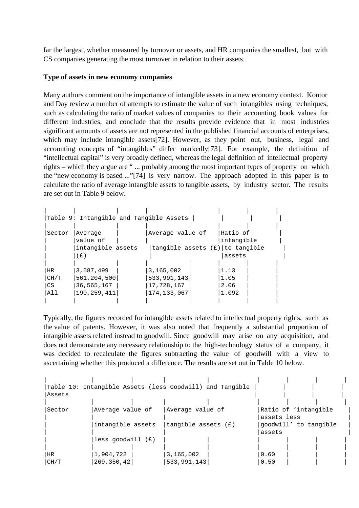far the largest, whether measured by turnover or assets, and HR companies the smallest, but with CS companies generating the most turnover in relation to their assets.

#### **Type of assets in new economy companies**

Many authors comment on the importance of intangible assets in a new economy context. Kontor and Day review a number of attempts to estimate the value of such intangibles using techniques, such as calculating the ratio of market values of companies to their accounting book values for different industries, and conclude that the results provide evidence that in most industries significant amounts of assets are not represented in the published financial accounts of enterprises, which may include intangible assets[72]. However, as they point out, business, legal and accounting concepts of "intangibles" differ markedly[73]. For example, the definition of "intellectual capital" is very broadly defined, whereas the legal definition of intellectual property rights – which they argue are " ... probably among the most important types of property on which the "new economy is based ..."[74] is very narrow. The approach adopted in this paper is to calculate the ratio of average intangible assets to tangible assets, by industry sector. The results are set out in Table 9 below.

|        | Table 9: Intangible and Tangible Assets |                                   |            |  |
|--------|-----------------------------------------|-----------------------------------|------------|--|
|        |                                         |                                   |            |  |
| Sector | Average                                 | Average value of                  | Ratio of   |  |
|        | value of                                |                                   | intangible |  |
|        | intangible assets                       | tangible assets $(E)$ to tangible |            |  |
|        | (£)                                     |                                   | assets     |  |
|        |                                         |                                   |            |  |
| HR.    | 3,587,499                               | 3,165,002                         | 1.13       |  |
| CH/T   | 561,204,500                             | 533,991,143                       | 1.05       |  |
| CS     | 36,565,167                              | 17,728,167                        | 2.06       |  |
| All    | 190, 259, 411                           | 174, 133, 067                     | 1.092      |  |
|        |                                         |                                   |            |  |

Typically, the figures recorded for intangible assets related to intellectual property rights, such as the value of patents. However, it was also noted that frequently a substantial proportion of intangible assets related instead to goodwill. Since goodwill may arise on any acquisition, and does not demonstrate any necessary relationship to the high-technology status of a company, it was decided to recalculate the figures subtracting the value of goodwill with a view to ascertaining whether this produced a difference. The results are set out in Table 10 below.

|               |                     | Table 10: Intangible Assets (less Goodwill) and Tangible |             |                       |  |
|---------------|---------------------|----------------------------------------------------------|-------------|-----------------------|--|
| <b>Assets</b> |                     |                                                          |             |                       |  |
|               |                     |                                                          |             |                       |  |
| Sector        | Average value of    | Average value of                                         |             | Ratio of 'intangible  |  |
|               |                     |                                                          | assets less |                       |  |
|               | intangible assets   | tangible assets $(f)$                                    |             | goodwill' to tangible |  |
|               |                     |                                                          | assets      |                       |  |
|               | less goodwill $(E)$ |                                                          |             |                       |  |
|               |                     |                                                          |             |                       |  |
| <b>HR</b>     | 1,904,722           | 3,165,002                                                | 0.60        |                       |  |
| CH/T          | 269, 350, 42        | 533,991,143                                              | 0.50        |                       |  |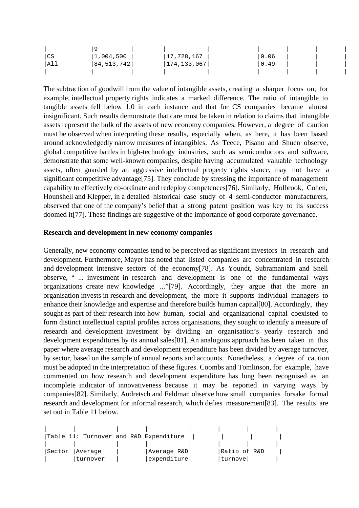| $ {\rm CS}$ | 1,004,500    | $ 17,728,167\rangle$ | 0.06 |  |
|-------------|--------------|----------------------|------|--|
| All         | 84, 513, 742 | 174, 133, 067        | 0.49 |  |
|             |              |                      |      |  |

The subtraction of goodwill from the value of intangible assets, creating a sharper focus on, for example, intellectual property rights indicates a marked difference. The ratio of intangible to tangible assets fell below 1.0 in each instance and that for CS companies became almost insignificant. Such results demonstrate that care must be taken in relation to claims that intangible assets represent the bulk of the assets of new economy companies. However, a degree of caution must be observed when interpreting these results, especially when, as here, it has been based around acknowledgedly narrow measures of intangibles. As Teece, Pisano and Shuen observe, global competitive battles in high-technology industries, such as semiconductors and software, demonstrate that some well-known companies, despite having accumulated valuable technology assets, often guarded by an aggressive intellectual property rights stance, may not have a significant competitive advantage[75]. They conclude by stressing the importance of management capability to effectively co-ordinate and redeploy competences[76]. Similarly, Holbrook, Cohen, Hounshell and Klepper, in a detailed historical case study of 4 semi-conductor manufacturers, observed that one of the company's belief that a strong patent position was key to its success doomed it [77]. These findings are suggestive of the importance of good corporate governance.

#### **Research and development in new economy companies**

Generally, new economy companies tend to be perceived as significant investors in research and development. Furthermore, Mayer has noted that listed companies are concentrated in research and development intensive sectors of the economy[78]. As Youndt, Subramaniam and Snell observe, " ... investment in research and development is one of the fundamental ways organizations create new knowledge ..."[79]. Accordingly, they argue that the more an organisation invests in research and development, the more it supports individual managers to enhance their knowledge and expertise and therefore builds human capital[80]. Accordingly, they sought as part of their research into how human, social and organizational capital coexisted to form distinct intellectual capital profiles across organisations, they sought to identify a measure of research and development investment by dividing an organisation's yearly research and development expenditures by its annual sales[81]. An analogous approach has been taken in this paper where average research and development expenditure has been divided by average turnover, by sector, based on the sample of annual reports and accounts. Nonetheless, a degree of caution must be adopted in the interpretation of these figures. Coombs and Tomlinson, for example, have commented on how research and development expenditure has long been recognised as an incomplete indicator of innovativeness because it may be reported in varying ways by companies[82]. Similarly, Audretsch and Feldman observe how small companies forsake formal research and development for informal research, which defies measurement[83]. The results are set out in Table 11 below.

| Table 11: Turnover and R&D Expenditure |             |              |  |
|----------------------------------------|-------------|--------------|--|
|                                        |             |              |  |
| Sector   Average                       | Average R&D | Ratio of R&D |  |
| 'turnover                              | expenditure | turnove      |  |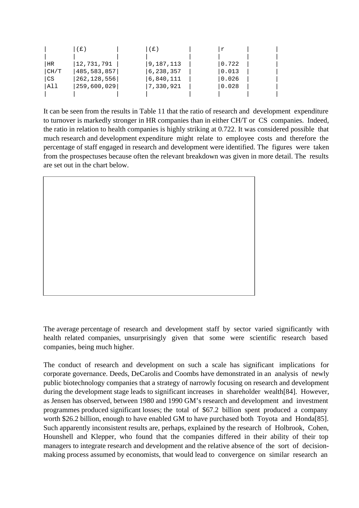|           | (£)           | (£)       |       |  |
|-----------|---------------|-----------|-------|--|
|           |               |           |       |  |
| HR        | 12,731,791    | 9,187,113 | 0.722 |  |
| CH/T      | 485,583,857   | 6,238,357 | 0.013 |  |
| <b>CS</b> | 262, 128, 556 | 6,840,111 | 0.026 |  |
| All       | 259,600,029   | 7,330,921 | 0.028 |  |
|           |               |           |       |  |

It can be seen from the results in Table 11 that the ratio of research and development expenditure to turnover is markedly stronger in HR companies than in either CH/T or CS companies. Indeed, the ratio in relation to health companies is highly striking at 0.722. It was considered possible that much research and development expenditure might relate to employee costs and therefore the percentage of staff engaged in research and development were identified. The figures were taken from the prospectuses because often the relevant breakdown was given in more detail. The results are set out in the chart below.



The average percentage of research and development staff by sector varied significantly with health related companies, unsurprisingly given that some were scientific research based companies, being much higher.

The conduct of research and development on such a scale has significant implications for corporate governance. Deeds, DeCarolis and Coombs have demonstrated in an analysis of newly public biotechnology companies that a strategy of narrowly focusing on research and development during the development stage leads to significant increases in shareholder wealth[84]. However, as Jensen has observed, between 1980 and 1990 GM's research and development and investment programmes produced significant losses; the total of \$67.2 billion spent produced a company worth \$26.2 billion, enough to have enabled GM to have purchased both Toyota and Honda[85]. Such apparently inconsistent results are, perhaps, explained by the research of Holbrook, Cohen, Hounshell and Klepper, who found that the companies differed in their ability of their top managers to integrate research and development and the relative absence of the sort of decisionmaking process assumed by economists, that would lead to convergence on similar research an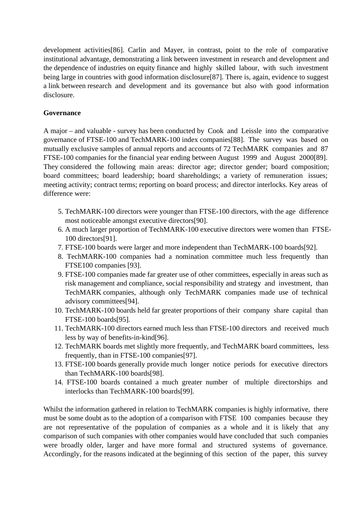development activities[86]. Carlin and Mayer, in contrast, point to the role of comparative institutional advantage, demonstrating a link between investment in research and development and the dependence of industries on equity finance and highly skilled labour, with such investment being large in countries with good information disclosure [87]. There is, again, evidence to suggest a link between research and development and its governance but also with good information disclosure.

# **Governance**

A major – and valuable - survey has been conducted by Cook and Leissle into the comparative governance of FTSE-100 and TechMARK-100 index companies[88]. The survey was based on mutually exclusive samples of annual reports and accounts of 72 TechMARK companies and 87 FTSE-100 companies for the financial year ending between August 1999 and August 2000[89]. They considered the following main areas: director age; director gender; board composition; board committees; board leadership; board shareholdings; a variety of remuneration issues; meeting activity; contract terms; reporting on board process; and director interlocks. Key areas of difference were:

- 5. TechMARK-100 directors were younger than FTSE-100 directors, with the age difference most noticeable amongst executive directors[90].
- 6. A much larger proportion of TechMARK-100 executive directors were women than FTSE-100 directors[91].
- 7. FTSE-100 boards were larger and more independent than TechMARK-100 boards[92].
- 8. TechMARK-100 companies had a nomination committee much less frequently than FTSE100 companies [93].
- 9. FTSE-100 companies made far greater use of other committees, especially in areas such as risk management and compliance, social responsibility and strategy and investment, than TechMARK companies, although only TechMARK companies made use of technical advisory committees[94].
- 10. TechMARK-100 boards held far greater proportions of their company share capital than FTSE-100 boards[95].
- 11. TechMARK-100 directors earned much less than FTSE-100 directors and received much less by way of benefits-in-kind[96].
- 12. TechMARK boards met slightly more frequently, and TechMARK board committees, less frequently, than in FTSE-100 companies[97].
- 13. FTSE-100 boards generally provide much longer notice periods for executive directors than TechMARK-100 boards[98].
- 14. FTSE-100 boards contained a much greater number of multiple directorships and interlocks than TechMARK-100 boards[99].

Whilst the information gathered in relation to TechMARK companies is highly informative, there must be some doubt as to the adoption of a comparison with FTSE 100 companies because they are not representative of the population of companies as a whole and it is likely that any comparison of such companies with other companies would have concluded that such companies were broadly older, larger and have more formal and structured systems of governance. Accordingly, for the reasons indicated at the beginning of this section of the paper, this survey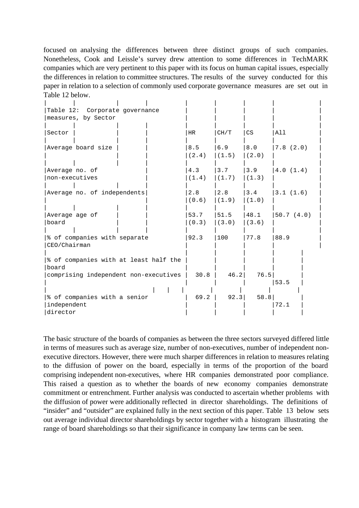focused on analysing the differences between three distinct groups of such companies. Nonetheless, Cook and Leissle's survey drew attention to some differences in TechMARK companies which are very pertinent to this paper with its focus on human capital issues, especially the differences in relation to committee structures. The results of the survey conducted for this paper in relation to a selection of commonly used corporate governance measures are set out in Table 12 below.

| Table 12: Corporate governance                          |               |               |                        |           |
|---------------------------------------------------------|---------------|---------------|------------------------|-----------|
| measures, by Sector                                     |               |               |                        |           |
| Sector                                                  | HR            | CH/T          | CS                     | All       |
| Average board size                                      | 8.5<br>(2.4)  | 6.9<br>(1.5)  | 8.0 <br>(2.0)          | 7.8(2.0)  |
| Average no. of<br>non-executives                        | 4.3<br>(1.4)  | 3.7<br>(1.7)  | $ 3.9\rangle$<br>(1.3) | 4.0(1.4)  |
| Average no. of independents                             | 2.8<br>(0.6)  | 2.8<br>(1.9)  | 3.4<br>(1.0)           | 3.1(1.6)  |
| Average age of<br>board                                 | 53.7<br>(0.3) | 51.5<br>(3.0) | 48.1<br>(3.6)          | 50.7(4.0) |
| % of companies with separate<br>CEO/Chairman            | 92.3          | 100           | 77.8                   | 88.9      |
| % of companies with at least half the<br>board          |               |               |                        |           |
| comprising independent non-executives                   | 30.8          | 46.2          | 76.5                   | 53.5      |
| % of companies with a senior<br>independent<br>director | $69.2$        | 92.3          | 58.8                   | 72.1      |

The basic structure of the boards of companies as between the three sectors surveyed differed little in terms of measures such as average size, number of non-executives, number of independent nonexecutive directors. However, there were much sharper differences in relation to measures relating to the diffusion of power on the board, especially in terms of the proportion of the board comprising independent non-executives, where HR companies demonstrated poor compliance. This raised a question as to whether the boards of new economy companies demonstrate commitment or entrenchment. Further analysis was conducted to ascertain whether problems with the diffusion of power were additionally reflected in director shareholdings. The definitions of "insider" and "outsider" are explained fully in the next section of this paper. Table 13 below sets out average individual director shareholdings by sector together with a histogram illustrating the range of board shareholdings so that their significance in company law terms can be seen.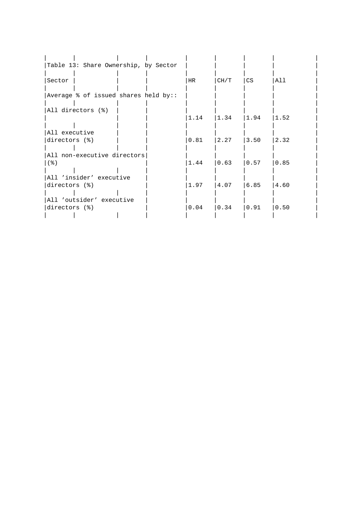| Table 13: Share Ownership, by Sector      |      |                |                   |                |  |
|-------------------------------------------|------|----------------|-------------------|----------------|--|
| Sector                                    | HR.  | CH/T           | l CS              | All            |  |
| Average % of issued shares held by::      |      |                |                   |                |  |
| All directors (%)                         | 1.14 | $ 1.34\rangle$ | $ 1.94\rangle$    | $ 1.52\rangle$ |  |
| All executive                             |      |                |                   |                |  |
| directors (%)                             | 0.81 | 2.27           | 3.50              | 2.32           |  |
| All non-executive directors<br>(응)        | 1.44 | $ 0.63\rangle$ | $\overline{0.57}$ | 0.85           |  |
| All 'insider' executive                   |      |                |                   |                |  |
| directors (%)                             | 1.97 | 4.07           | 6.85              | 4.60           |  |
| All 'outsider' executive<br>directors (%) | 0.04 | 0.34           | 0.91              | 0.50           |  |
|                                           |      |                |                   |                |  |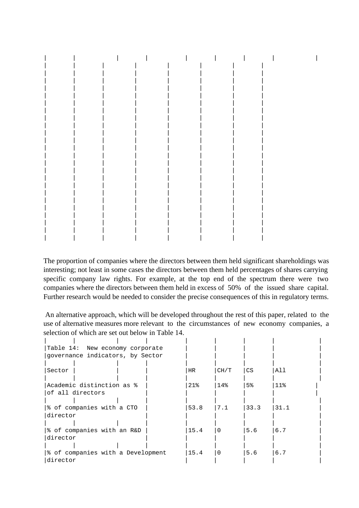The proportion of companies where the directors between them held significant shareholdings was interesting; not least in some cases the directors between them held percentages of shares carrying specific company law rights. For example, at the top end of the spectrum there were two companies where the directors between them held in excess of 50% of the issued share capital. Further research would be needed to consider the precise consequences of this in regulatory terms.

 An alternative approach, which will be developed throughout the rest of this paper, related to the use of alternative measures more relevant to the circumstances of new economy companies, a selection of which are set out below in Table 14.

| Table 14: New economy corporate   |      |          |                |        |  |
|-----------------------------------|------|----------|----------------|--------|--|
| governance indicators, by Sector  |      |          |                |        |  |
|                                   |      |          |                |        |  |
| Sector                            | HR.  | CH/T     | CS             | All    |  |
|                                   |      |          |                |        |  |
| Academic distinction as %         | 21%  | 14%      | 5 <sup>°</sup> | $11$ % |  |
| of all directors                  |      |          |                |        |  |
|                                   |      |          |                |        |  |
| % of companies with a CTO         | 53.8 | 7.1      | 33.3           | 31.1   |  |
| director                          |      |          |                |        |  |
|                                   |      |          |                |        |  |
| % of companies with an R&D        | 15.4 | $\Omega$ | 5.6            | 6.7    |  |
| director                          |      |          |                |        |  |
|                                   |      |          |                |        |  |
| % of companies with a Development | 15.4 | $\Omega$ | 5.6            | 6.7    |  |
| director                          |      |          |                |        |  |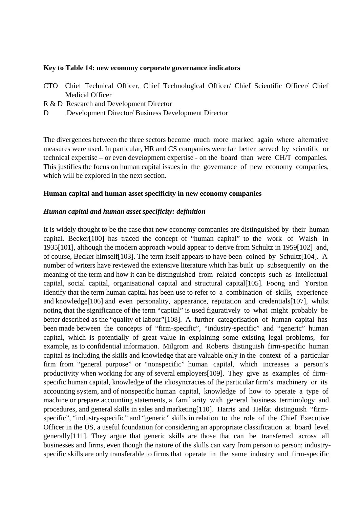#### **Key to Table 14: new economy corporate governance indicators**

- CTO Chief Technical Officer, Chief Technological Officer/ Chief Scientific Officer/ Chief Medical Officer
- R & D Research and Development Director
- D Development Director/ Business Development Director

The divergences between the three sectors become much more marked again where alternative measures were used. In particular, HR and CS companies were far better served by scientific or technical expertise – or even development expertise - on the board than were CH/T companies. This justifies the focus on human capital issues in the governance of new economy companies, which will be explored in the next section.

#### **Human capital and human asset specificity in new economy companies**

#### *Human capital and human asset specificity: definition*

It is widely thought to be the case that new economy companies are distinguished by their human capital. Becker[100] has traced the concept of "human capital" to the work of Walsh in 1935[101], although the modern approach would appear to derive from Schultz in 1959[102] and, of course, Becker himself[103]. The term itself appears to have been coined by Schultz[104]. A number of writers have reviewed the extensive literature which has built up subsequently on the meaning of the term and how it can be distinguished from related concepts such as intellectual capital, social capital, organisational capital and structural capital [105]. Foong and Yorston identify that the term human capital has been use to refer to a combination of skills, experience and knowledge<sup>[106]</sup> and even personality, appearance, reputation and credentials<sup>[107]</sup>, whilst noting that the significance of the term "capital" is used figuratively to what might probably be better described as the "quality of labour"[108]. A further categorisation of human capital has been made between the concepts of "firm-specific", "industry-specific" and "generic" human capital, which is potentially of great value in explaining some existing legal problems, for example, as to confidential information. Milgrom and Roberts distinguish firm-specific human capital as including the skills and knowledge that are valuable only in the context of a particular firm from "general purpose" or "nonspecific" human capital, which increases a person's productivity when working for any of several employers[109]. They give as examples of firmspecific human capital, knowledge of the idiosyncracies of the particular firm's machinery or its accounting system, and of nonspecific human capital, knowledge of how to operate a type of machine or prepare accounting statements, a familiarity with general business terminology and procedures, and general skills in sales and marketing[110]. Harris and Helfat distinguish "firmspecific", "industry-specific" and "generic" skills in relation to the role of the Chief Executive Officer in the US, a useful foundation for considering an appropriate classification at board level generally[111]. They argue that generic skills are those that can be transferred across all businesses and firms, even though the nature of the skills can vary from person to person; industryspecific skills are only transferable to firms that operate in the same industry and firm-specific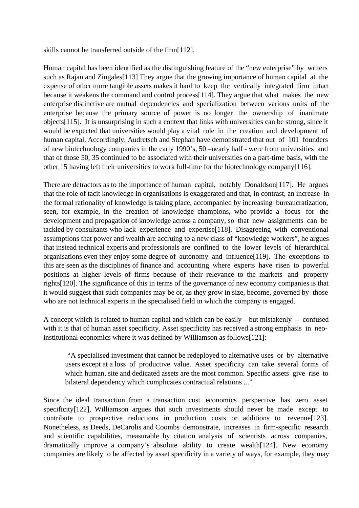skills cannot be transferred outside of the firm[112].

Human capital has been identified as the distinguishing feature of the "new enterprise" by writers such as Rajan and Zingales[113] They argue that the growing importance of human capital at the expense of other more tangible assets makes it hard to keep the vertically integrated firm intact because it weakens the command and control process[114]. They argue that what makes the new enterprise distinctive are mutual dependencies and specialization between various units of the enterprise because the primary source of power is no longer the ownership of inanimate objects[115]. It is unsurprising in such a context that links with universities can be strong, since it would be expected that universities would play a vital role in the creation and development of human capital. Accordingly, Audretsch and Stephan have demonstrated that out of 101 founders of new biotechnology companies in the early 1990's, 50 –nearly half - were from universities and that of those 50, 35 continued to be associated with their universities on a part-time basis, with the other 15 having left their universities to work full-time for the biotechnology company[116].

There are detractors as to the importance of human capital, notably Donaldson[117]. He argues that the role of tacit knowledge in organisations is exaggerated and that, in contrast, an increase in the formal rationality of knowledge is taking place, accompanied by increasing bureaucratization, seen, for example, in the creation of knowledge champions, who provide a focus for the development and propagation of knowledge across a company, so that new assignments can be tackled by consultants who lack experience and expertise[118]. Disagreeing with conventional assumptions that power and wealth are accruing to a new class of "knowledge workers", he argues that instead technical experts and professionals are confined to the lower levels of hierarchical organisations even they enjoy some degree of autonomy and influence[119]. The exceptions to this are seen as the disciplines of finance and accounting where experts have risen to powerful positions at higher levels of firms because of their relevance to the markets and property rights[120]. The significance of this in terms of the governance of new economy companies is that it would suggest that such companies may be or, as they grow in size, become, governed by those who are not technical experts in the specialised field in which the company is engaged.

A concept which is related to human capital and which can be easily – but mistakenly – confused with it is that of human asset specificity. Asset specificity has received a strong emphasis in neoinstitutional economics where it was defined by Williamson as follows[121]:

"A specialised investment that cannot be redeployed to alternative uses or by alternative users except at a loss of productive value. Asset specificity can take several forms of which human, site and dedicated assets are the most common. Specific assets give rise to bilateral dependency which complicates contractual relations ..."

Since the ideal transaction from a transaction cost economics perspective has zero asset specificity[122], Williamson argues that such investments should never be made except to contribute to prospective reductions in production costs or additions to revenue[123]. Nonetheless, as Deeds, DeCarolis and Coombs demonstrate, increases in firm-specific research and scientific capabilities, measurable by citation analysis of scientists across companies, dramatically improve a company's absolute ability to create wealth[124]. New economy companies are likely to be affected by asset specificity in a variety of ways, for example, they may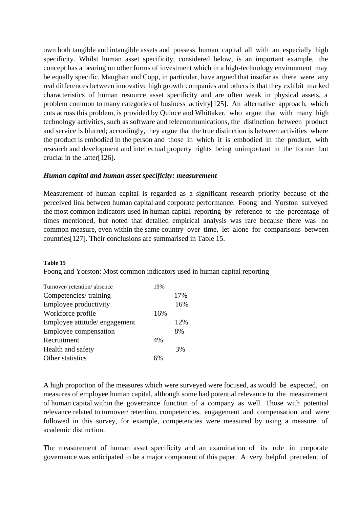own both tangible and intangible assets and possess human capital all with an especially high specificity. Whilst human asset specificity, considered below, is an important example, the concept has a bearing on other forms of investment which in a high-technology environment may be equally specific. Maughan and Copp, in particular, have argued that insofar as there were any real differences between innovative high growth companies and others is that they exhibit marked characteristics of human resource asset specificity and are often weak in physical assets, a problem common to many categories of business activity[125]. An alternative approach, which cuts across this problem, is provided by Quince and Whittaker, who argue that with many high technology activities, such as software and telecommunications, the distinction between product and service is blurred; accordingly, they argue that the true distinction is between activities where the product is embodied in the person and those in which it is embodied in the product, with research and development and intellectual property rights being unimportant in the former but crucial in the latter[126].

#### *Human capital and human asset specificity: measurement*

Measurement of human capital is regarded as a significant research priority because of the perceived link between human capital and corporate performance. Foong and Yorston surveyed the most common indicators used in human capital reporting by reference to the percentage of times mentioned, but noted that detailed empirical analysis was rare because there was no common measure, even within the same country over time, let alone for comparisons between countries[127]. Their conclusions are summarised in Table 15.

#### **Table 15**

Foong and Yorston: Most common indicators used in human capital reporting

| Turnover/retention/absence   | 19% |     |
|------------------------------|-----|-----|
| Competencies/training        |     | 17% |
| Employee productivity        |     | 16% |
| Workforce profile            | 16% |     |
| Employee attitude/engagement |     | 12% |
| Employee compensation        |     | 8%  |
| Recruitment                  | 4%  |     |
| Health and safety            |     | 3%  |
| Other statistics             |     |     |
|                              |     |     |

A high proportion of the measures which were surveyed were focused, as would be expected, on measures of employee human capital, although some had potential relevance to the measurement of human capital within the governance function of a company as well. Those with potential relevance related to turnover/ retention, competencies, engagement and compensation and were followed in this survey, for example, competencies were measured by using a measure of academic distinction.

The measurement of human asset specificity and an examination of its role in corporate governance was anticipated to be a major component of this paper. A very helpful precedent of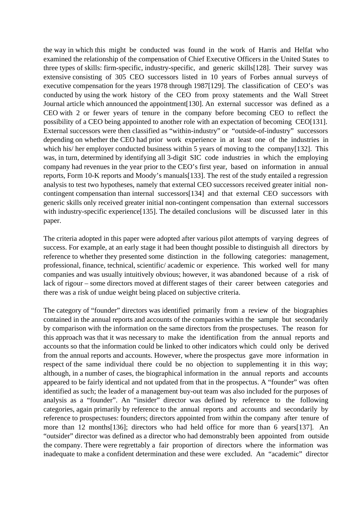the way in which this might be conducted was found in the work of Harris and Helfat who examined the relationship of the compensation of Chief Executive Officers in the United States to three types of skills: firm-specific, industry-specific, and generic skills[128]. Their survey was extensive consisting of 305 CEO successors listed in 10 years of Forbes annual surveys of executive compensation for the years 1978 through 1987[129]. The classification of CEO's was conducted by using the work history of the CEO from proxy statements and the Wall Street Journal article which announced the appointment[130]. An external successor was defined as a CEO with 2 or fewer years of tenure in the company before becoming CEO to reflect the possibility of a CEO being appointed to another role with an expectation of becoming CEO[131]. External successors were then classified as "within-industry" or "outside-of-industry" successors depending on whether the CEO had prior work experience in at least one of the industries in which his/ her employer conducted business within 5 years of moving to the company[132]. This was, in turn, determined by identifying all 3-digit SIC code industries in which the employing company had revenues in the year prior to the CEO's first year, based on information in annual reports, Form 10-K reports and Moody's manuals[133]. The rest of the study entailed a regression analysis to test two hypotheses, namely that external CEO successors received greater initial noncontingent compensation than internal successors[134] and that external CEO successors with generic skills only received greater initial non-contingent compensation than external successors with industry-specific experience<sup>[135]</sup>. The detailed conclusions will be discussed later in this paper.

The criteria adopted in this paper were adopted after various pilot attempts of varying degrees of success. For example, at an early stage it had been thought possible to distinguish all directors by reference to whether they presented some distinction in the following categories: management, professional, finance, technical, scientific/ academic or experience. This worked well for many companies and was usually intuitively obvious; however, it was abandoned because of a risk of lack of rigour – some directors moved at different stages of their career between categories and there was a risk of undue weight being placed on subjective criteria.

The category of "founder" directors was identified primarily from a review of the biographies contained in the annual reports and accounts of the companies within the sample but secondarily by comparison with the information on the same directors from the prospectuses. The reason for this approach was that it was necessary to make the identification from the annual reports and accounts so that the information could be linked to other indicators which could only be derived from the annual reports and accounts. However, where the prospectus gave more information in respect of the same individual there could be no objection to supplementing it in this way; although, in a number of cases, the biographical information in the annual reports and accounts appeared to be fairly identical and not updated from that in the prospectus. A "founder" was often identified as such; the leader of a management buy-out team was also included for the purposes of analysis as a "founder". An "insider" director was defined by reference to the following categories, again primarily by reference to the annual reports and accounts and secondarily by reference to prospectuses: founders; directors appointed from within the company after tenure of more than 12 months[136]; directors who had held office for more than 6 years[137]. An "outsider" director was defined as a director who had demonstrably been appointed from outside the company. There were regrettably a fair proportion of directors where the information was inadequate to make a confident determination and these were excluded. An "academic" director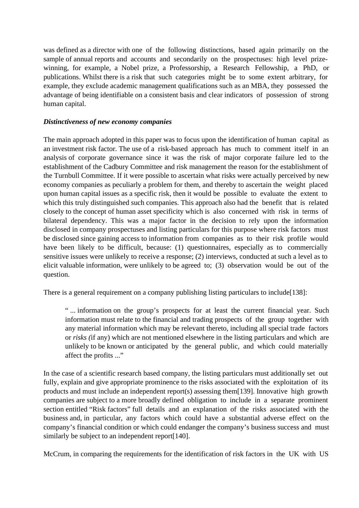was defined as a director with one of the following distinctions, based again primarily on the sample of annual reports and accounts and secondarily on the prospectuses: high level prizewinning, for example, a Nobel prize, a Professorship, a Research Fellowship, a PhD, or publications. Whilst there is a risk that such categories might be to some extent arbitrary, for example, they exclude academic management qualifications such as an MBA, they possessed the advantage of being identifiable on a consistent basis and clear indicators of possession of strong human capital.

### *Distinctiveness of new economy companies*

The main approach adopted in this paper was to focus upon the identification of human capital as an investment risk factor. The use of a risk-based approach has much to comment itself in an analysis of corporate governance since it was the risk of major corporate failure led to the establishment of the Cadbury Committee and risk management the reason for the establishment of the Turnbull Committee. If it were possible to ascertain what risks were actually perceived by new economy companies as peculiarly a problem for them, and thereby to ascertain the weight placed upon human capital issues as a specific risk, then it would be possible to evaluate the extent to which this truly distinguished such companies. This approach also had the benefit that is related closely to the concept of human asset specificity which is also concerned with risk in terms of bilateral dependency. This was a major factor in the decision to rely upon the information disclosed in company prospectuses and listing particulars for this purpose where risk factors must be disclosed since gaining access to information from companies as to their risk profile would have been likely to be difficult, because: (1) questionnaires, especially as to commercially sensitive issues were unlikely to receive a response; (2) interviews, conducted at such a level as to elicit valuable information, were unlikely to be agreed to; (3) observation would be out of the question.

There is a general requirement on a company publishing listing particulars to include [138]:

"... information on the group's prospects for at least the current financial year. Such information must relate to the financial and trading prospects of the group together with any material information which may be relevant thereto, including all special trade factors or *risks (*if any) which are not mentioned elsewhere in the listing particulars and which are unlikely to be known or anticipated by the general public, and which could materially affect the profits ..."

In the case of a scientific research based company, the listing particulars must additionally set out fully, explain and give appropriate prominence to the risks associated with the exploitation of its products and must include an independent report(s) assessing them[139]. Innovative high growth companies are subject to a more broadly defined obligation to include in a separate prominent section entitled "Risk factors" full details and an explanation of the risks associated with the business and, in particular, any factors which could have a substantial adverse effect on the company's financial condition or which could endanger the company's business success and must similarly be subject to an independent report [140].

McCrum, in comparing the requirements for the identification of risk factors in the UK with US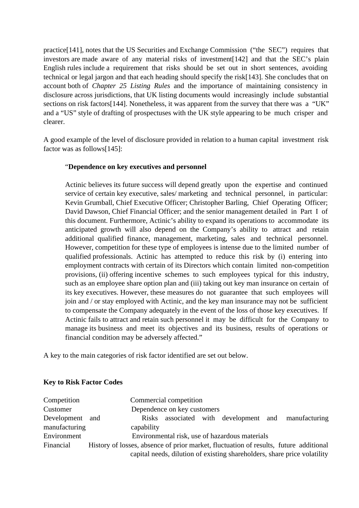practice[141], notes that the US Securities and Exchange Commission ("the SEC") requires that investors are made aware of any material risks of investment[142] and that the SEC's plain English rules include a requirement that risks should be set out in short sentences, avoiding technical or legal jargon and that each heading should specify the risk[143]. She concludes that on account both of *Chapter 25 Listing Rules* and the importance of maintaining consistency in disclosure across jurisdictions, that UK listing documents would increasingly include substantial sections on risk factors[144]. Nonetheless, it was apparent from the survey that there was a "UK" and a "US" style of drafting of prospectuses with the UK style appearing to be much crisper and clearer.

A good example of the level of disclosure provided in relation to a human capital investment risk factor was as follows[145]:

# "**Dependence on key executives and personnel**

Actinic believes its future success will depend greatly upon the expertise and continued service of certain key executive, sales/ marketing and technical personnel, in particular: Kevin Grumball, Chief Executive Officer; Christopher Barling, Chief Operating Officer; David Dawson, Chief Financial Officer; and the senior management detailed in Part I of this document. Furthermore, Actinic's ability to expand its operations to accommodate its anticipated growth will also depend on the Company's ability to attract and retain additional qualified finance, management, marketing, sales and technical personnel. However, competition for these type of employees is intense due to the limited number of qualified professionals. Actinic has attempted to reduce this risk by (i) entering into employment contracts with certain of its Directors which contain limited non-competition provisions, (ii) offering incentive schemes to such employees typical for this industry, such as an employee share option plan and (iii) taking out key man insurance on certain of its key executives. However, these measures do not guarantee that such employees will join and / or stay employed with Actinic, and the key man insurance may not be sufficient to compensate the Company adequately in the event of the loss of those key executives. If Actinic fails to attract and retain such personnel it may be difficult for the Company to manage its business and meet its objectives and its business, results of operations or financial condition may be adversely affected."

A key to the main categories of risk factor identified are set out below.

# **Key to Risk Factor Codes**

| Competition     |                                                                                       |            | Commercial competition      |  |  |  |                                                                          |
|-----------------|---------------------------------------------------------------------------------------|------------|-----------------------------|--|--|--|--------------------------------------------------------------------------|
| Customer        |                                                                                       |            | Dependence on key customers |  |  |  |                                                                          |
| Development and |                                                                                       |            |                             |  |  |  | Risks associated with development and manufacturing                      |
| manufacturing   |                                                                                       | capability |                             |  |  |  |                                                                          |
| Environment     | Environmental risk, use of hazardous materials                                        |            |                             |  |  |  |                                                                          |
| Financial       | History of losses, absence of prior market, fluctuation of results, future additional |            |                             |  |  |  |                                                                          |
|                 |                                                                                       |            |                             |  |  |  | capital needs, dilution of existing shareholders, share price volatility |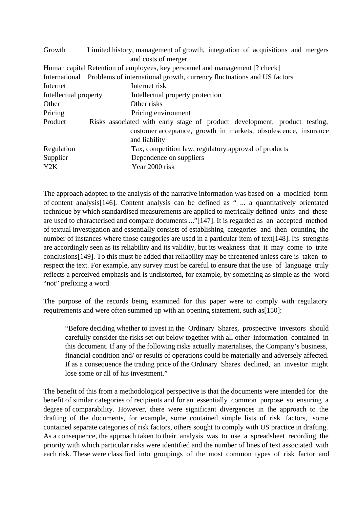| Growth                                                                               | Limited history, management of growth, integration of acquisitions and mergers |  |  |  |  |  |  |  |
|--------------------------------------------------------------------------------------|--------------------------------------------------------------------------------|--|--|--|--|--|--|--|
|                                                                                      | and costs of merger                                                            |  |  |  |  |  |  |  |
|                                                                                      | Human capital Retention of employees, key personnel and management [? check]   |  |  |  |  |  |  |  |
| International Problems of international growth, currency fluctuations and US factors |                                                                                |  |  |  |  |  |  |  |
| Internet                                                                             | Internet risk                                                                  |  |  |  |  |  |  |  |
| Intellectual property                                                                | Intellectual property protection                                               |  |  |  |  |  |  |  |
| Other                                                                                | Other risks                                                                    |  |  |  |  |  |  |  |
| Pricing                                                                              | Pricing environment                                                            |  |  |  |  |  |  |  |
| Product                                                                              | Risks associated with early stage of product development, product testing,     |  |  |  |  |  |  |  |
|                                                                                      | customer acceptance, growth in markets, obsolescence, insurance                |  |  |  |  |  |  |  |
|                                                                                      | and liability                                                                  |  |  |  |  |  |  |  |
| Regulation                                                                           | Tax, competition law, regulatory approval of products                          |  |  |  |  |  |  |  |
| Supplier                                                                             | Dependence on suppliers                                                        |  |  |  |  |  |  |  |
| Y <sub>2</sub> K                                                                     | Year 2000 risk                                                                 |  |  |  |  |  |  |  |

The approach adopted to the analysis of the narrative information was based on a modified form of content analysis[146]. Content analysis can be defined as " ... a quantitatively orientated technique by which standardised measurements are applied to metrically defined units and these are used to characterised and compare documents ..."[147]. It is regarded as an accepted method of textual investigation and essentially consists of establishing categories and then counting the number of instances where those categories are used in a particular item of text[148]. Its strengths are accordingly seen as its reliability and its validity, but its weakness that it may come to trite conclusions[149]. To this must be added that reliability may be threatened unless care is taken to respect the text. For example, any survey must be careful to ensure that the use of language truly reflects a perceived emphasis and is undistorted, for example, by something as simple as the word "not" prefixing a word.

The purpose of the records being examined for this paper were to comply with regulatory requirements and were often summed up with an opening statement, such as [150]:

"Before deciding whether to invest in the Ordinary Shares, prospective investors should carefully consider the risks set out below together with all other information contained in this document. If any of the following risks actually materialises, the Company's business, financial condition and/ or results of operations could be materially and adversely affected. If as a consequence the trading price of the Ordinary Shares declined, an investor might lose some or all of his investment."

The benefit of this from a methodological perspective is that the documents were intended for the benefit of similar categories of recipients and for an essentially common purpose so ensuring a degree of comparability. However, there were significant divergences in the approach to the drafting of the documents, for example, some contained simple lists of risk factors, some contained separate categories of risk factors, others sought to comply with US practice in drafting. As a consequence, the approach taken to their analysis was to use a spreadsheet recording the priority with which particular risks were identified and the number of lines of text associated with each risk. These were classified into groupings of the most common types of risk factor and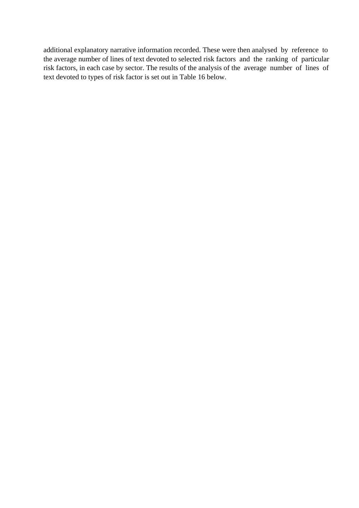additional explanatory narrative information recorded. These were then analysed by reference to the average number of lines of text devoted to selected risk factors and the ranking of particular risk factors, in each case by sector. The results of the analysis of the average number of lines of text devoted to types of risk factor is set out in Table 16 below.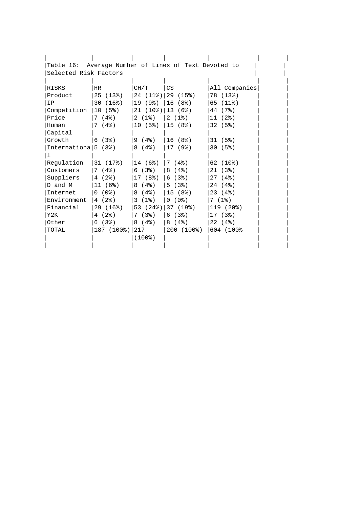| Table 16: Average Number of Lines of Text Devoted to |                      |            |                         |               |  |  |  |
|------------------------------------------------------|----------------------|------------|-------------------------|---------------|--|--|--|
| Selected Risk Factors                                |                      |            |                         |               |  |  |  |
|                                                      |                      |            |                         |               |  |  |  |
| RISKS                                                | HR                   | CH/T       | CS                      | All Companies |  |  |  |
| Product                                              | 25 (13%)             | $24(11\%)$ | 29 (15%)                | 78 (13%)      |  |  |  |
| IP                                                   | 30 (16%)             | 19 (9%)    | 16<br>(8%)              | 65<br>(11%)   |  |  |  |
| Competition                                          | 10 (5)               | 21 (10%)   | 13 (6%)                 | 44 (7%)       |  |  |  |
| Price                                                | 7 (4%)               | 2(18)      | 2(18)                   | 11<br>(2%)    |  |  |  |
| Human                                                | 7 (4%)               | 10(5%)     | 15 (8%)                 | 32(5%)        |  |  |  |
| Capital                                              |                      |            |                         |               |  |  |  |
| Growth                                               | 6 (3%)               | 9 (4%)     | 16(8)                   | 31 (5%)       |  |  |  |
| Internationa $ 5 (3)$                                |                      | 8 (4%)     | 17(98)                  | $30(5$ $)$    |  |  |  |
|                                                      |                      |            |                         |               |  |  |  |
| Regulation                                           | 31 (17%)             | 14 (6%)    | $ 7(4\%)$               | 62 (10%)      |  |  |  |
| Customers                                            | 7 (4%)               | 6 (3%)     | 18<br>(4%)              | 21(38)        |  |  |  |
| Suppliers                                            | 4 (2%)               | 17 (8%)    | 6 (3%)                  | $27(4\%)$     |  |  |  |
| D and M                                              | 11 (6%)              | 8 (4%)     | 5 (3%)                  | 24 (4%)       |  |  |  |
| Internet                                             | 0 (0%)               | 8<br>(4%)  | 15 (8%)                 | $23(4\%)$     |  |  |  |
| Environment                                          | $\vert 4 \vert (2 \$ | $3(1\%)$   | $0(0\%)$                | 7 (1%)        |  |  |  |
| Financial                                            | 29 (16%)             |            | 53 (24%) 37 (19%)       | 119 (20%)     |  |  |  |
| Y2K                                                  | 4 (2%)               | 7 (3%)     | 6 (3%)                  | 17 (3%)       |  |  |  |
| Other                                                | 6 (3%)               | 8 ( 4 % )  | 8 (4%)                  | 22(48)        |  |  |  |
| TOTAL                                                | 187 (100%)   217     |            | 200 (100%)   604 (100%) |               |  |  |  |
|                                                      |                      | $(100$ $)$ |                         |               |  |  |  |
|                                                      |                      |            |                         |               |  |  |  |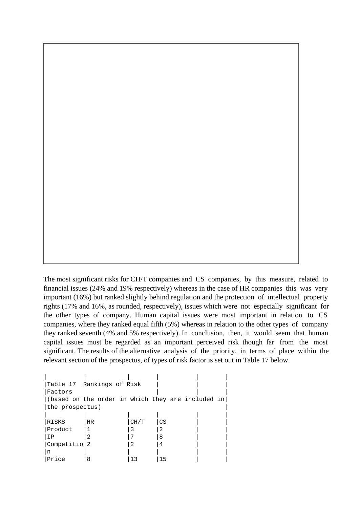The most significant risks for CH/T companies and CS companies, by this measure, related to financial issues (24% and 19% respectively) whereas in the case of HR companies this was very important (16%) but ranked slightly behind regulation and the protection of intellectual property rights (17% and 16%, as rounded, respectively), issues which were not especially significant for the other types of company. Human capital issues were most important in relation to CS companies, where they ranked equal fifth (5%) whereas in relation to the other types of company they ranked seventh (4% and 5% respectively). In conclusion, then, it would seem that human capital issues must be regarded as an important perceived risk though far from the most significant. The results of the alternative analysis of the priority, in terms of place within the relevant section of the prospectus, of types of risk factor is set out in Table 17 below.

|                 |                                                   | Table 17 Rankings of Risk |    |  |  |  |  |  |
|-----------------|---------------------------------------------------|---------------------------|----|--|--|--|--|--|
| Factors         |                                                   |                           |    |  |  |  |  |  |
|                 | (based on the order in which they are included in |                           |    |  |  |  |  |  |
| the prospectus) |                                                   |                           |    |  |  |  |  |  |
|                 |                                                   |                           |    |  |  |  |  |  |
| RISKS           | HR                                                | CH/T                      | CS |  |  |  |  |  |
| Product         |                                                   |                           |    |  |  |  |  |  |
| TP              | 2                                                 |                           | 8  |  |  |  |  |  |
| Competitio   2  |                                                   |                           | 4  |  |  |  |  |  |
| l n             |                                                   |                           |    |  |  |  |  |  |
| Price           | 8                                                 | ר ר                       | 15 |  |  |  |  |  |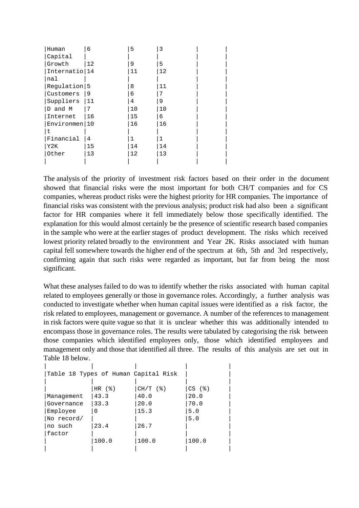| Human           | 6  | 5  | 3  |  |
|-----------------|----|----|----|--|
| Capital         |    |    |    |  |
| Growth          | 12 | 9  | 5  |  |
| Internatio   14 |    | 11 | 12 |  |
| nal             |    |    |    |  |
| Regulation 5    |    | 8  | 11 |  |
| Customers       | 9  | 6  |    |  |
| Suppliers       | 11 | 4  | 9  |  |
| D and M         | 7  | 10 | 10 |  |
| Internet        | 16 | 15 | 6  |  |
| Environmen 10   |    | 16 | 16 |  |
| t               |    |    |    |  |
| Financial       | 4  |    |    |  |
| Y2K             | 15 | 14 | 14 |  |
| Other           | 13 | 12 | 13 |  |
|                 |    |    |    |  |

The analysis of the priority of investment risk factors based on their order in the document showed that financial risks were the most important for both CH/T companies and for CS companies, whereas product risks were the highest priority for HR companies. The importance of financial risks was consistent with the previous analysis; product risk had also been a significant factor for HR companies where it fell immediately below those specifically identified. The explanation for this would almost certainly be the presence of scientific research based companies in the sample who were at the earlier stages of product development. The risks which received lowest priority related broadly to the environment and Year 2K. Risks associated with human capital fell somewhere towards the higher end of the spectrum at 6th, 5th and 3rd respectively, confirming again that such risks were regarded as important, but far from being the most significant.

What these analyses failed to do was to identify whether the risks associated with human capital related to employees generally or those in governance roles. Accordingly, a further analysis was conducted to investigate whether when human capital issues were identified as a risk factor, the risk related to employees, management or governance. A number of the references to management in risk factors were quite vague so that it is unclear whether this was additionally intended to encompass those in governance roles. The results were tabulated by categorising the risk between those companies which identified employees only, those which identified employees and management only and those that identified all three. The results of this analysis are set out in Table 18 below.

| Table 18 Types of Human Capital Risk |          |             |        |  |  |  |  |  |
|--------------------------------------|----------|-------------|--------|--|--|--|--|--|
|                                      |          |             |        |  |  |  |  |  |
|                                      | HR $(%)$ | $ CH/T$ (%) | CS (%) |  |  |  |  |  |
| Management                           | 43.3     | 40.0        | 20.0   |  |  |  |  |  |
| Governance                           | 33.3     | 20.0        | 70.0   |  |  |  |  |  |
| Employee                             | $\Omega$ | 15.3        | 5.0    |  |  |  |  |  |
| No record/                           |          |             | 5.0    |  |  |  |  |  |
| 'no such                             | 23.4     | 26.7        |        |  |  |  |  |  |
| factor                               |          |             |        |  |  |  |  |  |
|                                      | 100.0    | 100.0       | 100.0  |  |  |  |  |  |
|                                      |          |             |        |  |  |  |  |  |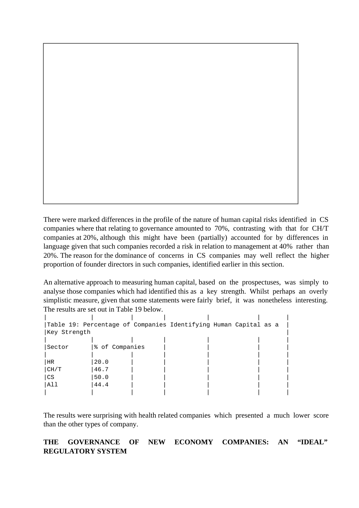There were marked differences in the profile of the nature of human capital risks identified in CS companies where that relating to governance amounted to 70%, contrasting with that for CH/T companies at 20%, although this might have been (partially) accounted for by differences in language given that such companies recorded a risk in relation to management at 40% rather than 20%. The reason for the dominance of concerns in CS companies may well reflect the higher proportion of founder directors in such companies, identified earlier in this section.

An alternative approach to measuring human capital, based on the prospectuses, was simply to analyse those companies which had identified this as a key strength. Whilst perhaps an overly simplistic measure, given that some statements were fairly brief, it was nonetheless interesting. The results are set out in Table 19 below.

|              |                |  |  | Table 19: Percentage of Companies Identifying Human Capital as a |  |  |  |  |
|--------------|----------------|--|--|------------------------------------------------------------------|--|--|--|--|
| Key Strength |                |  |  |                                                                  |  |  |  |  |
|              |                |  |  |                                                                  |  |  |  |  |
| Sector       | % of Companies |  |  |                                                                  |  |  |  |  |
|              |                |  |  |                                                                  |  |  |  |  |
| HR           | 20.0           |  |  |                                                                  |  |  |  |  |
| CH/T         | 46.7           |  |  |                                                                  |  |  |  |  |
| CS           | 50.0           |  |  |                                                                  |  |  |  |  |
| All          | 44.4           |  |  |                                                                  |  |  |  |  |
|              |                |  |  |                                                                  |  |  |  |  |

The results were surprising with health related companies which presented a much lower score than the other types of company.

# **THE GOVERNANCE OF NEW ECONOMY COMPANIES: AN "IDEAL" REGULATORY SYSTEM**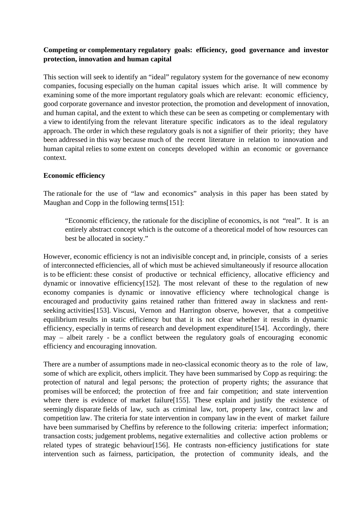# **Competing or complementary regulatory goals: efficiency, good governance and investor protection, innovation and human capital**

This section will seek to identify an "ideal" regulatory system for the governance of new economy companies, focusing especially on the human capital issues which arise. It will commence by examining some of the more important regulatory goals which are relevant: economic efficiency, good corporate governance and investor protection, the promotion and development of innovation, and human capital, and the extent to which these can be seen as competing or complementary with a view to identifying from the relevant literature specific indicators as to the ideal regulatory approach. The order in which these regulatory goals is not a signifier of their priority; they have been addressed in this way because much of the recent literature in relation to innovation and human capital relies to some extent on concepts developed within an economic or governance context.

# **Economic efficiency**

The rationale for the use of "law and economics" analysis in this paper has been stated by Maughan and Copp in the following terms[151]:

"Economic efficiency, the rationale for the discipline of economics, is not "real". It is an entirely abstract concept which is the outcome of a theoretical model of how resources can best be allocated in society."

However, economic efficiency is not an indivisible concept and, in principle, consists of a series of interconnected efficiencies, all of which must be achieved simultaneously if resource allocation is to be efficient: these consist of productive or technical efficiency, allocative efficiency and dynamic or innovative efficiency[152]. The most relevant of these to the regulation of new economy companies is dynamic or innovative efficiency where technological change is encouraged and productivity gains retained rather than frittered away in slackness and rentseeking activities[153]. Viscusi, Vernon and Harrington observe, however, that a competitive equilibrium results in static efficiency but that it is not clear whether it results in dynamic efficiency, especially in terms of research and development expenditure[154]. Accordingly, there may – albeit rarely - be a conflict between the regulatory goals of encouraging economic efficiency and encouraging innovation.

There are a number of assumptions made in neo-classical economic theory as to the role of law, some of which are explicit, others implicit. They have been summarised by Copp as requiring: the protection of natural and legal persons; the protection of property rights; the assurance that promises will be enforced; the protection of free and fair competition; and state intervention where there is evidence of market failure [155]. These explain and justify the existence of seemingly disparate fields of law, such as criminal law, tort, property law, contract law and competition law. The criteria for state intervention in company law in the event of market failure have been summarised by Cheffins by reference to the following criteria: imperfect information; transaction costs; judgement problems, negative externalities and collective action problems or related types of strategic behaviour[156]. He contrasts non-efficiency justifications for state intervention such as fairness, participation, the protection of community ideals, and the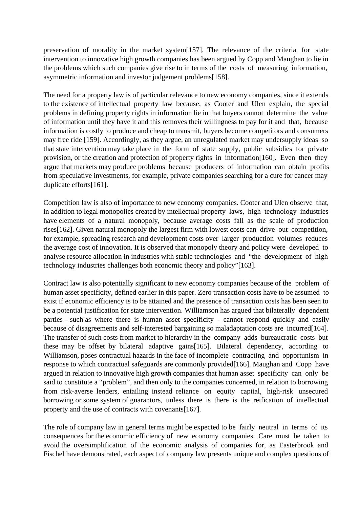preservation of morality in the market system[157]. The relevance of the criteria for state intervention to innovative high growth companies has been argued by Copp and Maughan to lie in the problems which such companies give rise to in terms of the costs of measuring information, asymmetric information and investor judgement problems[158].

The need for a property law is of particular relevance to new economy companies, since it extends to the existence of intellectual property law because, as Cooter and Ulen explain, the special problems in defining property rights in information lie in that buyers cannot determine the value of information until they have it and this removes their willingness to pay for it and that, because information is costly to produce and cheap to transmit, buyers become competitors and consumers may free ride [159]. Accordingly, as they argue, an unregulated market may undersupply ideas so that state intervention may take place in the form of state supply, public subsidies for private provision, or the creation and protection of property rights in information[160]. Even then they argue that markets may produce problems because producers of information can obtain profits from speculative investments, for example, private companies searching for a cure for cancer may duplicate efforts[161].

Competition law is also of importance to new economy companies. Cooter and Ulen observe that, in addition to legal monopolies created by intellectual property laws, high technology industries have elements of a natural monopoly, because average costs fall as the scale of production rises[162]. Given natural monopoly the largest firm with lowest costs can drive out competition, for example, spreading research and development costs over larger production volumes reduces the average cost of innovation. It is observed that monopoly theory and policy were developed to analyse resource allocation in industries with stable technologies and "the development of high technology industries challenges both economic theory and policy"[163].

Contract law is also potentially significant to new economy companies because of the problem of human asset specificity, defined earlier in this paper. Zero transaction costs have to be assumed to exist if economic efficiency is to be attained and the presence of transaction costs has been seen to be a potential justification for state intervention. Williamson has argued that bilaterally dependent parties – such as where there is human asset specificity - cannot respond quickly and easily because of disagreements and self-interested bargaining so maladaptation costs are incurred[164]. The transfer of such costs from market to hierarchy in the company adds bureaucratic costs but these may be offset by bilateral adaptive gains[165]. Bilateral dependency, according to Williamson, poses contractual hazards in the face of incomplete contracting and opportunism in response to which contractual safeguards are commonly provided[166]. Maughan and Copp have argued in relation to innovative high growth companies that human asset specificity can only be said to constitute a "problem", and then only to the companies concerned, in relation to borrowing from risk-averse lenders, entailing instead reliance on equity capital, high-risk unsecured borrowing or some system of guarantors, unless there is there is the reification of intellectual property and the use of contracts with covenants[167].

The role of company law in general terms might be expected to be fairly neutral in terms of its consequences for the economic efficiency of new economy companies. Care must be taken to avoid the oversimplification of the economic analysis of companies for, as Easterbrook and Fischel have demonstrated, each aspect of company law presents unique and complex questions of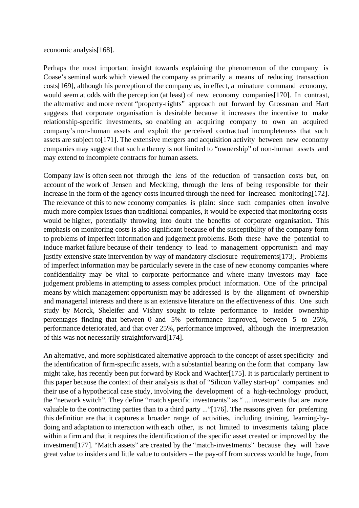#### economic analysis[168].

Perhaps the most important insight towards explaining the phenomenon of the company is Coase's seminal work which viewed the company as primarily a means of reducing transaction costs[169], although his perception of the company as, in effect, a minature command economy, would seem at odds with the perception (at least) of new economy companies[170]. In contrast, the alternative and more recent "property-rights" approach out forward by Grossman and Hart suggests that corporate organisation is desirable because it increases the incentive to make relationship-specific investments, so enabling an acquiring company to own an acquired company's non-human assets and exploit the perceived contractual incompleteness that such assets are subject to[171]. The extensive mergers and acquisition activity between new economy companies may suggest that such a theory is not limited to "ownership" of non-human assets and may extend to incomplete contracts for human assets.

Company law is often seen not through the lens of the reduction of transaction costs but, on account of the work of Jensen and Meckling, through the lens of being responsible for their increase in the form of the agency costs incurred through the need for increased monitoring[172]. The relevance of this to new economy companies is plain: since such companies often involve much more complex issues than traditional companies, it would be expected that monitoring costs would be higher, potentially throwing into doubt the benefits of corporate organisation. This emphasis on monitoring costs is also significant because of the susceptibility of the company form to problems of imperfect information and judgement problems. Both these have the potential to induce market failure because of their tendency to lead to management opportunism and may justify extensive state intervention by way of mandatory disclosure requirements[173]. Problems of imperfect information may be particularly severe in the case of new economy companies where confidentiality may be vital to corporate performance and where many investors may face judgement problems in attempting to assess complex product information. One of the principal means by which management opportunism may be addressed is by the alignment of ownership and managerial interests and there is an extensive literature on the effectiveness of this. One such study by Morck, Sheleifer and Vishny sought to relate performance to insider ownership percentages finding that between 0 and 5% performance improved, between 5 to 25%, performance deteriorated, and that over 25%, performance improved, although the interpretation of this was not necessarily straightforward[174].

An alternative, and more sophisticated alternative approach to the concept of asset specificity and the identification of firm-specific assets, with a substantial bearing on the form that company law might take, has recently been put forward by Rock and Wachter[175]. It is particularly pertinent to this paper because the context of their analysis is that of "Silicon Valley start-up" companies and their use of a hypothetical case study, involving the development of a high-technology product, the "network switch". They define "match specific investments" as " ... investments that are more valuable to the contracting parties than to a third party ..."[176]. The reasons given for preferring this definition are that it captures a broader range of activities, including training, learning-bydoing and adaptation to interaction with each other, is not limited to investments taking place within a firm and that it requires the identification of the specific asset created or improved by the investment[177]. "Match assets" are created by the "match-investments" because they will have great value to insiders and little value to outsiders – the pay-off from success would be huge, from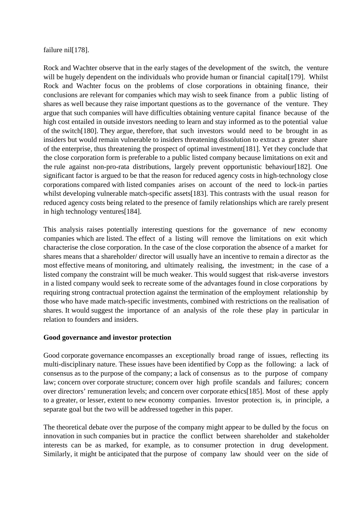failure nil<sup>[178]</sup>.

Rock and Wachter observe that in the early stages of the development of the switch, the venture will be hugely dependent on the individuals who provide human or financial capital [179]. Whilst Rock and Wachter focus on the problems of close corporations in obtaining finance, their conclusions are relevant for companies which may wish to seek finance from a public listing of shares as well because they raise important questions as to the governance of the venture. They argue that such companies will have difficulties obtaining venture capital finance because of the high cost entailed in outside investors needing to learn and stay informed as to the potential value of the switch[180]. They argue, therefore, that such investors would need to be brought in as insiders but would remain vulnerable to insiders threatening dissolution to extract a greater share of the enterprise, thus threatening the prospect of optimal investment[181]. Yet they conclude that the close corporation form is preferable to a public listed company because limitations on exit and the rule against non-pro-rata distributions, largely prevent opportunistic behaviour[182]. One significant factor is argued to be that the reason for reduced agency costs in high-technology close corporations compared with listed companies arises on account of the need to lock-in parties whilst developing vulnerable match-specific assets[183]. This contrasts with the usual reason for reduced agency costs being related to the presence of family relationships which are rarely present in high technology ventures[184].

This analysis raises potentially interesting questions for the governance of new economy companies which are listed. The effect of a listing will remove the limitations on exit which characterise the close corporation. In the case of the close corporation the absence of a market for shares means that a shareholder/ director will usually have an incentive to remain a director as the most effective means of monitoring, and ultimately realising, the investment; in the case of a listed company the constraint will be much weaker. This would suggest that risk-averse investors in a listed company would seek to recreate some of the advantages found in close corporations by requiring strong contractual protection against the termination of the employment relationship by those who have made match-specific investments, combined with restrictions on the realisation of shares. It would suggest the importance of an analysis of the role these play in particular in relation to founders and insiders.

## **Good governance and investor protection**

Good corporate governance encompasses an exceptionally broad range of issues, reflecting its multi-disciplinary nature. These issues have been identified by Copp as the following: a lack of consensus as to the purpose of the company; a lack of consensus as to the purpose of company law; concern over corporate structure; concern over high profile scandals and failures; concern over directors' remuneration levels; and concern over corporate ethics[185]. Most of these apply to a greater, or lesser, extent to new economy companies. Investor protection is, in principle, a separate goal but the two will be addressed together in this paper.

The theoretical debate over the purpose of the company might appear to be dulled by the focus on innovation in such companies but in practice the conflict between shareholder and stakeholder interests can be as marked, for example, as to consumer protection in drug development. Similarly, it might be anticipated that the purpose of company law should veer on the side of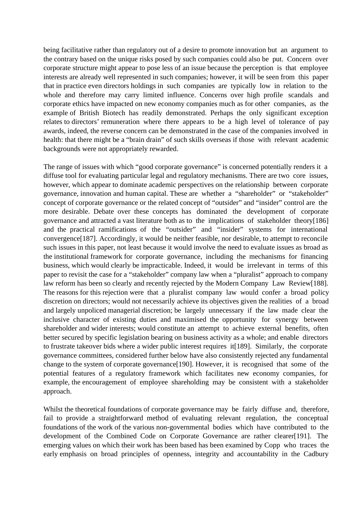being facilitative rather than regulatory out of a desire to promote innovation but an argument to the contrary based on the unique risks posed by such companies could also be put. Concern over corporate structure might appear to pose less of an issue because the perception is that employee interests are already well represented in such companies; however, it will be seen from this paper that in practice even directors holdings in such companies are typically low in relation to the whole and therefore may carry limited influence. Concerns over high profile scandals and corporate ethics have impacted on new economy companies much as for other companies, as the example of British Biotech has readily demonstrated. Perhaps the only significant exception relates to directors' remuneration where there appears to be a high level of tolerance of pay awards, indeed, the reverse concern can be demonstrated in the case of the companies involved in health: that there might be a "brain drain" of such skills overseas if those with relevant academic backgrounds were not appropriately rewarded.

The range of issues with which "good corporate governance" is concerned potentially renders it a diffuse tool for evaluating particular legal and regulatory mechanisms. There are two core issues, however, which appear to dominate academic perspectives on the relationship between corporate governance, innovation and human capital. These are whether a "shareholder" or "stakeholder" concept of corporate governance or the related concept of "outsider" and "insider" control are the more desirable. Debate over these concepts has dominated the development of corporate governance and attracted a vast literature both as to the implications of stakeholder theory[186] and the practical ramifications of the "outsider" and "insider" systems for international convergence[187]. Accordingly, it would be neither feasible, nor desirable, to attempt to reconcile such issues in this paper, not least because it would involve the need to evaluate issues as broad as the institutional framework for corporate governance, including the mechanisms for financing business, which would clearly be impracticable. Indeed, it would be irrelevant in terms of this paper to revisit the case for a "stakeholder" company law when a "pluralist" approach to company law reform has been so clearly and recently rejected by the Modern Company Law Review[188]. The reasons for this rejection were that a pluralist company law would confer a broad policy discretion on directors; would not necessarily achieve its objectives given the realities of a broad and largely unpoliced managerial discretion; be largely unnecessary if the law made clear the inclusive character of existing duties and maximised the opportunity for synergy between shareholder and wider interests; would constitute an attempt to achieve external benefits, often better secured by specific legislation bearing on business activity as a whole; and enable directors to frustrate takeover bids where a wider public interest requires it[189]. Similarly, the corporate governance committees, considered further below have also consistently rejected any fundamental change to the system of corporate governance[190]. However, it is recognised that some of the potential features of a regulatory framework which facilitates new economy companies, for example, the encouragement of employee shareholding may be consistent with a stakeholder approach.

Whilst the theoretical foundations of corporate governance may be fairly diffuse and, therefore, fail to provide a straightforward method of evaluating relevant regulation, the conceptual foundations of the work of the various non-governmental bodies which have contributed to the development of the Combined Code on Corporate Governance are rather clearer[191]. The emerging values on which their work has been based has been examined by Copp who traces the early emphasis on broad principles of openness, integrity and accountability in the Cadbury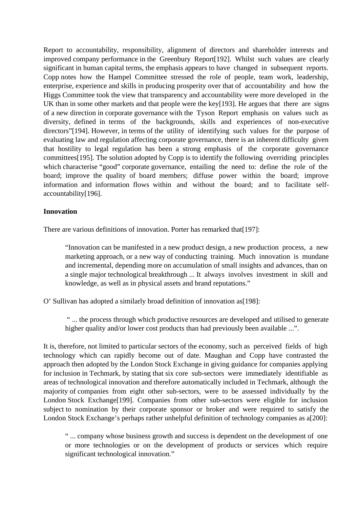Report to accountability, responsibility, alignment of directors and shareholder interests and improved company performance in the Greenbury Report[192]. Whilst such values are clearly significant in human capital terms, the emphasis appears to have changed in subsequent reports. Copp notes how the Hampel Committee stressed the role of people, team work, leadership, enterprise, experience and skills in producing prosperity over that of accountability and how the Higgs Committee took the view that transparency and accountability were more developed in the UK than in some other markets and that people were the key[193]. He argues that there are signs of a new direction in corporate governance with the Tyson Report emphasis on values such as diversity, defined in terms of the backgrounds, skills and experiences of non-executive directors"[194]. However, in terms of the utility of identifying such values for the purpose of evaluating law and regulation affecting corporate governance, there is an inherent difficulty given that hostility to legal regulation has been a strong emphasis of the corporate governance committees[195]. The solution adopted by Copp is to identify the following overriding principles which characterise "good" corporate governance, entailing the need to: define the role of the board; improve the quality of board members; diffuse power within the board; improve information and information flows within and without the board; and to facilitate selfaccountability[196].

### **Innovation**

There are various definitions of innovation. Porter has remarked that [197]:

"Innovation can be manifested in a new product design, a new production process, a new marketing approach, or a new way of conducting training. Much innovation is mundane and incremental, depending more on accumulation of small insights and advances, than on a single major technological breakthrough ... It always involves investment in skill and knowledge, as well as in physical assets and brand reputations."

O' Sullivan has adopted a similarly broad definition of innovation as[198]:

" ... the process through which productive resources are developed and utilised to generate higher quality and/or lower cost products than had previously been available ...".

It is, therefore, not limited to particular sectors of the economy, such as perceived fields of high technology which can rapidly become out of date. Maughan and Copp have contrasted the approach then adopted by the London Stock Exchange in giving guidance for companies applying for inclusion in Techmark, by stating that six core sub-sectors were immediately identifiable as areas of technological innovation and therefore automatically included in Techmark, although the majority of companies from eight other sub-sectors, were to be assessed individually by the London Stock Exchange[199]. Companies from other sub-sectors were eligible for inclusion subject to nomination by their corporate sponsor or broker and were required to satisfy the London Stock Exchange's perhaps rather unhelpful definition of technology companies as a[200]:

" ... company whose business growth and success is dependent on the development of one or more technologies or on the development of products or services which require significant technological innovation."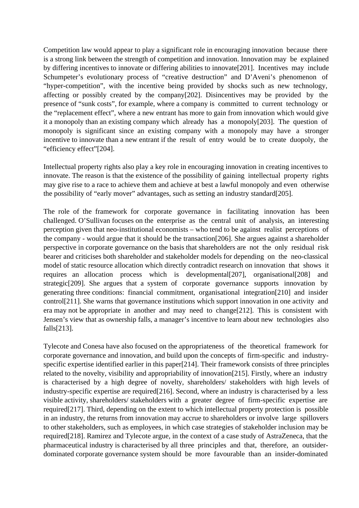Competition law would appear to play a significant role in encouraging innovation because there is a strong link between the strength of competition and innovation. Innovation may be explained by differing incentives to innovate or differing abilities to innovate[201]. Incentives may include Schumpeter's evolutionary process of "creative destruction" and D'Aveni's phenomenon of "hyper-competition", with the incentive being provided by shocks such as new technology, affecting or possibly created by the company[202]. Disincentives may be provided by the presence of "sunk costs", for example, where a company is committed to current technology or the "replacement effect", where a new entrant has more to gain from innovation which would give it a monopoly than an existing company which already has a monopoly[203]. The question of monopoly is significant since an existing company with a monopoly may have a stronger incentive to innovate than a new entrant if the result of entry would be to create duopoly, the "efficiency effect"[204].

Intellectual property rights also play a key role in encouraging innovation in creating incentives to innovate. The reason is that the existence of the possibility of gaining intellectual property rights may give rise to a race to achieve them and achieve at best a lawful monopoly and even otherwise the possibility of "early mover" advantages, such as setting an industry standard[205].

The role of the framework for corporate governance in facilitating innovation has been challenged. O'Sullivan focuses on the enterprise as the central unit of analysis, an interesting perception given that neo-institutional economists – who tend to be against realist perceptions of the company - would argue that it should be the transaction[206]. She argues against a shareholder perspective in corporate governance on the basis that shareholders are not the only residual risk bearer and criticises both shareholder and stakeholder models for depending on the neo-classical model of static resource allocation which directly contradict research on innovation that shows it requires an allocation process which is developmental[207], organisational[208] and strategic[209]. She argues that a system of corporate governance supports innovation by generating three conditions: financial commitment, organisational integration[210] and insider control[211]. She warns that governance institutions which support innovation in one activity and era may not be appropriate in another and may need to change[212]. This is consistent with Jensen's view that as ownership falls, a manager's incentive to learn about new technologies also falls[213].

Tylecote and Conesa have also focused on the appropriateness of the theoretical framework for corporate governance and innovation, and build upon the concepts of firm-specific and industryspecific expertise identified earlier in this paper[214]. Their framework consists of three principles related to the novelty, visibility and appropriability of innovation[215]. Firstly, where an industry is characterised by a high degree of novelty, shareholders/ stakeholders with high levels of industry-specific expertise are required[216]. Second, where an industry is characterised by a less visible activity, shareholders/ stakeholders with a greater degree of firm-specific expertise are required[217]. Third, depending on the extent to which intellectual property protection is possible in an industry, the returns from innovation may accrue to shareholders or involve large spillovers to other stakeholders, such as employees, in which case strategies of stakeholder inclusion may be required[218]. Ramirez and Tylecote argue, in the context of a case study of AstraZeneca, that the pharmaceutical industry is characterised by all three principles and that, therefore, an outsiderdominated corporate governance system should be more favourable than an insider-dominated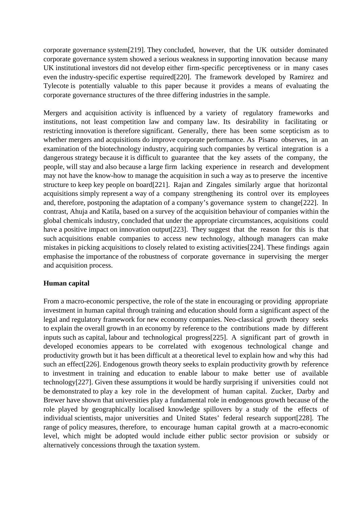corporate governance system[219]. They concluded, however, that the UK outsider dominated corporate governance system showed a serious weakness in supporting innovation because many UK institutional investors did not develop either firm-specific perceptiveness or in many cases even the industry-specific expertise required[220]. The framework developed by Ramirez and Tylecote is potentially valuable to this paper because it provides a means of evaluating the corporate governance structures of the three differing industries in the sample.

Mergers and acquisition activity is influenced by a variety of regulatory frameworks and institutions, not least competition law and company law. Its desirability in facilitating or restricting innovation is therefore significant. Generally, there has been some scepticism as to whether mergers and acquisitions do improve corporate performance. As Pisano observes, in an examination of the biotechnology industry, acquiring such companies by vertical integration is a dangerous strategy because it is difficult to guarantee that the key assets of the company, the people, will stay and also because a large firm lacking experience in research and development may not have the know-how to manage the acquisition in such a way as to preserve the incentive structure to keep key people on board[221]. Rajan and Zingales similarly argue that horizontal acquisitions simply represent a way of a company strengthening its control over its employees and, therefore, postponing the adaptation of a company's governance system to change[222]. In contrast, Ahuja and Katila, based on a survey of the acquisition behaviour of companies within the global chemicals industry, concluded that under the appropriate circumstances, acquisitions could have a positive impact on innovation output [223]. They suggest that the reason for this is that such acquisitions enable companies to access new technology, although managers can make mistakes in picking acquisitions to closely related to existing activities[224]. These findings again emphasise the importance of the robustness of corporate governance in supervising the merger and acquisition process.

## **Human capital**

From a macro-economic perspective, the role of the state in encouraging or providing appropriate investment in human capital through training and education should form a significant aspect of the legal and regulatory framework for new economy companies. Neo-classical growth theory seeks to explain the overall growth in an economy by reference to the contributions made by different inputs such as capital, labour and technological progress[225]. A significant part of growth in developed economies appears to be correlated with exogenous technological change and productivity growth but it has been difficult at a theoretical level to explain how and why this had such an effect[226]. Endogenous growth theory seeks to explain productivity growth by reference to investment in training and education to enable labour to make better use of available technology[227]. Given these assumptions it would be hardly surprising if universities could not be demonstrated to play a key role in the development of human capital. Zucker, Darby and Brewer have shown that universities play a fundamental role in endogenous growth because of the role played by geographically localised knowledge spillovers by a study of the effects of individual scientists, major universities and United States' federal research support[228]. The range of policy measures, therefore, to encourage human capital growth at a macro-economic level, which might be adopted would include either public sector provision or subsidy or alternatively concessions through the taxation system.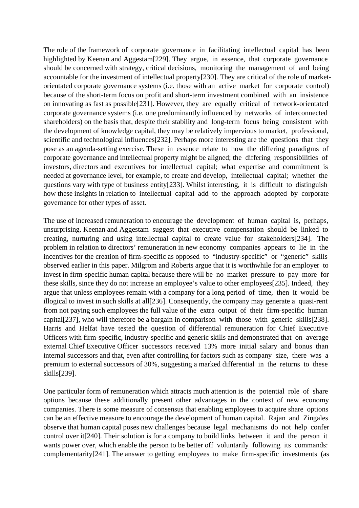The role of the framework of corporate governance in facilitating intellectual capital has been highlighted by Keenan and Aggestam[229]. They argue, in essence, that corporate governance should be concerned with strategy, critical decisions, monitoring the management of and being accountable for the investment of intellectual property[230]. They are critical of the role of marketorientated corporate governance systems (i.e. those with an active market for corporate control) because of the short-term focus on profit and short-term investment combined with an insistence on innovating as fast as possible[231]. However, they are equally critical of network-orientated corporate governance systems (i.e. one predominantly influenced by networks of interconnected shareholders) on the basis that, despite their stability and long-term focus being consistent with the development of knowledge capital, they may be relatively impervious to market, professional, scientific and technological influences[232]. Perhaps more interesting are the questions that they pose as an agenda-setting exercise. These in essence relate to how the differing paradigms of corporate governance and intellectual property might be aligned; the differing responsibilities of investors, directors and executives for intellectual capital; what expertise and commitment is needed at governance level, for example, to create and develop, intellectual capital; whether the questions vary with type of business entity[233]. Whilst interesting, it is difficult to distinguish how these insights in relation to intellectual capital add to the approach adopted by corporate governance for other types of asset.

The use of increased remuneration to encourage the development of human capital is, perhaps, unsurprising. Keenan and Aggestam suggest that executive compensation should be linked to creating, nurturing and using intellectual capital to create value for stakeholders[234]. The problem in relation to directors' remuneration in new economy companies appears to lie in the incentives for the creation of firm-specific as opposed to "industry-specific" or "generic" skills observed earlier in this paper. Milgrom and Roberts argue that it is worthwhile for an employer to invest in firm-specific human capital because there will be no market pressure to pay more for these skills, since they do not increase an employee's value to other employees[235]. Indeed, they argue that unless employees remain with a company for a long period of time, then it would be illogical to invest in such skills at all[236]. Consequently, the company may generate a quasi-rent from not paying such employees the full value of the extra output of their firm-specific human capital[237], who will therefore be a bargain in comparison with those with generic skills[238]. Harris and Helfat have tested the question of differential remuneration for Chief Executive Officers with firm-specific, industry-specific and generic skills and demonstrated that on average external Chief Executive Officer successors received 13% more initial salary and bonus than internal successors and that, even after controlling for factors such as company size, there was a premium to external successors of 30%, suggesting a marked differential in the returns to these skills[239].

One particular form of remuneration which attracts much attention is the potential role of share options because these additionally present other advantages in the context of new economy companies. There is some measure of consensus that enabling employees to acquire share options can be an effective measure to encourage the development of human capital. Rajan and Zingales observe that human capital poses new challenges because legal mechanisms do not help confer control over it[240]. Their solution is for a company to build links between it and the person it wants power over, which enable the person to be better off voluntarily following its commands: complementarity[241]. The answer to getting employees to make firm-specific investments (as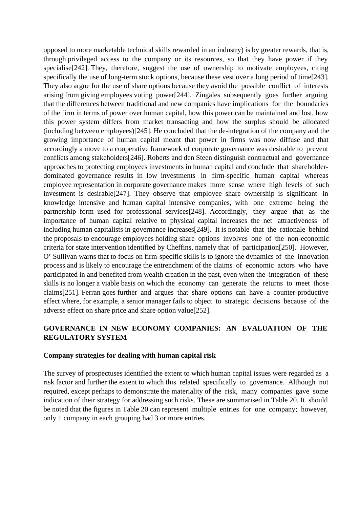opposed to more marketable technical skills rewarded in an industry) is by greater rewards, that is, through privileged access to the company or its resources, so that they have power if they specialise[242]. They, therefore, suggest the use of ownership to motivate employees, citing specifically the use of long-term stock options, because these vest over a long period of time[243]. They also argue for the use of share options because they avoid the possible conflict of interests arising from giving employees voting power[244]. Zingales subsequently goes further arguing that the differences between traditional and new companies have implications for the boundaries of the firm in terms of power over human capital, how this power can be maintained and lost, how this power system differs from market transacting and how the surplus should be allocated (including between employees)[245]. He concluded that the de-integration of the company and the growing importance of human capital meant that power in firms was now diffuse and that accordingly a move to a cooperative framework of corporate governance was desirable to prevent conflicts among stakeholders[246]. Roberts and den Steen distinguish contractual and governance approaches to protecting employees investments in human capital and conclude that shareholderdominated governance results in low investments in firm-specific human capital whereas employee representation in corporate governance makes more sense where high levels of such investment is desirable[247]. They observe that employee share ownership is significant in knowledge intensive and human capital intensive companies, with one extreme being the partnership form used for professional services[248]. Accordingly, they argue that as the importance of human capital relative to physical capital increases the net attractiveness of including human capitalists in governance increases[249]. It is notable that the rationale behind the proposals to encourage employees holding share options involves one of the non-economic criteria for state intervention identified by Cheffins, namely that of participation[250]. However, O' Sullivan warns that to focus on firm-specific skills is to ignore the dynamics of the innovation process and is likely to encourage the entrenchment of the claims of economic actors who have participated in and benefited from wealth creation in the past, even when the integration of these skills is no longer a viable basis on which the economy can generate the returns to meet those claims[251]. Ferran goes further and argues that share options can have a counter-productive effect where, for example, a senior manager fails to object to strategic decisions because of the adverse effect on share price and share option value[252].

# **GOVERNANCE IN NEW ECONOMY COMPANIES: AN EVALUATION OF THE REGULATORY SYSTEM**

#### **Company strategies for dealing with human capital risk**

The survey of prospectuses identified the extent to which human capital issues were regarded as a risk factor and further the extent to which this related specifically to governance. Although not required, except perhaps to demonstrate the materiality of the risk, many companies gave some indication of their strategy for addressing such risks. These are summarised in Table 20. It should be noted that the figures in Table 20 can represent multiple entries for one company; however, only 1 company in each grouping had 3 or more entries.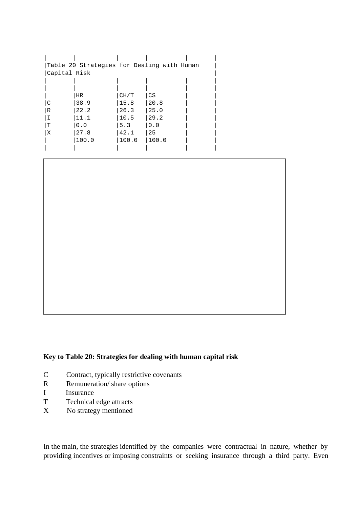|              | Table 20 Strategies for Dealing with Human |                |       |  |
|--------------|--------------------------------------------|----------------|-------|--|
| Capital Risk |                                            |                |       |  |
|              |                                            |                |       |  |
|              |                                            |                |       |  |
|              | HR.                                        | CH/T           | CS    |  |
| l C          | 38.9                                       | 15.8           | 20.8  |  |
| R            | 22.2                                       | 26.3           | 25.0  |  |
| ΙI           | 11.1                                       | $ 10.5\rangle$ | 29.2  |  |
| lΤ           | 0.0                                        | 5.3            | 0.0   |  |
| l x          | 27.8                                       | 42.1           | 25    |  |
|              | 100.0                                      | 100.0          | 100.0 |  |
|              |                                            |                |       |  |

# **Key to Table 20: Strategies for dealing with human capital risk**

- C Contract, typically restrictive covenants
- R Remuneration/ share options
- I Insurance
- T Technical edge attracts
- X No strategy mentioned

In the main, the strategies identified by the companies were contractual in nature, whether by providing incentives or imposing constraints or seeking insurance through a third party. Even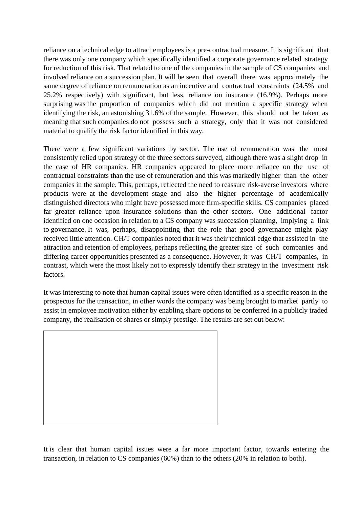reliance on a technical edge to attract employees is a pre-contractual measure. It is significant that there was only one company which specifically identified a corporate governance related strategy for reduction of this risk. That related to one of the companies in the sample of CS companies and involved reliance on a succession plan. It will be seen that overall there was approximately the same degree of reliance on remuneration as an incentive and contractual constraints (24.5% and 25.2% respectively) with significant, but less, reliance on insurance (16.9%). Perhaps more surprising was the proportion of companies which did not mention a specific strategy when identifying the risk, an astonishing 31.6% of the sample. However, this should not be taken as meaning that such companies do not possess such a strategy, only that it was not considered material to qualify the risk factor identified in this way.

There were a few significant variations by sector. The use of remuneration was the most consistently relied upon strategy of the three sectors surveyed, although there was a slight drop in the case of HR companies. HR companies appeared to place more reliance on the use of contractual constraints than the use of remuneration and this was markedly higher than the other companies in the sample. This, perhaps, reflected the need to reassure risk-averse investors where products were at the development stage and also the higher percentage of academically distinguished directors who might have possessed more firm-specific skills. CS companies placed far greater reliance upon insurance solutions than the other sectors. One additional factor identified on one occasion in relation to a CS company was succession planning, implying a link to governance. It was, perhaps, disappointing that the role that good governance might play received little attention. CH/T companies noted that it was their technical edge that assisted in the attraction and retention of employees, perhaps reflecting the greater size of such companies and differing career opportunities presented as a consequence. However, it was CH/T companies, in contrast, which were the most likely not to expressly identify their strategy in the investment risk factors.

It was interesting to note that human capital issues were often identified as a specific reason in the prospectus for the transaction, in other words the company was being brought to market partly to assist in employee motivation either by enabling share options to be conferred in a publicly traded company, the realisation of shares or simply prestige. The results are set out below:



It is clear that human capital issues were a far more important factor, towards entering the transaction, in relation to CS companies (60%) than to the others (20% in relation to both).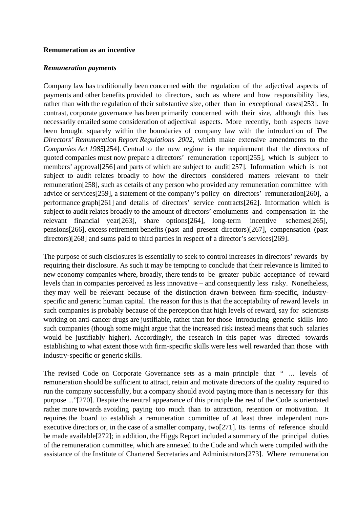#### **Remuneration as an incentive**

#### *Remuneration payments*

Company law has traditionally been concerned with the regulation of the adjectival aspects of payments and other benefits provided to directors, such as where and how responsibility lies, rather than with the regulation of their substantive size, other than in exceptional cases[253]. In contrast, corporate governance has been primarily concerned with their size, although this has necessarily entailed some consideration of adjectival aspects. More recently, both aspects have been brought squarely within the boundaries of company law with the introduction of *The Directors' Remuneration Report Regulations 2002,* which make extensive amendments to the *Companies Act 1985*[254]. Central to the new regime is the requirement that the directors of quoted companies must now prepare a directors' remuneration report[255], which is subject to members' approval[256] and parts of which are subject to audit[257]. Information which is not subject to audit relates broadly to how the directors considered matters relevant to their remuneration[258], such as details of any person who provided any remuneration committee with advice or services[259], a statement of the company's policy on directors' remuneration[260], a performance graph[261] and details of directors' service contracts[262]. Information which is subject to audit relates broadly to the amount of directors' emoluments and compensation in the relevant financial year[263], share options[264], long-term incentive schemes[265], pensions[266], excess retirement benefits (past and present directors)[267], compensation (past directors)[268] and sums paid to third parties in respect of a director's services[269].

The purpose of such disclosures is essentially to seek to control increases in directors' rewards by requiring their disclosure. As such it may be tempting to conclude that their relevance is limited to new economy companies where, broadly, there tends to be greater public acceptance of reward levels than in companies perceived as less innovative – and consequently less risky. Nonetheless, they may well be relevant because of the distinction drawn between firm-specific, industryspecific and generic human capital. The reason for this is that the acceptability of reward levels in such companies is probably because of the perception that high levels of reward, say for scientists working on anti-cancer drugs are justifiable, rather than for those introducing generic skills into such companies (though some might argue that the increased risk instead means that such salaries would be justifiably higher). Accordingly, the research in this paper was directed towards establishing to what extent those with firm-specific skills were less well rewarded than those with industry-specific or generic skills.

The revised Code on Corporate Governance sets as a main principle that " ... levels of remuneration should be sufficient to attract, retain and motivate directors of the quality required to run the company successfully, but a company should avoid paying more than is necessary for this purpose ..."[270]. Despite the neutral appearance of this principle the rest of the Code is orientated rather more towards avoiding paying too much than to attraction, retention or motivation. It requires the board to establish a remuneration committee of at least three independent nonexecutive directors or, in the case of a smaller company, two[271]. Its terms of reference should be made available[272]; in addition, the Higgs Report included a summary of the principal duties of the remuneration committee, which are annexed to the Code and which were compiled with the assistance of the Institute of Chartered Secretaries and Administrators[273]. Where remuneration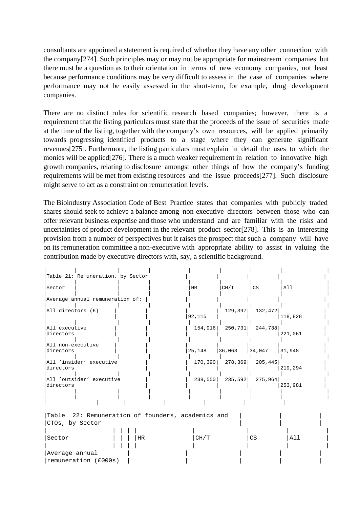consultants are appointed a statement is required of whether they have any other connection with the company[274]. Such principles may or may not be appropriate for mainstream companies but there must be a question as to their orientation in terms of new economy companies, not least because performance conditions may be very difficult to assess in the case of companies where performance may not be easily assessed in the short-term, for example, drug development companies.

There are no distinct rules for scientific research based companies; however, there is a requirement that the listing particulars must state that the proceeds of the issue of securities made at the time of the listing, together with the company's own resources, will be applied primarily towards progressing identified products to a stage where they can generate significant revenues[275]. Furthermore, the listing particulars must explain in detail the uses to which the monies will be applied[276]. There is a much weaker requirement in relation to innovative high growth companies, relating to disclosure amongst other things of how the company's funding requirements will be met from existing resources and the issue proceeds[277]. Such disclosure might serve to act as a constraint on remuneration levels.

The Bioindustry Association Code of Best Practice states that companies with publicly traded shares should seek to achieve a balance among non-executive directors between those who can offer relevant business expertise and those who understand and are familiar with the risks and uncertainties of product development in the relevant product sector[278]. This is an interesting provision from a number of perspectives but it raises the prospect that such a company will have on its remuneration committee a non-executive with appropriate ability to assist in valuing the contribution made by executive directors with, say, a scientific background.

| Table 21: Remuneration, by Sector                 |                                          |
|---------------------------------------------------|------------------------------------------|
|                                                   |                                          |
| Sector                                            | All<br>HR<br>CH/T<br>CS                  |
| Average annual remuneration of:                   |                                          |
| All directors (£)                                 | 129,397<br>132,472                       |
|                                                   | 92,115<br>118,828                        |
| All executive<br>directors                        | 154,916<br>250,731<br>244,738<br>221,061 |
|                                                   |                                          |
| All non-executive                                 |                                          |
| directors                                         | 25,148<br>36,063<br>34,047<br>31,948     |
| All 'insider' executive                           | 170, 390<br>278, 369<br>205,445          |
| directors                                         | 219,294                                  |
| All 'outsider' executive                          |                                          |
| directors                                         | 275,964<br>238,550<br>235,592<br>253,981 |
|                                                   |                                          |
|                                                   |                                          |
|                                                   |                                          |
| Table 22: Remuneration of founders, academics and |                                          |
| CTOs, by Sector                                   |                                          |
|                                                   |                                          |
| Sector<br>ΗR                                      | CS<br>All<br>CH/T                        |
|                                                   |                                          |
| Average annual                                    |                                          |
| remuneration (£000s)                              |                                          |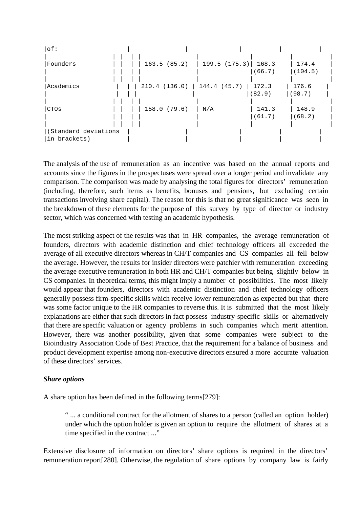| of:                  |                                |              |        |         |
|----------------------|--------------------------------|--------------|--------|---------|
|                      |                                |              |        |         |
| Founders             | 163.5(85.2)                    | 199.5(175.3) | 168.3  | 174.4   |
|                      |                                |              | (66.7) | (104.5) |
|                      |                                |              |        |         |
| Academics            | $210.4$ (136.0)   144.4 (45.7) |              | 172.3  | 176.6   |
|                      |                                |              | (82.9) | (98.7)  |
|                      |                                |              |        |         |
| <b>CTOs</b>          | 158.0(79.6)                    | N/A          | 141.3  | 148.9   |
|                      |                                |              | (61.7) | (68.2)  |
|                      |                                |              |        |         |
| (Standard deviations |                                |              |        |         |
| in brackets)         |                                |              |        |         |

The analysis of the use of remuneration as an incentive was based on the annual reports and accounts since the figures in the prospectuses were spread over a longer period and invalidate any comparison. The comparison was made by analysing the total figures for directors' remuneration (including, therefore, such items as benefits, bonuses and pensions, but excluding certain transactions involving share capital). The reason for this is that no great significance was seen in the breakdown of these elements for the purpose of this survey by type of director or industry sector, which was concerned with testing an academic hypothesis.

The most striking aspect of the results was that in HR companies, the average remuneration of founders, directors with academic distinction and chief technology officers all exceeded the average of all executive directors whereas in CH/T companies and CS companies all fell below the average. However, the results for insider directors were patchier with remuneration exceeding the average executive remuneration in both HR and CH/T companies but being slightly below in CS companies. In theoretical terms, this might imply a number of possibilities. The most likely would appear that founders, directors with academic distinction and chief technology officers generally possess firm-specific skills which receive lower remuneration as expected but that there was some factor unique to the HR companies to reverse this. It is submitted that the most likely explanations are either that such directors in fact possess industry-specific skills or alternatively that there are specific valuation or agency problems in such companies which merit attention. However, there was another possibility, given that some companies were subject to the Bioindustry Association Code of Best Practice, that the requirement for a balance of business and product development expertise among non-executive directors ensured a more accurate valuation of these directors' services.

#### *Share options*

A share option has been defined in the following terms[279]:

" ... a conditional contract for the allotment of shares to a person (called an option holder) under which the option holder is given an option to require the allotment of shares at a time specified in the contract ..."

Extensive disclosure of information on directors' share options is required in the directors' remuneration report[280]. Otherwise, the regulation of share options by company law is fairly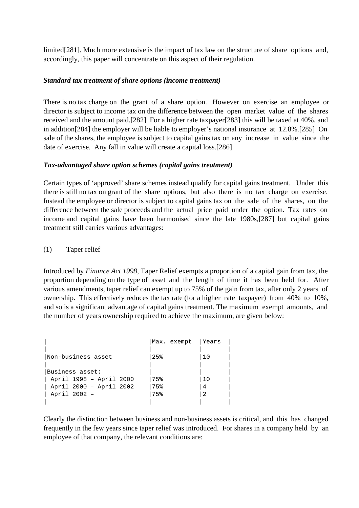limited[281]. Much more extensive is the impact of tax law on the structure of share options and, accordingly, this paper will concentrate on this aspect of their regulation.

### *Standard tax treatment of share options (income treatment)*

There is no tax charge on the grant of a share option. However on exercise an employee or director is subject to income tax on the difference between the open market value of the shares received and the amount paid.[282] For a higher rate taxpayer[283] this will be taxed at 40%, and in addition[284] the employer will be liable to employer's national insurance at 12.8%.[285] On sale of the shares, the employee is subject to capital gains tax on any increase in value since the date of exercise. Any fall in value will create a capital loss.[286]

## *Tax-advantaged share option schemes (capital gains treatment)*

Certain types of 'approved' share schemes instead qualify for capital gains treatment. Under this there is still no tax on grant of the share options, but also there is no tax charge on exercise. Instead the employee or director is subject to capital gains tax on the sale of the shares, on the difference between the sale proceeds and the actual price paid under the option. Tax rates on income and capital gains have been harmonised since the late 1980s,[287] but capital gains treatment still carries various advantages:

### (1) Taper relief

Introduced by *Finance Act 1998*, Taper Relief exempts a proportion of a capital gain from tax, the proportion depending on the type of asset and the length of time it has been held for. After various amendments, taper relief can exempt up to 75% of the gain from tax, after only 2 years of ownership. This effectively reduces the tax rate (for a higher rate taxpayer) from 40% to 10%, and so is a significant advantage of capital gains treatment. The maximum exempt amounts, and the number of years ownership required to achieve the maximum, are given below:

|                         | Max. exempt | Years |  |
|-------------------------|-------------|-------|--|
| Non-business asset      | 25%         | 10    |  |
|                         |             |       |  |
| Business asset:         |             |       |  |
| April 1998 - April 2000 | ା 75%       | 10    |  |
| April 2000 - April 2002 | 75%         | 4     |  |
| April 2002 -            | 75%         | 2     |  |
|                         |             |       |  |

Clearly the distinction between business and non-business assets is critical, and this has changed frequently in the few years since taper relief was introduced. For shares in a company held by an employee of that company, the relevant conditions are: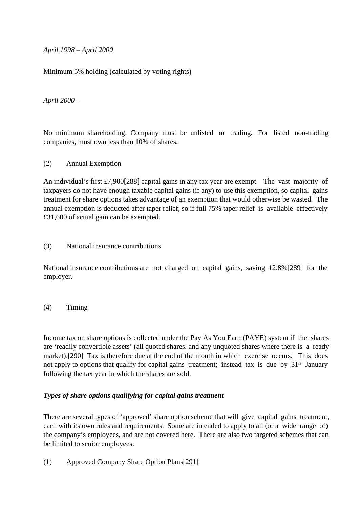*April 1998 – April 2000*

Minimum 5% holding (calculated by voting rights)

*April 2000 –*

No minimum shareholding. Company must be unlisted or trading. For listed non-trading companies, must own less than 10% of shares.

## (2) Annual Exemption

An individual's first £7,900[288] capital gains in any tax year are exempt. The vast majority of taxpayers do not have enough taxable capital gains (if any) to use this exemption, so capital gains treatment for share options takes advantage of an exemption that would otherwise be wasted. The annual exemption is deducted after taper relief, so if full 75% taper relief is available effectively £31,600 of actual gain can be exempted.

### (3) National insurance contributions

National insurance contributions are not charged on capital gains, saving 12.8%[289] for the employer.

(4) Timing

Income tax on share options is collected under the Pay As You Earn (PAYE) system if the shares are 'readily convertible assets' (all quoted shares, and any unquoted shares where there is a ready market).[290] Tax is therefore due at the end of the month in which exercise occurs. This does not apply to options that qualify for capital gains treatment; instead tax is due by 31<sup>st</sup> January following the tax year in which the shares are sold.

## *Types of share options qualifying for capital gains treatment*

There are several types of 'approved' share option scheme that will give capital gains treatment, each with its own rules and requirements. Some are intended to apply to all (or a wide range of) the company's employees, and are not covered here. There are also two targeted schemes that can be limited to senior employees:

(1) Approved Company Share Option Plans[291]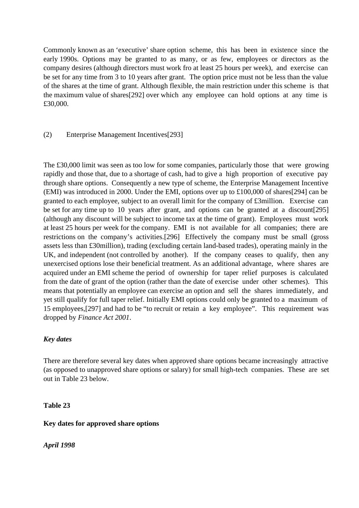Commonly known as an 'executive' share option scheme, this has been in existence since the early 1990s. Options may be granted to as many, or as few, employees or directors as the company desires (although directors must work fro at least 25 hours per week), and exercise can be set for any time from 3 to 10 years after grant. The option price must not be less than the value of the shares at the time of grant. Although flexible, the main restriction under this scheme is that the maximum value of shares[292] over which any employee can hold options at any time is £30,000.

## (2) Enterprise Management Incentives[293]

The £30,000 limit was seen as too low for some companies, particularly those that were growing rapidly and those that, due to a shortage of cash, had to give a high proportion of executive pay through share options. Consequently a new type of scheme, the Enterprise Management Incentive (EMI) was introduced in 2000. Under the EMI, options over up to £100,000 of shares[294] can be granted to each employee, subject to an overall limit for the company of £3million. Exercise can be set for any time up to 10 years after grant, and options can be granted at a discount[295] (although any discount will be subject to income tax at the time of grant). Employees must work at least 25 hours per week for the company. EMI is not available for all companies; there are restrictions on the company's activities.[296] Effectively the company must be small (gross assets less than £30million), trading (excluding certain land-based trades), operating mainly in the UK, and independent (not controlled by another). If the company ceases to qualify, then any unexercised options lose their beneficial treatment. As an additional advantage, where shares are acquired under an EMI scheme the period of ownership for taper relief purposes is calculated from the date of grant of the option (rather than the date of exercise under other schemes). This means that potentially an employee can exercise an option and sell the shares immediately, and yet still qualify for full taper relief. Initially EMI options could only be granted to a maximum of 15 employees,[297] and had to be "to recruit or retain a key employee". This requirement was dropped by *Finance Act 2001*.

## *Key dates*

There are therefore several key dates when approved share options became increasingly attractive (as opposed to unapproved share options or salary) for small high-tech companies. These are set out in Table 23 below.

# **Table 23**

## **Key dates for approved share options**

*April 1998*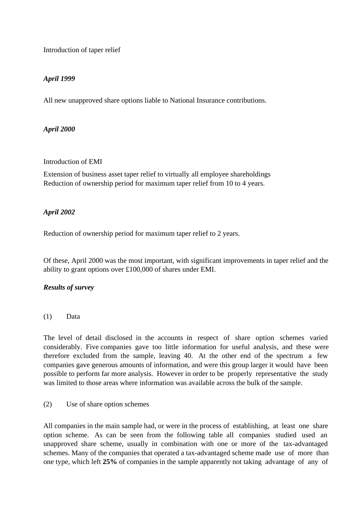Introduction of taper relief

## *April 1999*

All new unapproved share options liable to National Insurance contributions.

## *April 2000*

Introduction of EMI

Extension of business asset taper relief to virtually all employee shareholdings Reduction of ownership period for maximum taper relief from 10 to 4 years.

## *April 2002*

Reduction of ownership period for maximum taper relief to 2 years.

Of these, April 2000 was the most important, with significant improvements in taper relief and the ability to grant options over £100,000 of shares under EMI.

## *Results of survey*

#### (1) Data

The level of detail disclosed in the accounts in respect of share option schemes varied considerably. Five companies gave too little information for useful analysis, and these were therefore excluded from the sample, leaving 40. At the other end of the spectrum a few companies gave generous amounts of information, and were this group larger it would have been possible to perform far more analysis. However in order to be properly representative the study was limited to those areas where information was available across the bulk of the sample.

## (2) Use of share option schemes

All companies in the main sample had, or were in the process of establishing, at least one share option scheme. As can be seen from the following table all companies studied used an unapproved share scheme, usually in combination with one or more of the tax-advantaged schemes. Many of the companies that operated a tax-advantaged scheme made use of more than one type, which left **25%** of companies in the sample apparently not taking advantage of any of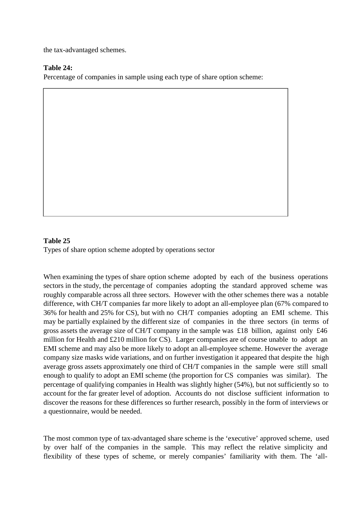the tax-advantaged schemes.

#### **Table 24:**

Percentage of companies in sample using each type of share option scheme:

#### **Table 25**

Types of share option scheme adopted by operations sector

When examining the types of share option scheme adopted by each of the business operations sectors in the study, the percentage of companies adopting the standard approved scheme was roughly comparable across all three sectors. However with the other schemes there was a notable difference, with CH/T companies far more likely to adopt an all-employee plan (67% compared to 36% for health and 25% for CS), but with no CH/T companies adopting an EMI scheme. This may be partially explained by the different size of companies in the three sectors (in terms of gross assets the average size of CH/T company in the sample was £18 billion, against only £46 million for Health and £210 million for CS). Larger companies are of course unable to adopt an EMI scheme and may also be more likely to adopt an all-employee scheme. However the average company size masks wide variations, and on further investigation it appeared that despite the high average gross assets approximately one third of CH/T companies in the sample were still small enough to qualify to adopt an EMI scheme (the proportion for CS companies was similar). The percentage of qualifying companies in Health was slightly higher (54%), but not sufficiently so to account for the far greater level of adoption. Accounts do not disclose sufficient information to discover the reasons for these differences so further research, possibly in the form of interviews or a questionnaire, would be needed.

The most common type of tax-advantaged share scheme is the 'executive' approved scheme, used by over half of the companies in the sample. This may reflect the relative simplicity and flexibility of these types of scheme, or merely companies' familiarity with them. The 'all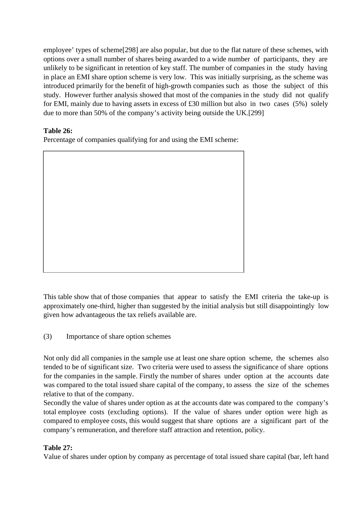employee' types of scheme[298] are also popular, but due to the flat nature of these schemes, with options over a small number of shares being awarded to a wide number of participants, they are unlikely to be significant in retention of key staff. The number of companies in the study having in place an EMI share option scheme is very low. This was initially surprising, as the scheme was introduced primarily for the benefit of high-growth companies such as those the subject of this study. However further analysis showed that most of the companies in the study did not qualify for EMI, mainly due to having assets in excess of £30 million but also in two cases (5%) solely due to more than 50% of the company's activity being outside the UK.[299]

# **Table 26:**

Percentage of companies qualifying for and using the EMI scheme:



This table show that of those companies that appear to satisfy the EMI criteria the take-up is approximately one-third, higher than suggested by the initial analysis but still disappointingly low given how advantageous the tax reliefs available are.

# (3) Importance of share option schemes

Not only did all companies in the sample use at least one share option scheme, the schemes also tended to be of significant size. Two criteria were used to assess the significance of share options for the companies in the sample. Firstly the number of shares under option at the accounts date was compared to the total issued share capital of the company, to assess the size of the schemes relative to that of the company.

Secondly the value of shares under option as at the accounts date was compared to the company's total employee costs (excluding options). If the value of shares under option were high as compared to employee costs, this would suggest that share options are a significant part of the company's remuneration, and therefore staff attraction and retention, policy.

# **Table 27:**

Value of shares under option by company as percentage of total issued share capital (bar, left hand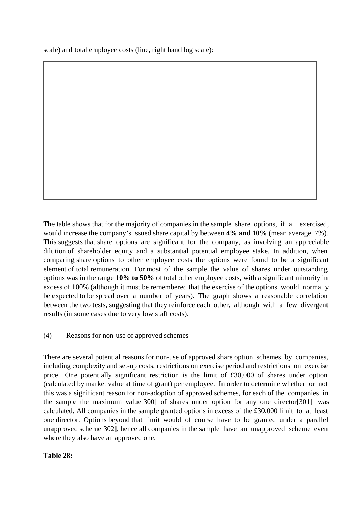scale) and total employee costs (line, right hand log scale):

The table shows that for the majority of companies in the sample share options, if all exercised, would increase the company's issued share capital by between **4% and 10%** (mean average 7%). This suggests that share options are significant for the company, as involving an appreciable dilution of shareholder equity and a substantial potential employee stake. In addition, when comparing share options to other employee costs the options were found to be a significant element of total remuneration. For most of the sample the value of shares under outstanding options was in the range **10% to 50%** of total other employee costs, with a significant minority in excess of 100% (although it must be remembered that the exercise of the options would normally be expected to be spread over a number of years). The graph shows a reasonable correlation between the two tests, suggesting that they reinforce each other, although with a few divergent results (in some cases due to very low staff costs).

(4) Reasons for non-use of approved schemes

There are several potential reasons for non-use of approved share option schemes by companies, including complexity and set-up costs, restrictions on exercise period and restrictions on exercise price. One potentially significant restriction is the limit of £30,000 of shares under option (calculated by market value at time of grant) per employee. In order to determine whether or not this was a significant reason for non-adoption of approved schemes, for each of the companies in the sample the maximum value[300] of shares under option for any one director[301] was calculated. All companies in the sample granted options in excess of the £30,000 limit to at least one director. Options beyond that limit would of course have to be granted under a parallel unapproved scheme[302], hence all companies in the sample have an unapproved scheme even where they also have an approved one.

## **Table 28:**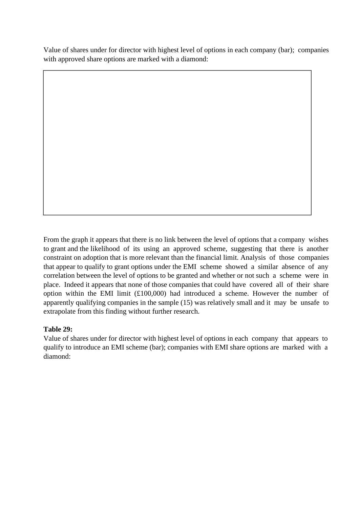Value of shares under for director with highest level of options in each company (bar); companies with approved share options are marked with a diamond:

From the graph it appears that there is no link between the level of options that a company wishes to grant and the likelihood of its using an approved scheme, suggesting that there is another constraint on adoption that is more relevant than the financial limit. Analysis of those companies that appear to qualify to grant options under the EMI scheme showed a similar absence of any correlation between the level of options to be granted and whether or not such a scheme were in place. Indeed it appears that none of those companies that could have covered all of their share option within the EMI limit (£100,000) had introduced a scheme. However the number of apparently qualifying companies in the sample (15) was relatively small and it may be unsafe to extrapolate from this finding without further research.

# **Table 29:**

Value of shares under for director with highest level of options in each company that appears to qualify to introduce an EMI scheme (bar); companies with EMI share options are marked with a diamond: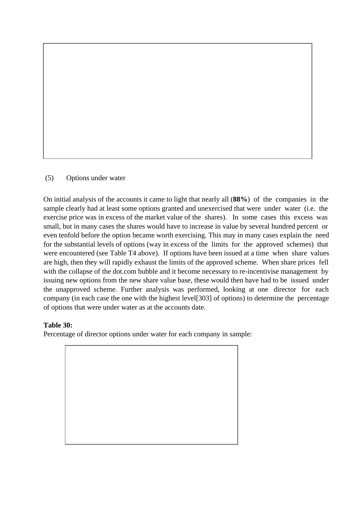## (5) Options under water

On initial analysis of the accounts it came to light that nearly all (**88%**) of the companies in the sample clearly had at least some options granted and unexercised that were under water (i.e. the exercise price was in excess of the market value of the shares). In some cases this excess was small, but in many cases the shares would have to increase in value by several hundred percent or even tenfold before the option became worth exercising. This may in many cases explain the need for the substantial levels of options (way in excess of the limits for the approved schemes) that were encountered (see Table T4 above). If options have been issued at a time when share values are high, then they will rapidly exhaust the limits of the approved scheme. When share prices fell with the collapse of the dot.com bubble and it become necessary to re-incentivise management by issuing new options from the new share value base, these would then have had to be issued under the unapproved scheme. Further analysis was performed, looking at one director for each company (in each case the one with the highest level[303] of options) to determine the percentage of options that were under water as at the accounts date.

## **Table 30:**

Percentage of director options under water for each company in sample:

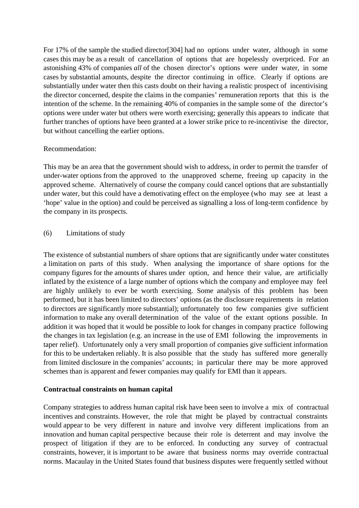For 17% of the sample the studied director[304] had no options under water, although in some cases this may be as a result of cancellation of options that are hopelessly overpriced. For an astonishing 43% of companies *all* of the chosen director's options were under water, in some cases by substantial amounts, despite the director continuing in office. Clearly if options are substantially under water then this casts doubt on their having a realistic prospect of incentivising the director concerned, despite the claims in the companies' remuneration reports that this is the intention of the scheme. In the remaining 40% of companies in the sample some of the director's options were under water but others were worth exercising; generally this appears to indicate that further tranches of options have been granted at a lower strike price to re-incentivise the director, but without cancelling the earlier options.

### Recommendation:

This may be an area that the government should wish to address, in order to permit the transfer of under-water options from the approved to the unapproved scheme, freeing up capacity in the approved scheme. Alternatively of course the company could cancel options that are substantially under water, but this could have a demotivating effect on the employee (who may see at least a 'hope' value in the option) and could be perceived as signalling a loss of long-term confidence by the company in its prospects.

### (6) Limitations of study

The existence of substantial numbers of share options that are significantly under water constitutes a limitation on parts of this study. When analysing the importance of share options for the company figures for the amounts of shares under option, and hence their value, are artificially inflated by the existence of a large number of options which the company and employee may feel are highly unlikely to ever be worth exercising. Some analysis of this problem has been performed, but it has been limited to directors' options (as the disclosure requirements in relation to directors are significantly more substantial); unfortunately too few companies give sufficient information to make any overall determination of the value of the extant options possible. In addition it was hoped that it would be possible to look for changes in company practice following the changes in tax legislation (e.g. an increase in the use of EMI following the improvements in taper relief). Unfortunately only a very small proportion of companies give sufficient information for this to be undertaken reliably. It is also possible that the study has suffered more generally from limited disclosure in the companies' accounts; in particular there may be more approved schemes than is apparent and fewer companies may qualify for EMI than it appears.

#### **Contractual constraints on human capital**

Company strategies to address human capital risk have been seen to involve a mix of contractual incentives and constraints. However, the role that might be played by contractual constraints would appear to be very different in nature and involve very different implications from an innovation and human capital perspective because their role is deterrent and may involve the prospect of litigation if they are to be enforced. In conducting any survey of contractual constraints, however, it is important to be aware that business norms may override contractual norms. Macaulay in the United States found that business disputes were frequently settled without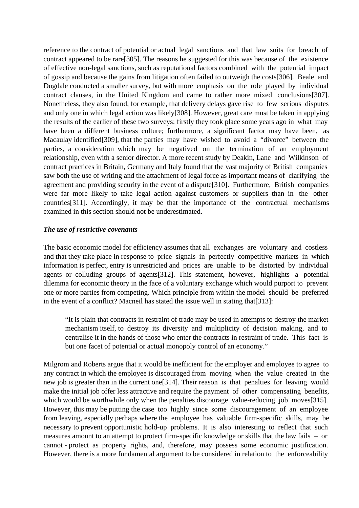reference to the contract of potential or actual legal sanctions and that law suits for breach of contract appeared to be rare[305]. The reasons he suggested for this was because of the existence of effective non-legal sanctions, such as reputational factors combined with the potential impact of gossip and because the gains from litigation often failed to outweigh the costs[306]. Beale and Dugdale conducted a smaller survey, but with more emphasis on the role played by individual contract clauses, in the United Kingdom and came to rather more mixed conclusions[307]. Nonetheless, they also found, for example, that delivery delays gave rise to few serious disputes and only one in which legal action was likely[308]. However, great care must be taken in applying the results of the earlier of these two surveys: firstly they took place some years ago in what may have been a different business culture; furthermore, a significant factor may have been, as Macaulay identified[309], that the parties may have wished to avoid a "divorce" between the parties, a consideration which may be negatived on the termination of an employment relationship, even with a senior director. A more recent study by Deakin, Lane and Wilkinson of contract practices in Britain, Germany and Italy found that the vast majority of British companies saw both the use of writing and the attachment of legal force as important means of clarifying the agreement and providing security in the event of a dispute[310]. Furthermore, British companies were far more likely to take legal action against customers or suppliers than in the other countries[311]. Accordingly, it may be that the importance of the contractual mechanisms examined in this section should not be underestimated.

### *The use of restrictive covenants*

The basic economic model for efficiency assumes that all exchanges are voluntary and costless and that they take place in response to price signals in perfectly competitive markets in which information is perfect, entry is unrestricted and prices are unable to be distorted by individual agents or colluding groups of agents[312]. This statement, however, highlights a potential dilemma for economic theory in the face of a voluntary exchange which would purport to prevent one or more parties from competing. Which principle from within the model should be preferred in the event of a conflict? Macneil has stated the issue well in stating that[313]:

"It is plain that contracts in restraint of trade may be used in attempts to destroy the market mechanism itself, to destroy its diversity and multiplicity of decision making, and to centralise it in the hands of those who enter the contracts in restraint of trade. This fact is but one facet of potential or actual monopoly control of an economy."

Milgrom and Roberts argue that it would be inefficient for the employer and employee to agree to any contract in which the employee is discouraged from moving when the value created in the new job is greater than in the current one[314]. Their reason is that penalties for leaving would make the initial job offer less attractive and require the payment of other compensating benefits, which would be worthwhile only when the penalties discourage value-reducing job moves[315]. However, this may be putting the case too highly since some discouragement of an employee from leaving, especially perhaps where the employee has valuable firm-specific skills, may be necessary to prevent opportunistic hold-up problems. It is also interesting to reflect that such measures amount to an attempt to protect firm-specific knowledge or skills that the law fails – or cannot - protect as property rights, and, therefore, may possess some economic justification. However, there is a more fundamental argument to be considered in relation to the enforceability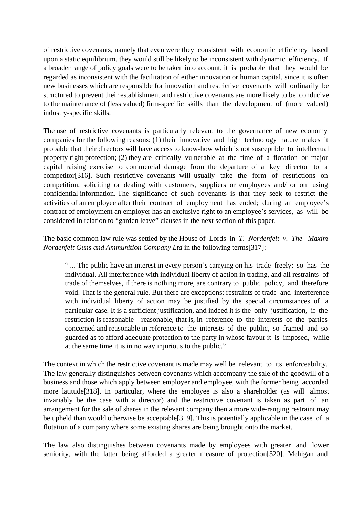of restrictive covenants, namely that even were they consistent with economic efficiency based upon a static equilibrium, they would still be likely to be inconsistent with dynamic efficiency. If a broader range of policy goals were to be taken into account, it is probable that they would be regarded as inconsistent with the facilitation of either innovation or human capital, since it is often new businesses which are responsible for innovation and restrictive covenants will ordinarily be structured to prevent their establishment and restrictive covenants are more likely to be conducive to the maintenance of (less valued) firm-specific skills than the development of (more valued) industry-specific skills.

The use of restrictive covenants is particularly relevant to the governance of new economy companies for the following reasons: (1) their innovative and high technology nature makes it probable that their directors will have access to know-how which is not susceptible to intellectual property right protection; (2) they are critically vulnerable at the time of a flotation or major capital raising exercise to commercial damage from the departure of a key director to a competitor[316]. Such restrictive covenants will usually take the form of restrictions on competition, soliciting or dealing with customers, suppliers or employees and/ or on using confidential information. The significance of such covenants is that they seek to restrict the activities of an employee after their contract of employment has ended; during an employee's contract of employment an employer has an exclusive right to an employee's services, as will be considered in relation to "garden leave" clauses in the next section of this paper.

The basic common law rule was settled by the House of Lords in *T. Nordenfelt v. The Maxim Nordenfelt Guns and Ammunition Company Ltd* in the following terms[317]:

" ... The public have an interest in every person's carrying on his trade freely: so has the individual. All interference with individual liberty of action in trading, and all restraints of trade of themselves, if there is nothing more, are contrary to public policy, and therefore void. That is the general rule. But there are exceptions: restraints of trade and interference with individual liberty of action may be justified by the special circumstances of a particular case. It is a sufficient justification, and indeed it is the only justification, if the restriction is reasonable – reasonable, that is, in reference to the interests of the parties concerned and reasonable in reference to the interests of the public, so framed and so guarded as to afford adequate protection to the party in whose favour it is imposed, while at the same time it is in no way injurious to the public."

The context in which the restrictive covenant is made may well be relevant to its enforceability. The law generally distinguishes between covenants which accompany the sale of the goodwill of a business and those which apply between employer and employee, with the former being accorded more latitude[318]. In particular, where the employee is also a shareholder (as will almost invariably be the case with a director) and the restrictive covenant is taken as part of an arrangement for the sale of shares in the relevant company then a more wide-ranging restraint may be upheld than would otherwise be acceptable[319]. This is potentially applicable in the case of a flotation of a company where some existing shares are being brought onto the market.

The law also distinguishes between covenants made by employees with greater and lower seniority, with the latter being afforded a greater measure of protection[320]. Mehigan and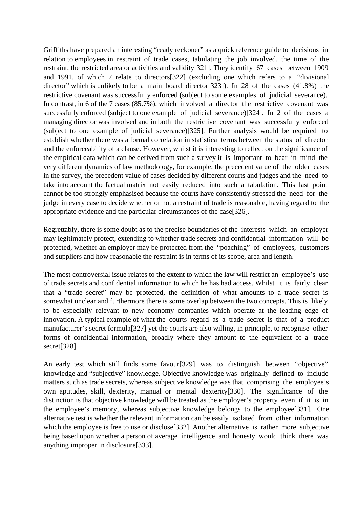Griffiths have prepared an interesting "ready reckoner" as a quick reference guide to decisions in relation to employees in restraint of trade cases, tabulating the job involved, the time of the restraint, the restricted area or activities and validity[321]. They identify 67 cases between 1909 and 1991, of which 7 relate to directors[322] (excluding one which refers to a "divisional director" which is unlikely to be a main board director[323]). In 28 of the cases (41.8%) the restrictive covenant was successfully enforced (subject to some examples of judicial severance). In contrast, in 6 of the 7 cases (85.7%), which involved a director the restrictive covenant was successfully enforced (subject to one example of judicial severance)[324]. In 2 of the cases a managing director was involved and in both the restrictive covenant was successfully enforced (subject to one example of judicial severance)[325]. Further analysis would be required to establish whether there was a formal correlation in statistical terms between the status of director and the enforceability of a clause. However, whilst it is interesting to reflect on the significance of the empirical data which can be derived from such a survey it is important to bear in mind the very different dynamics of law methodology, for example, the precedent value of the older cases in the survey, the precedent value of cases decided by different courts and judges and the need to take into account the factual matrix not easily reduced into such a tabulation. This last point cannot be too strongly emphasised because the courts have consistently stressed the need for the judge in every case to decide whether or not a restraint of trade is reasonable, having regard to the appropriate evidence and the particular circumstances of the case[326].

Regrettably, there is some doubt as to the precise boundaries of the interests which an employer may legitimately protect, extending to whether trade secrets and confidential information will be protected, whether an employer may be protected from the "poaching" of employees, customers and suppliers and how reasonable the restraint is in terms of its scope, area and length.

The most controversial issue relates to the extent to which the law will restrict an employee's use of trade secrets and confidential information to which he has had access. Whilst it is fairly clear that a "trade secret" may be protected, the definition of what amounts to a trade secret is somewhat unclear and furthermore there is some overlap between the two concepts. This is likely to be especially relevant to new economy companies which operate at the leading edge of innovation. A typical example of what the courts regard as a trade secret is that of a product manufacturer's secret formula[327] yet the courts are also willing, in principle, to recognise other forms of confidential information, broadly where they amount to the equivalent of a trade secret[328].

An early test which still finds some favour[329] was to distinguish between "objective" knowledge and "subjective" knowledge. Objective knowledge was originally defined to include matters such as trade secrets, whereas subjective knowledge was that comprising the employee's own aptitudes, skill, dexterity, manual or mental dexterity[330]. The significance of the distinction is that objective knowledge will be treated as the employer's property even if it is in the employee's memory, whereas subjective knowledge belongs to the employee[331]. One alternative test is whether the relevant information can be easily isolated from other information which the employee is free to use or disclose<sup>[332]</sup>. Another alternative is rather more subjective being based upon whether a person of average intelligence and honesty would think there was anything improper in disclosure[333].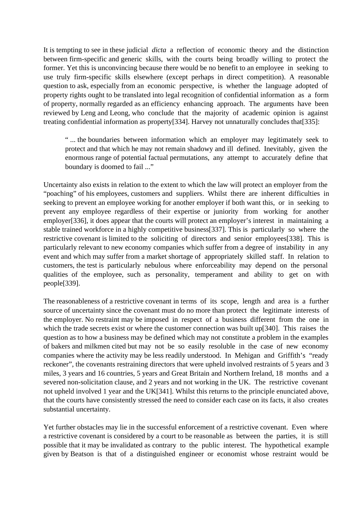It is tempting to see in these judicial *dicta* a reflection of economic theory and the distinction between firm-specific and generic skills, with the courts being broadly willing to protect the former. Yet this is unconvincing because there would be no benefit to an employee in seeking to use truly firm-specific skills elsewhere (except perhaps in direct competition). A reasonable question to ask, especially from an economic perspective, is whether the language adopted of property rights ought to be translated into legal recognition of confidential information as a form of property, normally regarded as an efficiency enhancing approach. The arguments have been reviewed by Leng and Leong, who conclude that the majority of academic opinion is against treating confidential information as property[334]. Harvey not unnaturally concludes that[335]:

" ... the boundaries between information which an employer may legitimately seek to protect and that which he may not remain shadowy and ill defined. Inevitably, given the enormous range of potential factual permutations, any attempt to accurately define that boundary is doomed to fail ..."

Uncertainty also exists in relation to the extent to which the law will protect an employer from the "poaching" of his employees, customers and suppliers. Whilst there are inherent difficulties in seeking to prevent an employee working for another employer if both want this, or in seeking to prevent any employee regardless of their expertise or juniority from working for another employer[336], it does appear that the courts will protect an employer's interest in maintaining a stable trained workforce in a highly competitive business[337]. This is particularly so where the restrictive covenant is limited to the soliciting of directors and senior employees[338]. This is particularly relevant to new economy companies which suffer from a degree of instability in any event and which may suffer from a market shortage of appropriately skilled staff. In relation to customers, the test is particularly nebulous where enforceability may depend on the personal qualities of the employee, such as personality, temperament and ability to get on with people[339].

The reasonableness of a restrictive covenant in terms of its scope, length and area is a further source of uncertainty since the covenant must do no more than protect the legitimate interests of the employer. No restraint may be imposed in respect of a business different from the one in which the trade secrets exist or where the customer connection was built up[340]. This raises the question as to how a business may be defined which may not constitute a problem in the examples of bakers and milkmen cited but may not be so easily resoluble in the case of new economy companies where the activity may be less readily understood. In Mehigan and Griffith's "ready reckoner", the covenants restraining directors that were upheld involved restraints of 5 years and 3 miles, 3 years and 16 countries, 5 years and Great Britain and Northern Ireland, 18 months and a severed non-solicitation clause, and 2 years and not working in the UK. The restrictive covenant not upheld involved 1 year and the UK[341]. Whilst this returns to the principle enunciated above, that the courts have consistently stressed the need to consider each case on its facts, it also creates substantial uncertainty.

Yet further obstacles may lie in the successful enforcement of a restrictive covenant. Even where a restrictive covenant is considered by a court to be reasonable as between the parties, it is still possible that it may be invalidated as contrary to the public interest. The hypothetical example given by Beatson is that of a distinguished engineer or economist whose restraint would be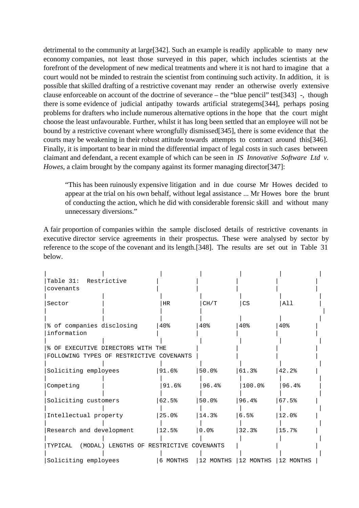detrimental to the community at large[342]. Such an example is readily applicable to many new economy companies, not least those surveyed in this paper, which includes scientists at the forefront of the development of new medical treatments and where it is not hard to imagine that a court would not be minded to restrain the scientist from continuing such activity. In addition, it is possible that skilled drafting of a restrictive covenant may render an otherwise overly extensive clause enforceable on account of the doctrine of severance – the "blue pencil" test[343] -, though there is some evidence of judicial antipathy towards artificial strategems[344], perhaps posing problems for drafters who include numerous alternative options in the hope that the court might choose the least unfavourable. Further, whilst it has long been settled that an employee will not be bound by a restrictive covenant where wrongfully dismissed[345], there is some evidence that the courts may be weakening in their robust attitude towards attempts to contract around this[346]. Finally, it is important to bear in mind the differential impact of legal costs in such cases between claimant and defendant, a recent example of which can be seen in *IS Innovative Software Ltd v. Howes*, a claim brought by the company against its former managing director [347]:

"This has been ruinously expensive litigation and in due course Mr Howes decided to appear at the trial on his own behalf, without legal assistance ... Mr Howes bore the brunt of conducting the action, which he did with considerable forensic skill and without many unnecessary diversions."

A fair proportion of companies within the sample disclosed details of restrictive covenants in executive director service agreements in their prospectus. These were analysed by sector by reference to the scope of the covenant and its length.[348]. The results are set out in Table 31 below.

| Table 31: Restrictive                                                         |             |                      |                 |           |  |
|-------------------------------------------------------------------------------|-------------|----------------------|-----------------|-----------|--|
| covenants                                                                     |             |                      |                 |           |  |
| Sector                                                                        | HR          | CH/T                 | CS              | All       |  |
| % of companies disclosing<br>information                                      | $40\%$      | 40 <sup>8</sup>      | 40 <sub>8</sub> | 40%       |  |
| % OF EXECUTIVE DIRECTORS WITH THE<br>FOLLOWING TYPES OF RESTRICTIVE COVENANTS |             |                      |                 |           |  |
| Soliciting employees                                                          | 191.6%      | $ 50.0\degree$       | 61.3            | 142.2%    |  |
| Competing                                                                     | 91.6%       | 96.4%                | $ 100.0$ $ $    | 196.4%    |  |
| Soliciting customers                                                          | 62.5%       | 150.0%               | 96.4%           | 67.5%     |  |
| Intellectual property                                                         | $ 25.0$ $ $ | $ 14.3\}$            | 16.5%           | 12.0%     |  |
| Research and development                                                      | $ 12.5\}$   | $ 0.0$ $ $           | 32.3%           | 15.7%     |  |
| TYPICAL<br>(MODAL) LENGTHS OF RESTRICTIVE COVENANTS                           |             |                      |                 |           |  |
| Soliciting employees                                                          | 6 MONTHS    | 12 MONTHS 112 MONTHS |                 | 12 MONTHS |  |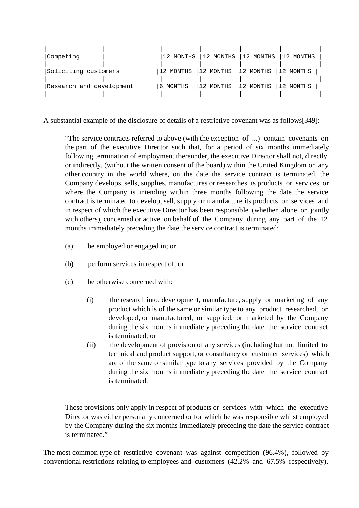| Competing                |          | 12 MONTHS   12 MONTHS   12 MONTHS   12 MONTHS |  |
|--------------------------|----------|-----------------------------------------------|--|
|                          |          |                                               |  |
| Soliciting customers     |          | 12 MONTHS   12 MONTHS   12 MONTHS   12 MONTHS |  |
|                          |          |                                               |  |
| Research and development | 6 MONTHS | 12 MONTHS  12 MONTHS  12 MONTHS               |  |
|                          |          |                                               |  |

A substantial example of the disclosure of details of a restrictive covenant was as follows[349]:

"The service contracts referred to above (with the exception of ...) contain covenants on the part of the executive Director such that, for a period of six months immediately following termination of employment thereunder, the executive Director shall not, directly or indirectly, (without the written consent of the board) within the United Kingdom or any other country in the world where, on the date the service contract is terminated, the Company develops, sells, supplies, manufactures or researches its products or services or where the Company is intending within three months following the date the service contract is terminated to develop, sell, supply or manufacture its products or services and in respect of which the executive Director has been responsible (whether alone or jointly with others), concerned or active on behalf of the Company during any part of the 12 months immediately preceding the date the service contract is terminated:

- (a) be employed or engaged in; or
- (b) perform services in respect of; or
- (c) be otherwise concerned with:
	- (i) the research into, development, manufacture, supply or marketing of any product which is of the same or similar type to any product researched, or developed, or manufactured, or supplied, or marketed by the Company during the six months immediately preceding the date the service contract is terminated; or
	- (ii) the development of provision of any services (including but not limited to technical and product support, or consultancy or customer services) which are of the same or similar type to any services provided by the Company during the six months immediately preceding the date the service contract is terminated.

These provisions only apply in respect of products or services with which the executive Director was either personally concerned or for which he was responsible whilst employed by the Company during the six months immediately preceding the date the service contract is terminated."

The most common type of restrictive covenant was against competition (96.4%), followed by conventional restrictions relating to employees and customers (42.2% and 67.5% respectively).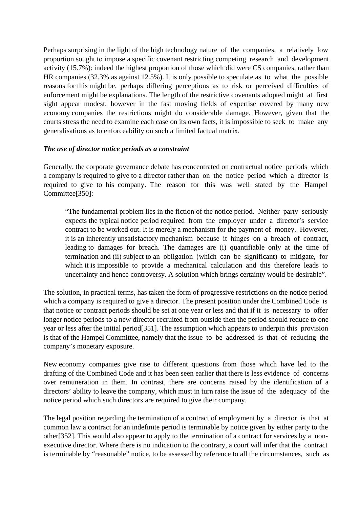Perhaps surprising in the light of the high technology nature of the companies, a relatively low proportion sought to impose a specific covenant restricting competing research and development activity (15.7%): indeed the highest proportion of those which did were CS companies, rather than HR companies (32.3% as against 12.5%). It is only possible to speculate as to what the possible reasons for this might be, perhaps differing perceptions as to risk or perceived difficulties of enforcement might be explanations. The length of the restrictive covenants adopted might at first sight appear modest; however in the fast moving fields of expertise covered by many new economy companies the restrictions might do considerable damage. However, given that the courts stress the need to examine each case on its own facts, it is impossible to seek to make any generalisations as to enforceability on such a limited factual matrix.

## *The use of director notice periods as a constraint*

Generally, the corporate governance debate has concentrated on contractual notice periods which a company is required to give to a director rather than on the notice period which a director is required to give to his company. The reason for this was well stated by the Hampel Committee[350]:

"The fundamental problem lies in the fiction of the notice period. Neither party seriously expects the typical notice period required from the employer under a director's service contract to be worked out. It is merely a mechanism for the payment of money. However, it is an inherently unsatisfactory mechanism because it hinges on a breach of contract, leading to damages for breach. The damages are (i) quantifiable only at the time of termination and (ii) subject to an obligation (which can be significant) to mitigate, for which it is impossible to provide a mechanical calculation and this therefore leads to uncertainty and hence controversy. A solution which brings certainty would be desirable".

The solution, in practical terms, has taken the form of progressive restrictions on the notice period which a company is required to give a director. The present position under the Combined Code is that notice or contract periods should be set at one year or less and that if it is necessary to offer longer notice periods to a new director recruited from outside then the period should reduce to one year or less after the initial period[351]. The assumption which appears to underpin this provision is that of the Hampel Committee, namely that the issue to be addressed is that of reducing the company's monetary exposure.

New economy companies give rise to different questions from those which have led to the drafting of the Combined Code and it has been seen earlier that there is less evidence of concerns over remuneration in them. In contrast, there are concerns raised by the identification of a directors' ability to leave the company, which must in turn raise the issue of the adequacy of the notice period which such directors are required to give their company.

The legal position regarding the termination of a contract of employment by a director is that at common law a contract for an indefinite period is terminable by notice given by either party to the other[352]. This would also appear to apply to the termination of a contract for services by a nonexecutive director. Where there is no indication to the contrary, a court will infer that the contract is terminable by "reasonable" notice, to be assessed by reference to all the circumstances, such as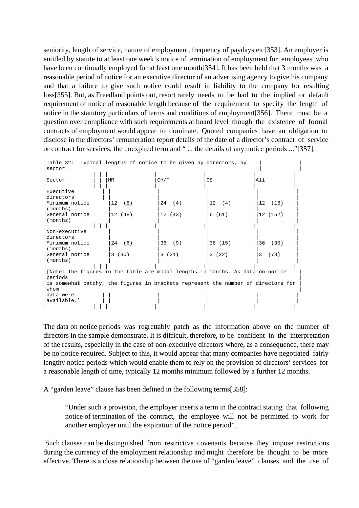seniority, length of service, nature of employment, frequency of paydays etc[353]. An employer is entitled by statute to at least one week's notice of termination of employment for employees who have been continually employed for at least one month[354]. It has been held that 3 months was a reasonable period of notice for an executive director of an advertising agency to give his company and that a failure to give such notice could result in liability to the company for resulting loss[355]. But, as Freedland points out, resort rarely needs to be had to the implied or default requirement of notice of reasonable length because of the requirement to specify the length of notice in the statutory particulars of terms and conditions of employment[356]. There must be a question over compliance with such requirements at board level though the existence of formal contracts of employment would appear to dominate. Quoted companies have an obligation to disclose in the directors' remuneration report details of the date of a director's contract of service or contract for services, the unexpired term and " ... the details of any notice periods ..."[357].

| Table 32: Typical lengths of notice to be given by directors, by<br>sector        |           |         |         |          |  |  |  |
|-----------------------------------------------------------------------------------|-----------|---------|---------|----------|--|--|--|
| Sector                                                                            | <b>HR</b> | CH/T    | CS      | All      |  |  |  |
| Executive                                                                         |           |         |         |          |  |  |  |
| directors                                                                         |           |         |         |          |  |  |  |
| Minimum notice<br>(months)                                                        | 12(8)     | 24 (4)  | 12(4)   | 12(16)   |  |  |  |
| General notice<br>(months)                                                        | 12 (48)   | 12 (43) | 6 (61)  | 12 (152) |  |  |  |
|                                                                                   |           |         |         |          |  |  |  |
| Non-executive<br>directors                                                        |           |         |         |          |  |  |  |
| Minimum notice<br>(months)                                                        | 24(6)     | 36(9)   | 36 (15) | 36 (30)  |  |  |  |
| General notice<br>(months)                                                        | 3(30)     | 3(21)   | 3(22)   | 3 (73)   |  |  |  |
|                                                                                   |           |         |         |          |  |  |  |
| [Note: The figures in the table are modal lengths in months. As data on notice    |           |         |         |          |  |  |  |
| periods                                                                           |           |         |         |          |  |  |  |
| is somewhat patchy, the figures in brackets represent the number of directors for |           |         |         |          |  |  |  |
| whom                                                                              |           |         |         |          |  |  |  |
| data were                                                                         |           |         |         |          |  |  |  |
| available.l                                                                       |           |         |         |          |  |  |  |
|                                                                                   |           |         |         |          |  |  |  |

The data on notice periods was regrettably patch as the information above on the number of directors in the sample demonstrate. It is difficult, therefore, to be confident in the interpretation of the results, especially in the case of non-executive directors where, as a consequence, there may be no notice required. Subject to this, it would appear that many companies have negotiated fairly lengthy notice periods which would enable them to rely on the provision of directors' services for a reasonable length of time, typically 12 months minimum followed by a further 12 months.

A "garden leave" clause has been defined in the following terms[358]:

"Under such a provision, the employer inserts a term in the contract stating that following notice of termination of the contract, the employee will not be permitted to work for another employer until the expiration of the notice period".

 Such clauses can be distinguished from restrictive covenants because they impose restrictions during the currency of the employment relationship and might therefore be thought to be more effective. There is a close relationship between the use of "garden leave" clauses and the use of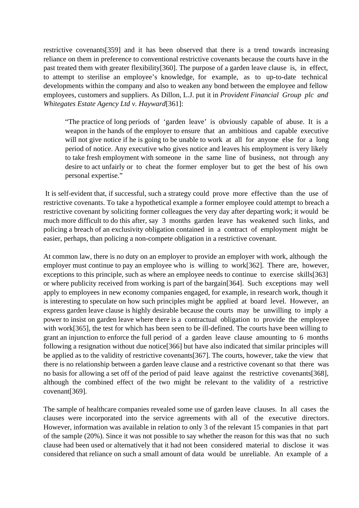restrictive covenants[359] and it has been observed that there is a trend towards increasing reliance on them in preference to conventional restrictive covenants because the courts have in the past treated them with greater flexibility[360]. The purpose of a garden leave clause is, in effect, to attempt to sterilise an employee's knowledge, for example, as to up-to-date technical developments within the company and also to weaken any bond between the employee and fellow employees, customers and suppliers. As Dillon, L.J. put it in *Provident Financial Group plc and Whitegates Estate Agency Ltd v. Hayward*[361]:

"The practice of long periods of 'garden leave' is obviously capable of abuse. It is a weapon in the hands of the employer to ensure that an ambitious and capable executive will not give notice if he is going to be unable to work at all for anyone else for a long period of notice. Any executive who gives notice and leaves his employment is very likely to take fresh employment with someone in the same line of business, not through any desire to act unfairly or to cheat the former employer but to get the best of his own personal expertise."

 It is self-evident that, if successful, such a strategy could prove more effective than the use of restrictive covenants. To take a hypothetical example a former employee could attempt to breach a restrictive covenant by soliciting former colleagues the very day after departing work; it would be much more difficult to do this after, say 3 months garden leave has weakened such links, and policing a breach of an exclusivity obligation contained in a contract of employment might be easier, perhaps, than policing a non-compete obligation in a restrictive covenant.

At common law, there is no duty on an employer to provide an employer with work, although the employer must continue to pay an employee who is willing to work[362]. There are, however, exceptions to this principle, such as where an employee needs to continue to exercise skills[363] or where publicity received from working is part of the bargain[364]. Such exceptions may well apply to employees in new economy companies engaged, for example, in research work, though it is interesting to speculate on how such principles might be applied at board level. However, an express garden leave clause is highly desirable because the courts may be unwilling to imply a power to insist on garden leave where there is a contractual obligation to provide the employee with work[365], the test for which has been seen to be ill-defined. The courts have been willing to grant an injunction to enforce the full period of a garden leave clause amounting to 6 months following a resignation without due notice[366] but have also indicated that similar principles will be applied as to the validity of restrictive covenants[367]. The courts, however, take the view that there is no relationship between a garden leave clause and a restrictive covenant so that there was no basis for allowing a set off of the period of paid leave against the restrictive covenants[368], although the combined effect of the two might be relevant to the validity of a restrictive covenant[369].

The sample of healthcare companies revealed some use of garden leave clauses. In all cases the clauses were incorporated into the service agreements with all of the executive directors. However, information was available in relation to only 3 of the relevant 15 companies in that part of the sample (20%). Since it was not possible to say whether the reason for this was that no such clause had been used or alternatively that it had not been considered material to disclose it was considered that reliance on such a small amount of data would be unreliable. An example of a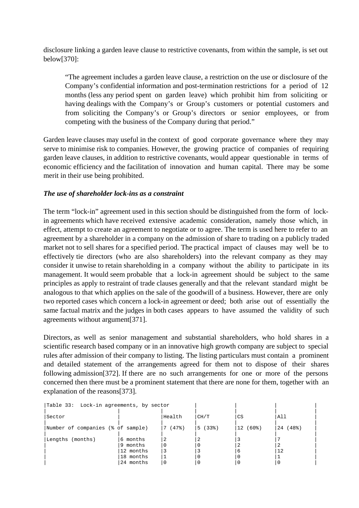disclosure linking a garden leave clause to restrictive covenants, from within the sample, is set out below[370]:

"The agreement includes a garden leave clause, a restriction on the use or disclosure of the Company's confidential information and post-termination restrictions for a period of 12 months (less any period spent on garden leave) which prohibit him from soliciting or having dealings with the Company's or Group's customers or potential customers and from soliciting the Company's or Group's directors or senior employees, or from competing with the business of the Company during that period."

Garden leave clauses may useful in the context of good corporate governance where they may serve to minimise risk to companies. However, the growing practice of companies of requiring garden leave clauses, in addition to restrictive covenants, would appear questionable in terms of economic efficiency and the facilitation of innovation and human capital. There may be some merit in their use being prohibited.

## *The use of shareholder lock-ins as a constraint*

The term "lock-in" agreement used in this section should be distinguished from the form of lockin agreements which have received extensive academic consideration, namely those which, in effect, attempt to create an agreement to negotiate or to agree. The term is used here to refer to an agreement by a shareholder in a company on the admission of share to trading on a publicly traded market not to sell shares for a specified period. The practical impact of clauses may well be to effectively tie directors (who are also shareholders) into the relevant company as they may consider it unwise to retain shareholding in a company without the ability to participate in its management. It would seem probable that a lock-in agreement should be subject to the same principles as apply to restraint of trade clauses generally and that the relevant standard might be analogous to that which applies on the sale of the goodwill of a business. However, there are only two reported cases which concern a lock-in agreement or deed; both arise out of essentially the same factual matrix and the judges in both cases appears to have assumed the validity of such agreements without argument[371].

Directors, as well as senior management and substantial shareholders, who hold shares in a scientific research based company or in an innovative high growth company are subject to special rules after admission of their company to listing. The listing particulars must contain a prominent and detailed statement of the arrangements agreed for them not to dispose of their shares following admission[372]. If there are no such arrangements for one or more of the persons concerned then there must be a prominent statement that there are none for them, together with an explanation of the reasons[373].

| Table 33: Lock-in agreements, by sector |                      |        |       |          |          |
|-----------------------------------------|----------------------|--------|-------|----------|----------|
| Sector                                  |                      | Health | CH/T  | CS       | All      |
| Number of companies (% of sample)       |                      | (47)   | 5(33) | 12 (60%) | 24 (48%) |
| Lengths (months)                        | 6 months<br>9 months |        |       |          |          |
|                                         | 12 months            |        |       |          | 12       |
|                                         | 18 months            |        |       |          |          |
|                                         | 24 months            |        |       |          |          |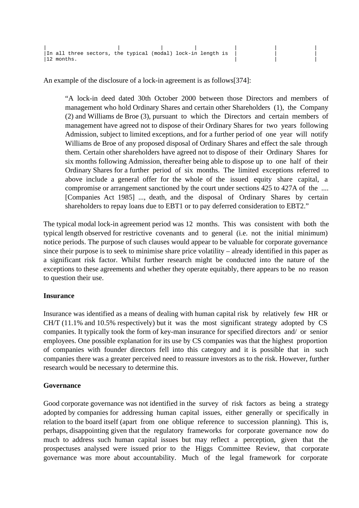| | | | | | | |In all three sectors, the typical (modal) lock-in length is | | |  $|12 \text{ months.}$  |

An example of the disclosure of a lock-in agreement is as follows[374]:

"A lock-in deed dated 30th October 2000 between those Directors and members of management who hold Ordinary Shares and certain other Shareholders (1), the Company (2) and Williams de Broe (3), pursuant to which the Directors and certain members of management have agreed not to dispose of their Ordinary Shares for two years following Admission, subject to limited exceptions, and for a further period of one year will notify Williams de Broe of any proposed disposal of Ordinary Shares and effect the sale through them. Certain other shareholders have agreed not to dispose of their Ordinary Shares for six months following Admission, thereafter being able to dispose up to one half of their Ordinary Shares for a further period of six months. The limited exceptions referred to above include a general offer for the whole of the issued equity share capital, a compromise or arrangement sanctioned by the court under sections 425 to 427A of the .... [Companies Act 1985] ..., death, and the disposal of Ordinary Shares by certain shareholders to repay loans due to EBT1 or to pay deferred consideration to EBT2."

The typical modal lock-in agreement period was 12 months. This was consistent with both the typical length observed for restrictive covenants and to general (i.e. not the initial minimum) notice periods. The purpose of such clauses would appear to be valuable for corporate governance since their purpose is to seek to minimise share price volatility – already identified in this paper as a significant risk factor. Whilst further research might be conducted into the nature of the exceptions to these agreements and whether they operate equitably, there appears to be no reason to question their use.

## **Insurance**

Insurance was identified as a means of dealing with human capital risk by relatively few HR or CH/T (11.1% and 10.5% respectively) but it was the most significant strategy adopted by CS companies. It typically took the form of key-man insurance for specified directors and/ or senior employees. One possible explanation for its use by CS companies was that the highest proportion of companies with founder directors fell into this category and it is possible that in such companies there was a greater perceived need to reassure investors as to the risk. However, further research would be necessary to determine this.

## **Governance**

Good corporate governance was not identified in the survey of risk factors as being a strategy adopted by companies for addressing human capital issues, either generally or specifically in relation to the board itself (apart from one oblique reference to succession planning). This is, perhaps, disappointing given that the regulatory frameworks for corporate governance now do much to address such human capital issues but may reflect a perception, given that the prospectuses analysed were issued prior to the Higgs Committee Review, that corporate governance was more about accountability. Much of the legal framework for corporate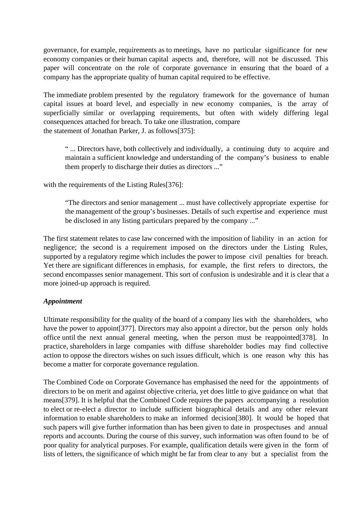governance, for example, requirements as to meetings, have no particular significance for new economy companies or their human capital aspects and, therefore, will not be discussed. This paper will concentrate on the role of corporate governance in ensuring that the board of a company has the appropriate quality of human capital required to be effective.

The immediate problem presented by the regulatory framework for the governance of human capital issues at board level, and especially in new economy companies, is the array of superficially similar or overlapping requirements, but often with widely differing legal consequences attached for breach. To take one illustration, compare the statement of Jonathan Parker, J. as follows[375]:

" ... Directors have, both collectively and individually, a continuing duty to acquire and maintain a sufficient knowledge and understanding of the company's business to enable them properly to discharge their duties as directors ..."

with the requirements of the Listing Rules<sup>[376]:</sup>

"The directors and senior management ... must have collectively appropriate expertise for the management of the group's businesses. Details of such expertise and experience must be disclosed in any listing particulars prepared by the company ..."

The first statement relates to case law concerned with the imposition of liability in an action for negligence; the second is a requirement imposed on the directors under the Listing Rules, supported by a regulatory regime which includes the power to impose civil penalties for breach. Yet there are significant differences in emphasis, for example, the first refers to directors, the second encompasses senior management. This sort of confusion is undesirable and it is clear that a more joined-up approach is required.

## *Appointment*

Ultimate responsibility for the quality of the board of a company lies with the shareholders, who have the power to appoint [377]. Directors may also appoint a director, but the person only holds office until the next annual general meeting, when the person must be reappointed[378]. In practice, shareholders in large companies with diffuse shareholder bodies may find collective action to oppose the directors wishes on such issues difficult, which is one reason why this has become a matter for corporate governance regulation.

The Combined Code on Corporate Governance has emphasised the need for the appointments of directors to be on merit and against objective criteria, yet does little to give guidance on what that means[379]. It is helpful that the Combined Code requires the papers accompanying a resolution to elect or re-elect a director to include sufficient biographical details and any other relevant information to enable shareholders to make an informed decision[380]. It would be hoped that such papers will give further information than has been given to date in prospectuses and annual reports and accounts. During the course of this survey, such information was often found to be of poor quality for analytical purposes. For example, qualification details were given in the form of lists of letters, the significance of which might be far from clear to any but a specialist from the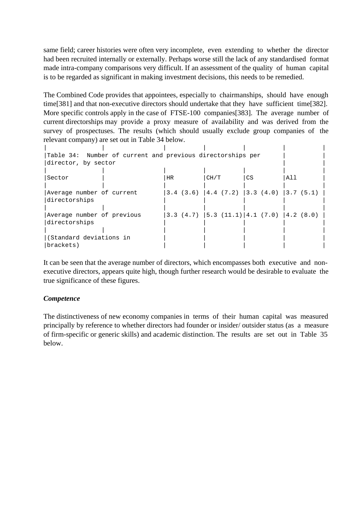same field; career histories were often very incomplete, even extending to whether the director had been recruited internally or externally. Perhaps worse still the lack of any standardised format made intra-company comparisons very difficult. If an assessment of the quality of human capital is to be regarded as significant in making investment decisions, this needs to be remedied.

The Combined Code provides that appointees, especially to chairmanships, should have enough time[381] and that non-executive directors should undertake that they have sufficient time[382]. More specific controls apply in the case of FTSE-100 companies[383]. The average number of current directorships may provide a proxy measure of availability and was derived from the survey of prospectuses. The results (which should usually exclude group companies of the relevant company) are set out in Table 34 below.

| Table 34: Number of current and previous directorships per |    |                                                     |    |     |
|------------------------------------------------------------|----|-----------------------------------------------------|----|-----|
| director, by sector                                        |    |                                                     |    |     |
|                                                            |    |                                                     |    |     |
| Sector                                                     | HR | CH/T                                                | CS | All |
|                                                            |    |                                                     |    |     |
| Average number of current                                  |    | $3.4$ (3.6) $ 4.4$ (7.2) 3.3 (4.0) 3.7 (5.1)        |    |     |
| directorships                                              |    |                                                     |    |     |
|                                                            |    |                                                     |    |     |
| Average number of previous                                 |    | $3.3$ (4.7) $ 5.3$ (11.1) $ 4.1$ (7.0) $ 4.2$ (8.0) |    |     |
| directorships                                              |    |                                                     |    |     |
|                                                            |    |                                                     |    |     |
| (Standard deviations in                                    |    |                                                     |    |     |
| brackets)                                                  |    |                                                     |    |     |

It can be seen that the average number of directors, which encompasses both executive and nonexecutive directors, appears quite high, though further research would be desirable to evaluate the true significance of these figures.

## *Competence*

The distinctiveness of new economy companies in terms of their human capital was measured principally by reference to whether directors had founder or insider/ outsider status (as a measure of firm-specific or generic skills) and academic distinction. The results are set out in Table 35 below.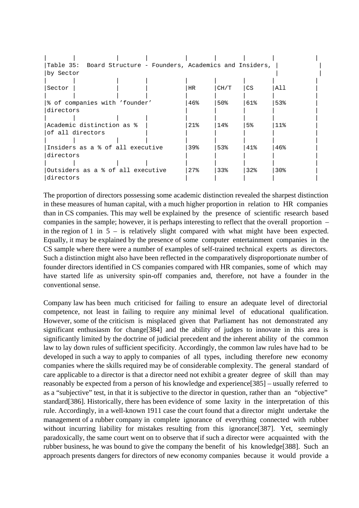| Table 35: Board Structure - Founders, Academics and Insiders, |           |      |                |                 |  |
|---------------------------------------------------------------|-----------|------|----------------|-----------------|--|
| by Sector                                                     |           |      |                |                 |  |
|                                                               |           |      |                |                 |  |
| Sector                                                        | <b>HR</b> | CH/T | CS             | All             |  |
|                                                               |           |      |                |                 |  |
| % of companies with 'founder'                                 | 46%       | 50%  | 61%            | 53%             |  |
| directors                                                     |           |      |                |                 |  |
|                                                               |           |      |                |                 |  |
| Academic distinction as %                                     | 21%       | 14%  | 5 <sup>°</sup> | $11\%$          |  |
| of all directors                                              |           |      |                |                 |  |
|                                                               |           |      |                |                 |  |
| Insiders as a % of all executive                              | 39%       | 53%  | 41%            | 46%             |  |
| directors                                                     |           |      |                |                 |  |
|                                                               |           |      |                |                 |  |
| Outsiders as a % of all executive                             | 27%       | 33%  | 32%            | 30 <sub>8</sub> |  |
| directors                                                     |           |      |                |                 |  |

The proportion of directors possessing some academic distinction revealed the sharpest distinction in these measures of human capital, with a much higher proportion in relation to HR companies than in CS companies. This may well be explained by the presence of scientific research based companies in the sample; however, it is perhaps interesting to reflect that the overall proportion – in the region of 1 in  $5 -$  is relatively slight compared with what might have been expected. Equally, it may be explained by the presence of some computer entertainment companies in the CS sample where there were a number of examples of self-trained technical experts as directors. Such a distinction might also have been reflected in the comparatively disproportionate number of founder directors identified in CS companies compared with HR companies, some of which may have started life as university spin-off companies and, therefore, not have a founder in the conventional sense.

Company law has been much criticised for failing to ensure an adequate level of directorial competence, not least in failing to require any minimal level of educational qualification. However, some of the criticism is misplaced given that Parliament has not demonstrated any significant enthusiasm for change[384] and the ability of judges to innovate in this area is significantly limited by the doctrine of judicial precedent and the inherent ability of the common law to lay down rules of sufficient specificity. Accordingly, the common law rules have had to be developed in such a way to apply to companies of all types, including therefore new economy companies where the skills required may be of considerable complexity. The general standard of care applicable to a director is that a director need not exhibit a greater degree of skill than may reasonably be expected from a person of his knowledge and experience[385] – usually referred to as a "subjective" test, in that it is subjective to the director in question, rather than an "objective" standard[386]. Historically, there has been evidence of some laxity in the interpretation of this rule. Accordingly, in a well-known 1911 case the court found that a director might undertake the management of a rubber company in complete ignorance of everything connected with rubber without incurring liability for mistakes resulting from this ignorance<sup>[387]</sup>. Yet, seemingly paradoxically, the same court went on to observe that if such a director were acquainted with the rubber business, he was bound to give the company the benefit of his knowledge[388]. Such an approach presents dangers for directors of new economy companies because it would provide a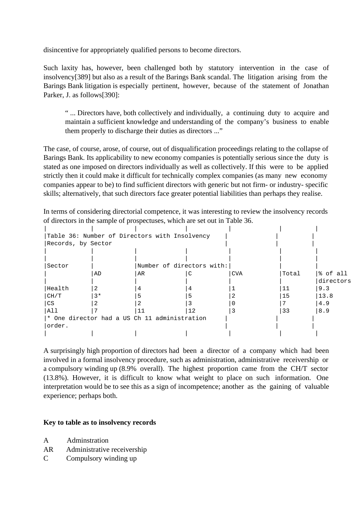disincentive for appropriately qualified persons to become directors.

Such laxity has, however, been challenged both by statutory intervention in the case of insolvency[389] but also as a result of the Barings Bank scandal. The litigation arising from the Barings Bank litigation is especially pertinent, however, because of the statement of Jonathan Parker, J. as follows[390]:

" ... Directors have, both collectively and individually, a continuing duty to acquire and maintain a sufficient knowledge and understanding of the company's business to enable them properly to discharge their duties as directors ..."

The case, of course, arose, of course, out of disqualification proceedings relating to the collapse of Barings Bank. Its applicability to new economy companies is potentially serious since the duty is stated as one imposed on directors individually as well as collectively. If this were to be applied strictly then it could make it difficult for technically complex companies (as many new economy companies appear to be) to find sufficient directors with generic but not firm- or industry- specific skills; alternatively, that such directors face greater potential liabilities than perhaps they realise.

In terms of considering directorial competence, it was interesting to review the insolvency records of directors in the sample of prospectuses, which are set out in Table 36.

| Sector                                       |      |                          |    |                                                                            |       |           |
|----------------------------------------------|------|--------------------------|----|----------------------------------------------------------------------------|-------|-----------|
|                                              |      | AR                       |    | <b>CVA</b>                                                                 | Total | % of all  |
|                                              |      |                          |    |                                                                            |       | directors |
| Health                                       | 2    | 4                        |    |                                                                            | 11    | 9.3       |
|                                              | $3*$ |                          |    |                                                                            | 15    | 13.8      |
| CS                                           |      |                          |    |                                                                            |       | 4.9       |
| All                                          |      |                          | 12 |                                                                            | 33    | 8.9       |
| * One director had a US Ch 11 administration |      |                          |    |                                                                            |       |           |
| order.                                       |      |                          |    |                                                                            |       |           |
|                                              |      |                          |    |                                                                            |       |           |
|                                              | CH/T | Records, by Sector<br>AD |    | Table 36: Number of Directors with Insolvency<br>Number of directors with: |       |           |

A surprisingly high proportion of directors had been a director of a company which had been involved in a formal insolvency procedure, such as administration, administrative receivership or a compulsory winding up (8.9% overall). The highest proportion came from the CH/T sector (13.8%). However, it is difficult to know what weight to place on such information. One interpretation would be to see this as a sign of incompetence; another as the gaining of valuable experience; perhaps both.

#### **Key to table as to insolvency records**

- A Adminstration
- AR Administrative receivership
- C Compulsory winding up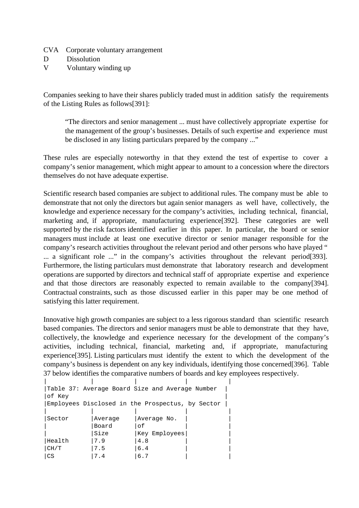CVA Corporate voluntary arrangement D Dissolution

V Voluntary winding up

Companies seeking to have their shares publicly traded must in addition satisfy the requirements of the Listing Rules as follows[391]:

"The directors and senior management ... must have collectively appropriate expertise for the management of the group's businesses. Details of such expertise and experience must be disclosed in any listing particulars prepared by the company ..."

These rules are especially noteworthy in that they extend the test of expertise to cover a company's senior management, which might appear to amount to a concession where the directors themselves do not have adequate expertise.

Scientific research based companies are subject to additional rules. The company must be able to demonstrate that not only the directors but again senior managers as well have, collectively, the knowledge and experience necessary for the company's activities, including technical, financial, marketing and, if appropriate, manufacturing experience[392]. These categories are well supported by the risk factors identified earlier in this paper. In particular, the board or senior managers must include at least one executive director or senior manager responsible for the company's research activities throughout the relevant period and other persons who have played " ... a significant role ..." in the company's activities throughout the relevant period[393]. Furthermore, the listing particulars must demonstrate that laboratory research and development operations are supported by directors and technical staff of appropriate expertise and experience and that those directors are reasonably expected to remain available to the company[394]. Contractual constraints, such as those discussed earlier in this paper may be one method of satisfying this latter requirement.

Innovative high growth companies are subject to a less rigorous standard than scientific research based companies. The directors and senior managers must be able to demonstrate that they have, collectively, the knowledge and experience necessary for the development of the company's activities, including technical, financial, marketing and, if appropriate, manufacturing experience[395]. Listing particulars must identify the extent to which the development of the company's business is dependent on any key individuals, identifying those concerned[396]. Table 37 below identifies the comparative numbers of boards and key employees respectively.

|        |         | Table 37: Average Board Size and Average Number  |  |
|--------|---------|--------------------------------------------------|--|
| of Key |         |                                                  |  |
|        |         | Employees Disclosed in the Prospectus, by Sector |  |
|        |         |                                                  |  |
| Sector | Average | Average No.                                      |  |
|        | Board   | оf                                               |  |
|        | Size    | Key Employees                                    |  |
| Health | 7.9     | 4.8                                              |  |
| CH/T   | 7.5     | 6.4                                              |  |
| CS     | 7.4     | 6.7                                              |  |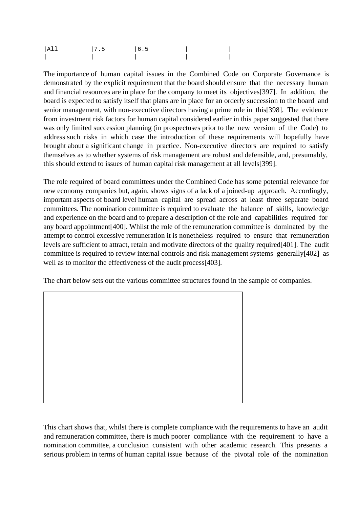| A11 | 7.5 | 6.5 |  |
|-----|-----|-----|--|
|     |     |     |  |

The importance of human capital issues in the Combined Code on Corporate Governance is demonstrated by the explicit requirement that the board should ensure that the necessary human and financial resources are in place for the company to meet its objectives[397]. In addition, the board is expected to satisfy itself that plans are in place for an orderly succession to the board and senior management, with non-executive directors having a prime role in this[398]. The evidence from investment risk factors for human capital considered earlier in this paper suggested that there was only limited succession planning (in prospectuses prior to the new version of the Code) to address such risks in which case the introduction of these requirements will hopefully have brought about a significant change in practice. Non-executive directors are required to satisfy themselves as to whether systems of risk management are robust and defensible, and, presumably, this should extend to issues of human capital risk management at all levels[399].

The role required of board committees under the Combined Code has some potential relevance for new economy companies but, again, shows signs of a lack of a joined-up approach. Accordingly, important aspects of board level human capital are spread across at least three separate board committees. The nomination committee is required to evaluate the balance of skills, knowledge and experience on the board and to prepare a description of the role and capabilities required for any board appointment[400]. Whilst the role of the remuneration committee is dominated by the attempt to control excessive remuneration it is nonetheless required to ensure that remuneration levels are sufficient to attract, retain and motivate directors of the quality required[401]. The audit committee is required to review internal controls and risk management systems generally[402] as well as to monitor the effectiveness of the audit process[403].

The chart below sets out the various committee structures found in the sample of companies.



This chart shows that, whilst there is complete compliance with the requirements to have an audit and remuneration committee, there is much poorer compliance with the requirement to have a nomination committee, a conclusion consistent with other academic research. This presents a serious problem in terms of human capital issue because of the pivotal role of the nomination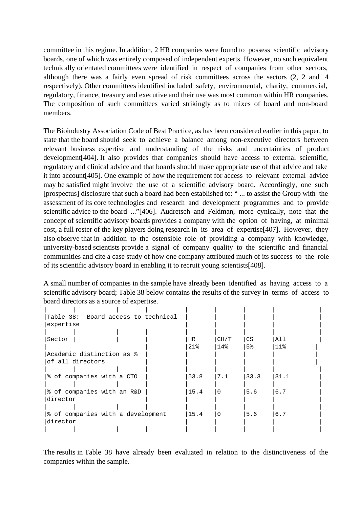committee in this regime. In addition, 2 HR companies were found to possess scientific advisory boards, one of which was entirely composed of independent experts. However, no such equivalent technically orientated committees were identified in respect of companies from other sectors, although there was a fairly even spread of risk committees across the sectors (2, 2 and 4 respectively). Other committees identified included safety, environmental, charity, commercial, regulatory, finance, treasury and executive and their use was most common within HR companies. The composition of such committees varied strikingly as to mixes of board and non-board members.

The Bioindustry Association Code of Best Practice, as has been considered earlier in this paper, to state that the board should seek to achieve a balance among non-executive directors between relevant business expertise and understanding of the risks and uncertainties of product development[404]. It also provides that companies should have access to external scientific, regulatory and clinical advice and that boards should make appropriate use of that advice and take it into account[405]. One example of how the requirement for access to relevant external advice may be satisfied might involve the use of a scientific advisory board. Accordingly, one such [prospectus] disclosure that such a board had been established to: " ... to assist the Group with the assessment of its core technologies and research and development programmes and to provide scientific advice to the board ..."[406]. Audretsch and Feldman, more cynically, note that the concept of scientific advisory boards provides a company with the option of having, at minimal cost, a full roster of the key players doing research in its area of expertise[407]. However, they also observe that in addition to the ostensible role of providing a company with knowledge, university-based scientists provide a signal of company quality to the scientific and financial communities and cite a case study of how one company attributed much of its success to the role of its scientific advisory board in enabling it to recruit young scientists[408].

A small number of companies in the sample have already been identified as having access to a scientific advisory board; Table 38 below contains the results of the survey in terms of access to board directors as a source of expertise.

| Table 38: Board access to technical |      |          |                |        |  |
|-------------------------------------|------|----------|----------------|--------|--|
| expertise                           |      |          |                |        |  |
|                                     |      |          |                |        |  |
| Sector                              | HR.  | CH/T     | CS             | All    |  |
|                                     | 21%  | 14%      | 5 <sup>°</sup> | $11$ % |  |
| Academic distinction as %           |      |          |                |        |  |
| of all directors                    |      |          |                |        |  |
|                                     |      |          |                |        |  |
| % of companies with a CTO           | 53.8 | 7.1      | 33.3           | 31.1   |  |
|                                     |      |          |                |        |  |
| 8 of companies with an R&D          | 15.4 | $\Omega$ | 5.6            | 6.7    |  |
| director                            |      |          |                |        |  |
|                                     |      |          |                |        |  |
| % of companies with a development   | 15.4 | $\Omega$ | 5.6            | 6.7    |  |
| director                            |      |          |                |        |  |
|                                     |      |          |                |        |  |

The results in Table 38 have already been evaluated in relation to the distinctiveness of the companies within the sample.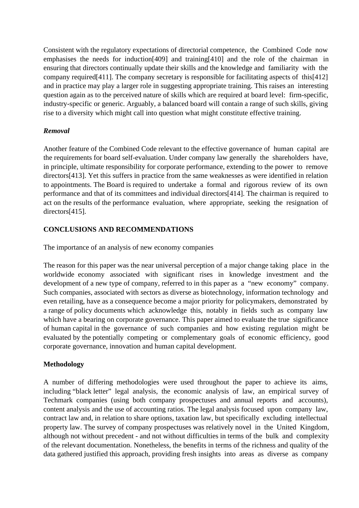Consistent with the regulatory expectations of directorial competence, the Combined Code now emphasises the needs for induction[409] and training[410] and the role of the chairman in ensuring that directors continually update their skills and the knowledge and familiarity with the company required[411]. The company secretary is responsible for facilitating aspects of this[412] and in practice may play a larger role in suggesting appropriate training. This raises an interesting question again as to the perceived nature of skills which are required at board level: firm-specific, industry-specific or generic. Arguably, a balanced board will contain a range of such skills, giving rise to a diversity which might call into question what might constitute effective training.

## *Removal*

Another feature of the Combined Code relevant to the effective governance of human capital are the requirements for board self-evaluation. Under company law generally the shareholders have, in principle, ultimate responsibility for corporate performance, extending to the power to remove directors[413]. Yet this suffers in practice from the same weaknesses as were identified in relation to appointments. The Board is required to undertake a formal and rigorous review of its own performance and that of its committees and individual directors[414]. The chairman is required to act on the results of the performance evaluation, where appropriate, seeking the resignation of directors<sup>[415]</sup>.

## **CONCLUSIONS AND RECOMMENDATIONS**

The importance of an analysis of new economy companies

The reason for this paper was the near universal perception of a major change taking place in the worldwide economy associated with significant rises in knowledge investment and the development of a new type of company, referred to in this paper as a "new economy" company. Such companies, associated with sectors as diverse as biotechnology, information technology and even retailing, have as a consequence become a major priority for policymakers, demonstrated by a range of policy documents which acknowledge this, notably in fields such as company law which have a bearing on corporate governance. This paper aimed to evaluate the true significance of human capital in the governance of such companies and how existing regulation might be evaluated by the potentially competing or complementary goals of economic efficiency, good corporate governance, innovation and human capital development.

## **Methodology**

A number of differing methodologies were used throughout the paper to achieve its aims, including "black letter" legal analysis, the economic analysis of law, an empirical survey of Techmark companies (using both company prospectuses and annual reports and accounts), content analysis and the use of accounting ratios. The legal analysis focused upon company law, contract law and, in relation to share options, taxation law, but specifically excluding intellectual property law. The survey of company prospectuses was relatively novel in the United Kingdom, although not without precedent - and not without difficulties in terms of the bulk and complexity of the relevant documentation. Nonetheless, the benefits in terms of the richness and quality of the data gathered justified this approach, providing fresh insights into areas as diverse as company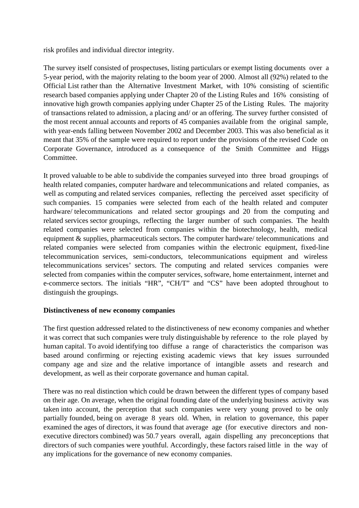risk profiles and individual director integrity.

The survey itself consisted of prospectuses, listing particulars or exempt listing documents over a 5-year period, with the majority relating to the boom year of 2000. Almost all (92%) related to the Official List rather than the Alternative Investment Market, with 10% consisting of scientific research based companies applying under Chapter 20 of the Listing Rules and 16% consisting of innovative high growth companies applying under Chapter 25 of the Listing Rules. The majority of transactions related to admission, a placing and/ or an offering. The survey further consisted of the most recent annual accounts and reports of 45 companies available from the original sample, with year-ends falling between November 2002 and December 2003. This was also beneficial as it meant that 35% of the sample were required to report under the provisions of the revised Code on Corporate Governance, introduced as a consequence of the Smith Committee and Higgs Committee.

It proved valuable to be able to subdivide the companies surveyed into three broad groupings of health related companies, computer hardware and telecommunications and related companies, as well as computing and related services companies, reflecting the perceived asset specificity of such companies. 15 companies were selected from each of the health related and computer hardware/ telecommunications and related sector groupings and 20 from the computing and related services sector groupings, reflecting the larger number of such companies. The health related companies were selected from companies within the biotechnology, health, medical equipment & supplies, pharmaceuticals sectors. The computer hardware/ telecommunications and related companies were selected from companies within the electronic equipment, fixed-line telecommunication services, semi-conductors, telecommunications equipment and wireless telecommunications services' sectors. The computing and related services companies were selected from companies within the computer services, software, home entertainment, internet and e-commerce sectors. The initials "HR", "CH/T" and "CS" have been adopted throughout to distinguish the groupings.

## **Distinctiveness of new economy companies**

The first question addressed related to the distinctiveness of new economy companies and whether it was correct that such companies were truly distinguishable by reference to the role played by human capital. To avoid identifying too diffuse a range of characteristics the comparison was based around confirming or rejecting existing academic views that key issues surrounded company age and size and the relative importance of intangible assets and research and development, as well as their corporate governance and human capital.

There was no real distinction which could be drawn between the different types of company based on their age. On average, when the original founding date of the underlying business activity was taken into account, the perception that such companies were very young proved to be only partially founded, being on average 8 years old. When, in relation to governance, this paper examined the ages of directors, it was found that average age (for executive directors and nonexecutive directors combined) was 50.7 years overall, again dispelling any preconceptions that directors of such companies were youthful. Accordingly, these factors raised little in the way of any implications for the governance of new economy companies.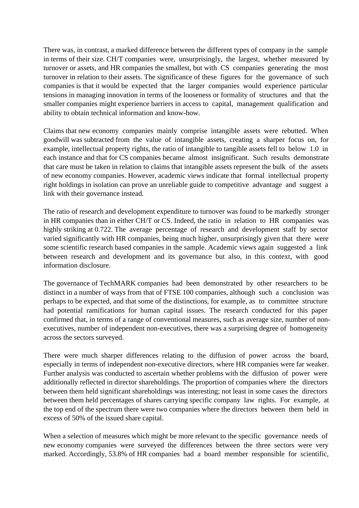There was, in contrast, a marked difference between the different types of company in the sample in terms of their size. CH/T companies were, unsurprisingly, the largest, whether measured by turnover or assets, and HR companies the smallest, but with CS companies generating the most turnover in relation to their assets. The significance of these figures for the governance of such companies is that it would be expected that the larger companies would experience particular tensions in managing innovation in terms of the looseness or formality of structures and that the smaller companies might experience barriers in access to capital, management qualification and ability to obtain technical information and know-how.

Claims that new economy companies mainly comprise intangible assets were rebutted. When goodwill was subtracted from the value of intangible assets, creating a sharper focus on, for example, intellectual property rights, the ratio of intangible to tangible assets fell to below 1.0 in each instance and that for CS companies became almost insignificant. Such results demonstrate that care must be taken in relation to claims that intangible assets represent the bulk of the assets of new economy companies. However, academic views indicate that formal intellectual property right holdings in isolation can prove an unreliable guide to competitive advantage and suggest a link with their governance instead.

The ratio of research and development expenditure to turnover was found to be markedly stronger in HR companies than in either CH/T or CS. Indeed, the ratio in relation to HR companies was highly striking at 0.722. The average percentage of research and development staff by sector varied significantly with HR companies, being much higher, unsurprisingly given that there were some scientific research based companies in the sample. Academic views again suggested a link between research and development and its governance but also, in this context, with good information disclosure.

The governance of TechMARK companies had been demonstrated by other researchers to be distinct in a number of ways from that of FTSE 100 companies, although such a conclusion was perhaps to be expected, and that some of the distinctions, for example, as to committee structure had potential ramifications for human capital issues. The research conducted for this paper confirmed that, in terms of a range of conventional measures, such as average size, number of nonexecutives, number of independent non-executives, there was a surprising degree of homogeneity across the sectors surveyed.

There were much sharper differences relating to the diffusion of power across the board, especially in terms of independent non-executive directors, where HR companies were far weaker. Further analysis was conducted to ascertain whether problems with the diffusion of power were additionally reflected in director shareholdings. The proportion of companies where the directors between them held significant shareholdings was interesting; not least in some cases the directors between them held percentages of shares carrying specific company law rights. For example, at the top end of the spectrum there were two companies where the directors between them held in excess of 50% of the issued share capital.

When a selection of measures which might be more relevant to the specific governance needs of new economy companies were surveyed the differences between the three sectors were very marked. Accordingly, 53.8% of HR companies had a board member responsible for scientific,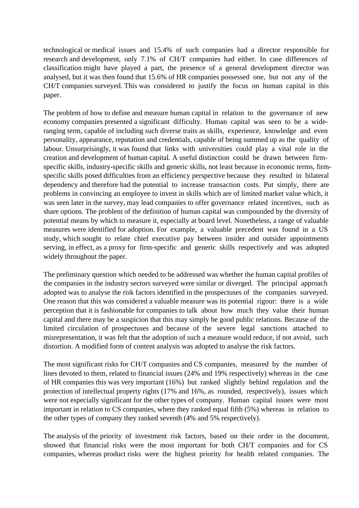technological or medical issues and 15.4% of such companies had a director responsible for research and development, only 7.1% of CH/T companies had either. In case differences of classification might have played a part, the presence of a general development director was analysed, but it was then found that 15.6% of HR companies possessed one, but not any of the CH/T companies surveyed. This was considered to justify the focus on human capital in this paper.

The problem of how to define and measure human capital in relation to the governance of new economy companies presented a significant difficulty. Human capital was seen to be a wideranging term, capable of including such diverse traits as skills, experience, knowledge and even personality, appearance, reputation and credentials, capable of being summed up as the quality of labour. Unsurprisingly, it was found that links with universities could play a vital role in the creation and development of human capital. A useful distinction could be drawn between firmspecific skills, industry-specific skills and generic skills, not least because in economic terms, firmspecific skills posed difficulties from an efficiency perspective because they resulted in bilateral dependency and therefore had the potential to increase transaction costs. Put simply, there are problems in convincing an employee to invest in skills which are of limited market value which, it was seen later in the survey, may lead companies to offer governance related incentives, such as share options. The problem of the definition of human capital was compounded by the diversity of potential means by which to measure it, especially at board level. Nonetheless, a range of valuable measures were identified for adoption. For example, a valuable precedent was found in a US study, which sought to relate chief executive pay between insider and outsider appointments serving, in effect, as a proxy for firm-specific and generic skills respectively and was adopted widely throughout the paper.

The preliminary question which needed to be addressed was whether the human capital profiles of the companies in the industry sectors surveyed were similar or diverged. The principal approach adopted was to analyse the risk factors identified in the prospectuses of the companies surveyed. One reason that this was considered a valuable measure was its potential rigour: there is a wide perception that it is fashionable for companies to talk about how much they value their human capital and there may be a suspicion that this may simply be good public relations. Because of the limited circulation of prospectuses and because of the severe legal sanctions attached to misrepresentation, it was felt that the adoption of such a measure would reduce, if not avoid, such distortion. A modified form of content analysis was adopted to analyse the risk factors.

The most significant risks for CH/T companies and CS companies, measured by the number of lines devoted to them, related to financial issues (24% and 19% respectively) whereas in the case of HR companies this was very important (16%) but ranked slightly behind regulation and the protection of intellectual property rights (17% and 16%, as rounded, respectively), issues which were not especially significant for the other types of company. Human capital issues were most important in relation to CS companies, where they ranked equal fifth (5%) whereas in relation to the other types of company they ranked seventh (4% and 5% respectively).

The analysis of the priority of investment risk factors, based on their order in the document, showed that financial risks were the most important for both CH/T companies and for CS companies, whereas product risks were the highest priority for health related companies. The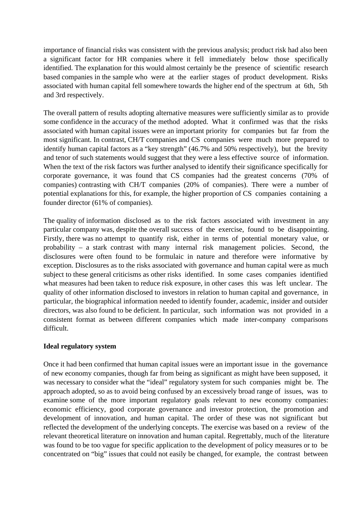importance of financial risks was consistent with the previous analysis; product risk had also been a significant factor for HR companies where it fell immediately below those specifically identified. The explanation for this would almost certainly be the presence of scientific research based companies in the sample who were at the earlier stages of product development. Risks associated with human capital fell somewhere towards the higher end of the spectrum at 6th, 5th and 3rd respectively.

The overall pattern of results adopting alternative measures were sufficiently similar as to provide some confidence in the accuracy of the method adopted. What it confirmed was that the risks associated with human capital issues were an important priority for companies but far from the most significant. In contrast, CH/T companies and CS companies were much more prepared to identify human capital factors as a "key strength" (46.7% and 50% respectively), but the brevity and tenor of such statements would suggest that they were a less effective source of information. When the text of the risk factors was further analysed to identify their significance specifically for corporate governance, it was found that CS companies had the greatest concerns (70% of companies) contrasting with CH/T companies (20% of companies). There were a number of potential explanations for this, for example, the higher proportion of CS companies containing a founder director (61% of companies).

The quality of information disclosed as to the risk factors associated with investment in any particular company was, despite the overall success of the exercise, found to be disappointing. Firstly, there was no attempt to quantify risk, either in terms of potential monetary value, or probability – a stark contrast with many internal risk management policies. Second, the disclosures were often found to be formulaic in nature and therefore were informative by exception. Disclosures as to the risks associated with governance and human capital were as much subject to these general criticisms as other risks identified. In some cases companies identified what measures had been taken to reduce risk exposure, in other cases this was left unclear. The quality of other information disclosed to investors in relation to human capital and governance, in particular, the biographical information needed to identify founder, academic, insider and outsider directors, was also found to be deficient. In particular, such information was not provided in a consistent format as between different companies which made inter-company comparisons difficult.

## **Ideal regulatory system**

Once it had been confirmed that human capital issues were an important issue in the governance of new economy companies, though far from being as significant as might have been supposed, it was necessary to consider what the "ideal" regulatory system for such companies might be. The approach adopted, so as to avoid being confused by an excessively broad range of issues, was to examine some of the more important regulatory goals relevant to new economy companies: economic efficiency, good corporate governance and investor protection, the promotion and development of innovation, and human capital. The order of these was not significant but reflected the development of the underlying concepts. The exercise was based on a review of the relevant theoretical literature on innovation and human capital. Regrettably, much of the literature was found to be too vague for specific application to the development of policy measures or to be concentrated on "big" issues that could not easily be changed, for example, the contrast between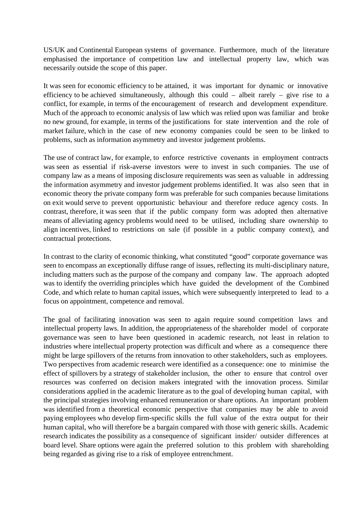US/UK and Continental European systems of governance. Furthermore, much of the literature emphasised the importance of competition law and intellectual property law, which was necessarily outside the scope of this paper.

It was seen for economic efficiency to be attained, it was important for dynamic or innovative efficiency to be achieved simultaneously, although this could – albeit rarely – give rise to a conflict, for example, in terms of the encouragement of research and development expenditure. Much of the approach to economic analysis of law which was relied upon was familiar and broke no new ground, for example, in terms of the justifications for state intervention and the role of market failure, which in the case of new economy companies could be seen to be linked to problems, such as information asymmetry and investor judgement problems.

The use of contract law, for example, to enforce restrictive covenants in employment contracts was seen as essential if risk-averse investors were to invest in such companies. The use of company law as a means of imposing disclosure requirements was seen as valuable in addressing the information asymmetry and investor judgement problems identified. It was also seen that in economic theory the private company form was preferable for such companies because limitations on exit would serve to prevent opportunistic behaviour and therefore reduce agency costs. In contrast, therefore, it was seen that if the public company form was adopted then alternative means of alleviating agency problems would need to be utilised, including share ownership to align incentives, linked to restrictions on sale (if possible in a public company context), and contractual protections.

In contrast to the clarity of economic thinking, what constituted "good" corporate governance was seen to encompass an exceptionally diffuse range of issues, reflecting its multi-disciplinary nature, including matters such as the purpose of the company and company law. The approach adopted was to identify the overriding principles which have guided the development of the Combined Code, and which relate to human capital issues, which were subsequently interpreted to lead to a focus on appointment, competence and removal.

The goal of facilitating innovation was seen to again require sound competition laws and intellectual property laws. In addition, the appropriateness of the shareholder model of corporate governance was seen to have been questioned in academic research, not least in relation to industries where intellectual property protection was difficult and where as a consequence there might be large spillovers of the returns from innovation to other stakeholders, such as employees. Two perspectives from academic research were identified as a consequence: one to minimise the effect of spillovers by a strategy of stakeholder inclusion, the other to ensure that control over resources was conferred on decision makers integrated with the innovation process. Similar considerations applied in the academic literature as to the goal of developing human capital, with the principal strategies involving enhanced remuneration or share options. An important problem was identified from a theoretical economic perspective that companies may be able to avoid paying employees who develop firm-specific skills the full value of the extra output for their human capital, who will therefore be a bargain compared with those with generic skills. Academic research indicates the possibility as a consequence of significant insider/ outsider differences at board level. Share options were again the preferred solution to this problem with shareholding being regarded as giving rise to a risk of employee entrenchment.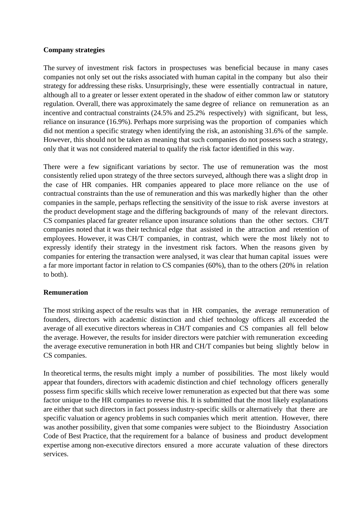#### **Company strategies**

The survey of investment risk factors in prospectuses was beneficial because in many cases companies not only set out the risks associated with human capital in the company but also their strategy for addressing these risks. Unsurprisingly, these were essentially contractual in nature, although all to a greater or lesser extent operated in the shadow of either common law or statutory regulation. Overall, there was approximately the same degree of reliance on remuneration as an incentive and contractual constraints (24.5% and 25.2% respectively) with significant, but less, reliance on insurance (16.9%). Perhaps more surprising was the proportion of companies which did not mention a specific strategy when identifying the risk, an astonishing 31.6% of the sample. However, this should not be taken as meaning that such companies do not possess such a strategy, only that it was not considered material to qualify the risk factor identified in this way.

There were a few significant variations by sector. The use of remuneration was the most consistently relied upon strategy of the three sectors surveyed, although there was a slight drop in the case of HR companies. HR companies appeared to place more reliance on the use of contractual constraints than the use of remuneration and this was markedly higher than the other companies in the sample, perhaps reflecting the sensitivity of the issue to risk averse investors at the product development stage and the differing backgrounds of many of the relevant directors. CS companies placed far greater reliance upon insurance solutions than the other sectors. CH/T companies noted that it was their technical edge that assisted in the attraction and retention of employees. However, it was CH/T companies, in contrast, which were the most likely not to expressly identify their strategy in the investment risk factors. When the reasons given by companies for entering the transaction were analysed, it was clear that human capital issues were a far more important factor in relation to CS companies (60%), than to the others (20% in relation to both).

#### **Remuneration**

The most striking aspect of the results was that in HR companies, the average remuneration of founders, directors with academic distinction and chief technology officers all exceeded the average of all executive directors whereas in CH/T companies and CS companies all fell below the average. However, the results for insider directors were patchier with remuneration exceeding the average executive remuneration in both HR and CH/T companies but being slightly below in CS companies.

In theoretical terms, the results might imply a number of possibilities. The most likely would appear that founders, directors with academic distinction and chief technology officers generally possess firm specific skills which receive lower remuneration as expected but that there was some factor unique to the HR companies to reverse this. It is submitted that the most likely explanations are either that such directors in fact possess industry-specific skills or alternatively that there are specific valuation or agency problems in such companies which merit attention. However, there was another possibility, given that some companies were subject to the Bioindustry Association Code of Best Practice, that the requirement for a balance of business and product development expertise among non-executive directors ensured a more accurate valuation of these directors services.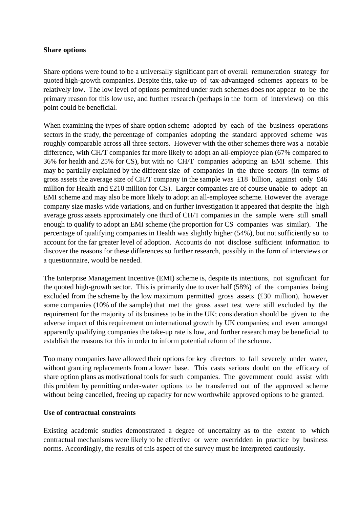#### **Share options**

Share options were found to be a universally significant part of overall remuneration strategy for quoted high-growth companies. Despite this, take-up of tax-advantaged schemes appears to be relatively low. The low level of options permitted under such schemes does not appear to be the primary reason for this low use, and further research (perhaps in the form of interviews) on this point could be beneficial.

When examining the types of share option scheme adopted by each of the business operations sectors in the study, the percentage of companies adopting the standard approved scheme was roughly comparable across all three sectors. However with the other schemes there was a notable difference, with CH/T companies far more likely to adopt an all-employee plan (67% compared to 36% for health and 25% for CS), but with no CH/T companies adopting an EMI scheme. This may be partially explained by the different size of companies in the three sectors (in terms of gross assets the average size of CH/T company in the sample was £18 billion, against only £46 million for Health and £210 million for CS). Larger companies are of course unable to adopt an EMI scheme and may also be more likely to adopt an all-employee scheme. However the average company size masks wide variations, and on further investigation it appeared that despite the high average gross assets approximately one third of CH/T companies in the sample were still small enough to qualify to adopt an EMI scheme (the proportion for CS companies was similar). The percentage of qualifying companies in Health was slightly higher (54%), but not sufficiently so to account for the far greater level of adoption. Accounts do not disclose sufficient information to discover the reasons for these differences so further research, possibly in the form of interviews or a questionnaire, would be needed.

The Enterprise Management Incentive (EMI) scheme is, despite its intentions, not significant for the quoted high-growth sector. This is primarily due to over half (58%) of the companies being excluded from the scheme by the low maximum permitted gross assets (£30 million), however some companies (10% of the sample) that met the gross asset test were still excluded by the requirement for the majority of its business to be in the UK; consideration should be given to the adverse impact of this requirement on international growth by UK companies; and even amongst apparently qualifying companies the take-up rate is low, and further research may be beneficial to establish the reasons for this in order to inform potential reform of the scheme.

Too many companies have allowed their options for key directors to fall severely under water, without granting replacements from a lower base. This casts serious doubt on the efficacy of share option plans as motivational tools for such companies. The government could assist with this problem by permitting under-water options to be transferred out of the approved scheme without being cancelled, freeing up capacity for new worthwhile approved options to be granted.

#### **Use of contractual constraints**

Existing academic studies demonstrated a degree of uncertainty as to the extent to which contractual mechanisms were likely to be effective or were overridden in practice by business norms. Accordingly, the results of this aspect of the survey must be interpreted cautiously.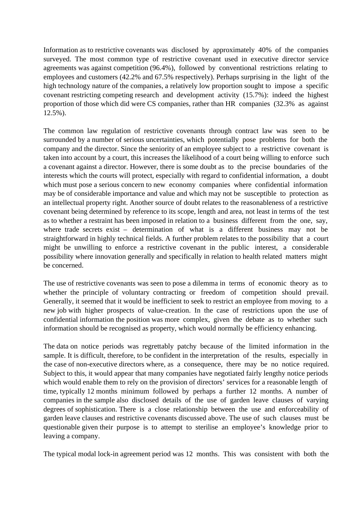Information as to restrictive covenants was disclosed by approximately 40% of the companies surveyed. The most common type of restrictive covenant used in executive director service agreements was against competition (96.4%), followed by conventional restrictions relating to employees and customers (42.2% and 67.5% respectively). Perhaps surprising in the light of the high technology nature of the companies, a relatively low proportion sought to impose a specific covenant restricting competing research and development activity (15.7%): indeed the highest proportion of those which did were CS companies, rather than HR companies (32.3% as against 12.5%).

The common law regulation of restrictive covenants through contract law was seen to be surrounded by a number of serious uncertainties, which potentially pose problems for both the company and the director. Since the seniority of an employee subject to a restrictive covenant is taken into account by a court, this increases the likelihood of a court being willing to enforce such a covenant against a director. However, there is some doubt as to the precise boundaries of the interests which the courts will protect, especially with regard to confidential information, a doubt which must pose a serious concern to new economy companies where confidential information may be of considerable importance and value and which may not be susceptible to protection as an intellectual property right. Another source of doubt relates to the reasonableness of a restrictive covenant being determined by reference to its scope, length and area, not least in terms of the test as to whether a restraint has been imposed in relation to a business different from the one, say, where trade secrets exist – determination of what is a different business may not be straightforward in highly technical fields. A further problem relates to the possibility that a court might be unwilling to enforce a restrictive covenant in the public interest, a considerable possibility where innovation generally and specifically in relation to health related matters might be concerned.

The use of restrictive covenants was seen to pose a dilemma in terms of economic theory as to whether the principle of voluntary contracting or freedom of competition should prevail. Generally, it seemed that it would be inefficient to seek to restrict an employee from moving to a new job with higher prospects of value-creation. In the case of restrictions upon the use of confidential information the position was more complex, given the debate as to whether such information should be recognised as property, which would normally be efficiency enhancing.

The data on notice periods was regrettably patchy because of the limited information in the sample. It is difficult, therefore, to be confident in the interpretation of the results, especially in the case of non-executive directors where, as a consequence, there may be no notice required. Subject to this, it would appear that many companies have negotiated fairly lengthy notice periods which would enable them to rely on the provision of directors' services for a reasonable length of time, typically 12 months minimum followed by perhaps a further 12 months. A number of companies in the sample also disclosed details of the use of garden leave clauses of varying degrees of sophistication. There is a close relationship between the use and enforceability of garden leave clauses and restrictive covenants discussed above. The use of such clauses must be questionable given their purpose is to attempt to sterilise an employee's knowledge prior to leaving a company.

The typical modal lock-in agreement period was 12 months. This was consistent with both the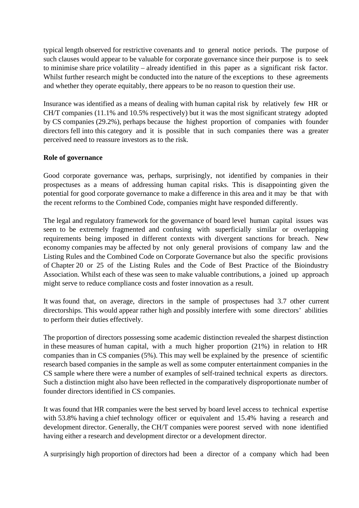typical length observed for restrictive covenants and to general notice periods. The purpose of such clauses would appear to be valuable for corporate governance since their purpose is to seek to minimise share price volatility – already identified in this paper as a significant risk factor. Whilst further research might be conducted into the nature of the exceptions to these agreements and whether they operate equitably, there appears to be no reason to question their use.

Insurance was identified as a means of dealing with human capital risk by relatively few HR or CH/T companies (11.1% and 10.5% respectively) but it was the most significant strategy adopted by CS companies (29.2%), perhaps because the highest proportion of companies with founder directors fell into this category and it is possible that in such companies there was a greater perceived need to reassure investors as to the risk.

## **Role of governance**

Good corporate governance was, perhaps, surprisingly, not identified by companies in their prospectuses as a means of addressing human capital risks. This is disappointing given the potential for good corporate governance to make a difference in this area and it may be that with the recent reforms to the Combined Code, companies might have responded differently.

The legal and regulatory framework for the governance of board level human capital issues was seen to be extremely fragmented and confusing with superficially similar or overlapping requirements being imposed in different contexts with divergent sanctions for breach. New economy companies may be affected by not only general provisions of company law and the Listing Rules and the Combined Code on Corporate Governance but also the specific provisions of Chapter 20 or 25 of the Listing Rules and the Code of Best Practice of the Bioindustry Association. Whilst each of these was seen to make valuable contributions, a joined up approach might serve to reduce compliance costs and foster innovation as a result.

It was found that, on average, directors in the sample of prospectuses had 3.7 other current directorships. This would appear rather high and possibly interfere with some directors' abilities to perform their duties effectively.

The proportion of directors possessing some academic distinction revealed the sharpest distinction in these measures of human capital, with a much higher proportion (21%) in relation to HR companies than in CS companies (5%). This may well be explained by the presence of scientific research based companies in the sample as well as some computer entertainment companies in the CS sample where there were a number of examples of self-trained technical experts as directors. Such a distinction might also have been reflected in the comparatively disproportionate number of founder directors identified in CS companies.

It was found that HR companies were the best served by board level access to technical expertise with 53.8% having a chief technology officer or equivalent and 15.4% having a research and development director. Generally, the CH/T companies were poorest served with none identified having either a research and development director or a development director.

A surprisingly high proportion of directors had been a director of a company which had been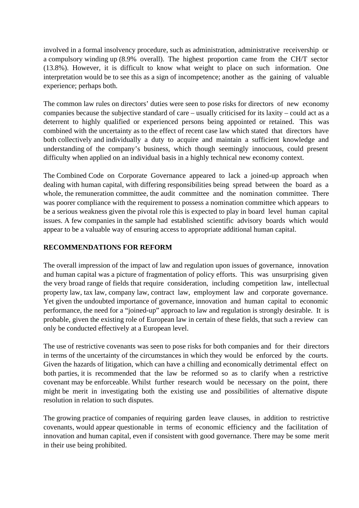involved in a formal insolvency procedure, such as administration, administrative receivership or a compulsory winding up (8.9% overall). The highest proportion came from the CH/T sector (13.8%). However, it is difficult to know what weight to place on such information. One interpretation would be to see this as a sign of incompetence; another as the gaining of valuable experience; perhaps both.

The common law rules on directors' duties were seen to pose risks for directors of new economy companies because the subjective standard of care – usually criticised for its laxity – could act as a deterrent to highly qualified or experienced persons being appointed or retained. This was combined with the uncertainty as to the effect of recent case law which stated that directors have both collectively and individually a duty to acquire and maintain a sufficient knowledge and understanding of the company's business, which though seemingly innocuous, could present difficulty when applied on an individual basis in a highly technical new economy context.

The Combined Code on Corporate Governance appeared to lack a joined-up approach when dealing with human capital, with differing responsibilities being spread between the board as a whole, the remuneration committee, the audit committee and the nomination committee. There was poorer compliance with the requirement to possess a nomination committee which appears to be a serious weakness given the pivotal role this is expected to play in board level human capital issues. A few companies in the sample had established scientific advisory boards which would appear to be a valuable way of ensuring access to appropriate additional human capital.

## **RECOMMENDATIONS FOR REFORM**

The overall impression of the impact of law and regulation upon issues of governance, innovation and human capital was a picture of fragmentation of policy efforts. This was unsurprising given the very broad range of fields that require consideration, including competition law, intellectual property law, tax law, company law, contract law, employment law and corporate governance. Yet given the undoubted importance of governance, innovation and human capital to economic performance, the need for a "joined-up" approach to law and regulation is strongly desirable. It is probable, given the existing role of European law in certain of these fields, that such a review can only be conducted effectively at a European level.

The use of restrictive covenants was seen to pose risks for both companies and for their directors in terms of the uncertainty of the circumstances in which they would be enforced by the courts. Given the hazards of litigation, which can have a chilling and economically detrimental effect on both parties, it is recommended that the law be reformed so as to clarify when a restrictive covenant may be enforceable. Whilst further research would be necessary on the point, there might be merit in investigating both the existing use and possibilities of alternative dispute resolution in relation to such disputes.

The growing practice of companies of requiring garden leave clauses, in addition to restrictive covenants, would appear questionable in terms of economic efficiency and the facilitation of innovation and human capital, even if consistent with good governance. There may be some merit in their use being prohibited.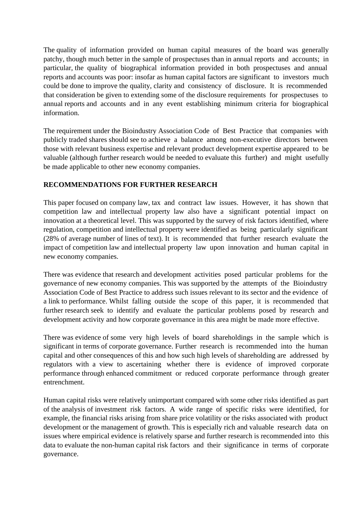The quality of information provided on human capital measures of the board was generally patchy, though much better in the sample of prospectuses than in annual reports and accounts; in particular, the quality of biographical information provided in both prospectuses and annual reports and accounts was poor: insofar as human capital factors are significant to investors much could be done to improve the quality, clarity and consistency of disclosure. It is recommended that consideration be given to extending some of the disclosure requirements for prospectuses to annual reports and accounts and in any event establishing minimum criteria for biographical information.

The requirement under the Bioindustry Association Code of Best Practice that companies with publicly traded shares should see to achieve a balance among non-executive directors between those with relevant business expertise and relevant product development expertise appeared to be valuable (although further research would be needed to evaluate this further) and might usefully be made applicable to other new economy companies.

## **RECOMMENDATIONS FOR FURTHER RESEARCH**

This paper focused on company law, tax and contract law issues. However, it has shown that competition law and intellectual property law also have a significant potential impact on innovation at a theoretical level. This was supported by the survey of risk factors identified, where regulation, competition and intellectual property were identified as being particularly significant (28% of average number of lines of text). It is recommended that further research evaluate the impact of competition law and intellectual property law upon innovation and human capital in new economy companies.

There was evidence that research and development activities posed particular problems for the governance of new economy companies. This was supported by the attempts of the Bioindustry Association Code of Best Practice to address such issues relevant to its sector and the evidence of a link to performance. Whilst falling outside the scope of this paper, it is recommended that further research seek to identify and evaluate the particular problems posed by research and development activity and how corporate governance in this area might be made more effective.

There was evidence of some very high levels of board shareholdings in the sample which is significant in terms of corporate governance. Further research is recommended into the human capital and other consequences of this and how such high levels of shareholding are addressed by regulators with a view to ascertaining whether there is evidence of improved corporate performance through enhanced commitment or reduced corporate performance through greater entrenchment.

Human capital risks were relatively unimportant compared with some other risks identified as part of the analysis of investment risk factors. A wide range of specific risks were identified, for example, the financial risks arising from share price volatility or the risks associated with product development or the management of growth. This is especially rich and valuable research data on issues where empirical evidence is relatively sparse and further research is recommended into this data to evaluate the non-human capital risk factors and their significance in terms of corporate governance.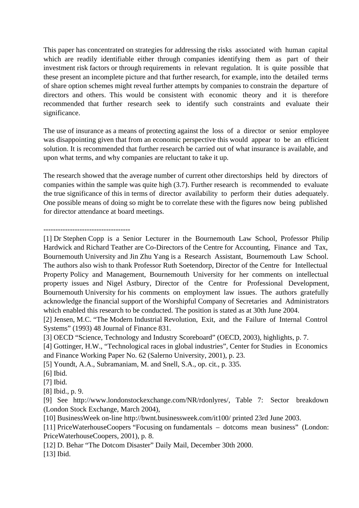This paper has concentrated on strategies for addressing the risks associated with human capital which are readily identifiable either through companies identifying them as part of their investment risk factors or through requirements in relevant regulation. It is quite possible that these present an incomplete picture and that further research, for example, into the detailed terms of share option schemes might reveal further attempts by companies to constrain the departure of directors and others. This would be consistent with economic theory and it is therefore recommended that further research seek to identify such constraints and evaluate their significance.

The use of insurance as a means of protecting against the loss of a director or senior employee was disappointing given that from an economic perspective this would appear to be an efficient solution. It is recommended that further research be carried out of what insurance is available, and upon what terms, and why companies are reluctant to take it up.

The research showed that the average number of current other directorships held by directors of companies within the sample was quite high (3.7). Further research is recommended to evaluate the true significance of this in terms of director availability to perform their duties adequately. One possible means of doing so might be to correlate these with the figures now being published for director attendance at board meetings.

# ------------------------------------

[1] Dr Stephen Copp is a Senior Lecturer in the Bournemouth Law School, Professor Philip Hardwick and Richard Teather are Co-Directors of the Centre for Accounting, Finance and Tax, Bournemouth University and Jin Zhu Yang is a Research Assistant, Bournemouth Law School. The authors also wish to thank Professor Ruth Soetendorp, Director of the Centre for Intellectual Property Policy and Management, Bournemouth University for her comments on intellectual property issues and Nigel Astbury, Director of the Centre for Professional Development, Bournemouth University for his comments on employment law issues. The authors gratefully acknowledge the financial support of the Worshipful Company of Secretaries and Administrators which enabled this research to be conducted. The position is stated as at 30th June 2004.

[13] Ibid.

<sup>[2]</sup> Jensen, M.C. "The Modern Industrial Revolution, Exit, and the Failure of Internal Control Systems" (1993) 48 Journal of Finance 831.

<sup>[3]</sup> OECD "Science, Technology and Industry Scoreboard" (OECD, 2003), highlights, p. 7.

<sup>[4]</sup> Gottinger, H.W., "Technological races in global industries", Center for Studies in Economics and Finance Working Paper No. 62 (Salerno University, 2001), p. 23.

<sup>[5]</sup> Youndt, A.A., Subramaniam, M. and Snell, S.A., op. cit., p. 335.

<sup>[6]</sup> Ibid.

<sup>[7]</sup> Ibid.

<sup>[8]</sup> Ibid., p. 9.

<sup>[9]</sup> See http://www.londonstockexchange.com/NR/rdonlyres/, Table 7: Sector breakdown (London Stock Exchange, March 2004),

<sup>[10]</sup> BusinessWeek on-line http://bwnt.businessweek.com/it100/ printed 23rd June 2003.

<sup>[11]</sup> PriceWaterhouseCoopers "Focusing on fundamentals – dotcoms mean business" (London: PriceWaterhouseCoopers, 2001), p. 8.

<sup>[12]</sup> D. Behar "The Dotcom Disaster" Daily Mail, December 30th 2000.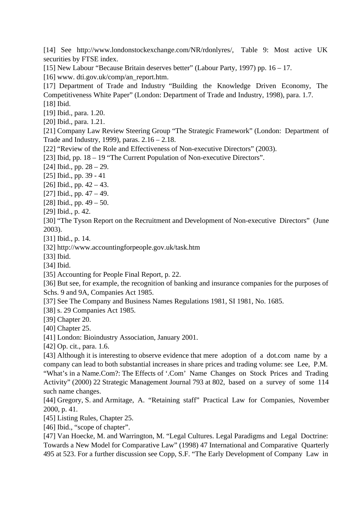[14] See http://www.londonstockexchange.com/NR/rdonlyres/, Table 9: Most active UK securities by FTSE index.

[15] New Labour "Because Britain deserves better" (Labour Party, 1997) pp. 16 – 17.

[16] www. dti.gov.uk/comp/an\_report.htm.

[17] Department of Trade and Industry "Building the Knowledge Driven Economy, The Competitiveness White Paper" (London: Department of Trade and Industry, 1998), para. 1.7. [18] Ibid.

[19] Ibid., para. 1.20.

[20] Ibid., para. 1.21.

[21] Company Law Review Steering Group "The Strategic Framework" (London: Department of Trade and Industry, 1999), paras. 2.16 – 2.18.

[22] "Review of the Role and Effectiveness of Non-executive Directors" (2003).

[23] Ibid, pp. 18 – 19 "The Current Population of Non-executive Directors".

[24] Ibid., pp.  $28 - 29$ .

[25] Ibid., pp. 39 - 41

[26] Ibid., pp.  $42 - 43$ .

[27] Ibid., pp.  $47 - 49$ .

[28] Ibid., pp. 49 – 50.

[29] Ibid., p. 42.

[30] "The Tyson Report on the Recruitment and Development of Non-executive Directors" (June 2003).

[31] Ibid., p. 14.

[32] http://www.accountingforpeople.gov.uk/task.htm

[33] Ibid.

[34] Ibid.

[35] Accounting for People Final Report, p. 22.

[36] But see, for example, the recognition of banking and insurance companies for the purposes of Schs. 9 and 9A, Companies Act 1985.

[37] See The Company and Business Names Regulations 1981, SI 1981, No. 1685.

[38] s. 29 Companies Act 1985.

[39] Chapter 20.

[40] Chapter 25.

[41] London: Bioindustry Association, January 2001.

[42] Op. cit., para. 1.6.

[43] Although it is interesting to observe evidence that mere adoption of a dot.com name by a company can lead to both substantial increases in share prices and trading volume: see Lee, P.M. "What's in a Name.Com?: The Effects of '.Com' Name Changes on Stock Prices and Trading Activity" (2000) 22 Strategic Management Journal 793 at 802, based on a survey of some 114 such name changes.

[44] Gregory, S. and Armitage, A. "Retaining staff" Practical Law for Companies, November 2000, p. 41.

[45] Listing Rules, Chapter 25.

[46] Ibid., "scope of chapter".

[47] Van Hoecke, M. and Warrington, M. "Legal Cultures. Legal Paradigms and Legal Doctrine: Towards a New Model for Comparative Law" (1998) 47 International and Comparative Quarterly 495 at 523. For a further discussion see Copp, S.F. "The Early Development of Company Law in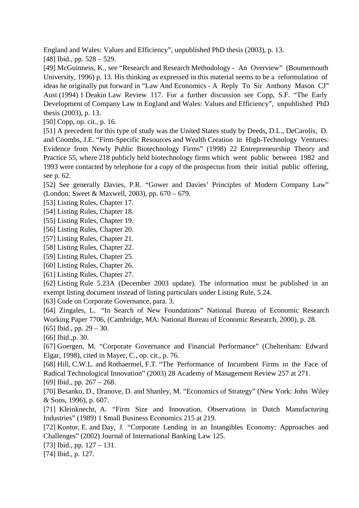England and Wales: Values and Efficiency", unpublished PhD thesis (2003), p. 13. [48] Ibid., pp. 528 – 529.

[49] McGuinness, K., see "Research and Research Methodology - An Overview" (Bournemouth University, 1996) p. 13. His thinking as expressed in this material seems to be a reformulation of ideas he originally put forward in "Law And Economics - A Reply To Sir Anthony Mason CJ" Aust (1994) 1 Deakin Law Review 117. For a further discussion see Copp, S.F. "The Early Development of Company Law in England and Wales: Values and Efficiency", unpublished PhD thesis (2003), p. 13.

[50] Copp, op. cit., p. 16.

[51] A precedent for this type of study was the United States study by Deeds, D.L., DeCarolis, D. and Coombs, J.E. "Firm-Specific Resources and Wealth Creation in High-Technology Ventures: Evidence from Newly Public Biotechnology Firms" (1998) 22 Entrepreneurship Theory and Practice 55, where 218 publicly held biotechnology firms which went public between 1982 and 1993 were contacted by telephone for a copy of the prospectus from their initial public offering, see p. 62.

[52] See generally Davies, P.R. "Gower and Davies' Principles of Modern Company Law" (London: Sweet & Maxwell, 2003), pp. 670 – 679.

[53] Listing Rules, Chapter 17.

- [54] Listing Rules, Chapter 18.
- [55] Listing Rules, Chapter 19.
- [56] Listing Rules, Chapter 20.
- [57] Listing Rules, Chapter 21.
- [58] Listing Rules, Chapter 22.
- [59] Listing Rules, Chapter 25.
- [60] Listing Rules, Chapter 26.
- [61] Listing Rules, Chapter 27.

[62] Listing Rule 5.23A (December 2003 update). The information must be published in an exempt listing document instead of listing particulars under Listing Rule, 5.24.

[63] Code on Corporate Governance, para. 3.

[64] Zingales, L. "In Search of New Foundations" National Bureau of Economic Research Working Paper 7706, (Cambridge, MA: National Bureau of Economic Research, 2000), p. 28.

[65] Ibid., pp.  $29 - 30$ .

[66] Ibid., p. 30.

[67] Goergen, M. "Corporate Governance and Financial Performance" (Cheltenham: Edward Elgar, 1998), cited in Mayer, C., op. cit., p. 76.

[68] Hill, C.W.L. and Rothaermel, F.T. "The Performance of Incumbent Firms in the Face of Radical Technological Innovation" (2003) 28 Academy of Management Review 257 at 271. [69] Ibid., pp. 267 – 268.

[70] Besanko, D., Dranove, D. and Shanley, M. "Economics of Strategy" (New York: John Wiley & Sons, 1996), p. 607.

[71] Kleinknecht, A. "Firm Size and Innovation, Observations in Dutch Manufacturing Industries" (1989) 1 Small Business Economics 215 at 219.

[72] Kontor, E. and Day, J. "Corporate Lending in an Intangibles Economy: Approaches and Challenges" (2002) Journal of International Banking Law 125.

[73] Ibid., pp. 127 – 131.

[74] Ibid., p. 127.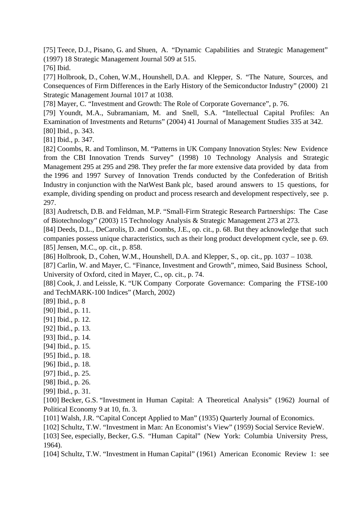[75] Teece, D.J., Pisano, G. and Shuen, A. "Dynamic Capabilities and Strategic Management" (1997) 18 Strategic Management Journal 509 at 515.

[76] Ibid.

[77] Holbrook, D., Cohen, W.M., Hounshell, D.A. and Klepper, S. "The Nature, Sources, and Consequences of Firm Differences in the Early History of the Semiconductor Industry" (2000) 21 Strategic Management Journal 1017 at 1038.

[78] Mayer, C. "Investment and Growth: The Role of Corporate Governance", p. 76.

[79] Youndt, M.A., Subramaniam, M. and Snell, S.A. "Intellectual Capital Profiles: An Examination of Investments and Returns" (2004) 41 Journal of Management Studies 335 at 342. [80] Ibid., p. 343.

[81] Ibid., p. 347.

[82] Coombs, R. and Tomlinson, M. "Patterns in UK Company Innovation Styles: New Evidence from the CBI Innovation Trends Survey" (1998) 10 Technology Analysis and Strategic Management 295 at 295 and 298. They prefer the far more extensive data provided by data from the 1996 and 1997 Survey of Innovation Trends conducted by the Confederation of British Industry in conjunction with the NatWest Bank plc, based around answers to 15 questions, for example, dividing spending on product and process research and development respectively, see p. 297.

[83] Audretsch, D.B. and Feldman, M.P. "Small-Firm Strategic Research Partnerships: The Case of Biotechnology" (2003) 15 Technology Analysis & Strategic Management 273 at 273.

[84] Deeds, D.L., DeCarolis, D. and Coombs, J.E., op. cit., p. 68. But they acknowledge that such companies possess unique characteristics, such as their long product development cycle, see p. 69. [85] Jensen, M.C., op. cit., p. 858.

[86] Holbrook, D., Cohen, W.M., Hounshell, D.A. and Klepper, S., op. cit., pp. 1037 – 1038.

[87] Carlin, W. and Mayer, C. "Finance, Investment and Growth", mimeo, Said Business School, University of Oxford, cited in Mayer, C., op. cit., p. 74.

[88] Cook, J. and Leissle, K. "UK Company Corporate Governance: Comparing the FTSE-100 and TechMARK-100 Indices" (March, 2002)

[89] Ibid., p. 8

- [90] Ibid., p. 11.
- [91] Ibid., p. 12.
- [92] Ibid., p. 13.
- [93] Ibid., p. 14.
- [94] Ibid., p. 15.
- [95] Ibid., p. 18.
- [96] Ibid., p. 18.
- [97] Ibid., p. 25.
- [98] Ibid., p. 26.
- [99] Ibid., p. 31.

[100] Becker, G.S. "Investment in Human Capital: A Theoretical Analysis" (1962) Journal of Political Economy 9 at 10, fn. 3.

[101] Walsh, J.R. "Capital Concept Applied to Man" (1935) Quarterly Journal of Economics.

[102] Schultz, T.W. "Investment in Man: An Economist's View" (1959) Social Service RevieW.

[103] See, especially, Becker, G.S. "Human Capital" (New York: Columbia University Press, 1964).

[104] Schultz, T.W. "Investment in Human Capital" (1961) American Economic Review 1: see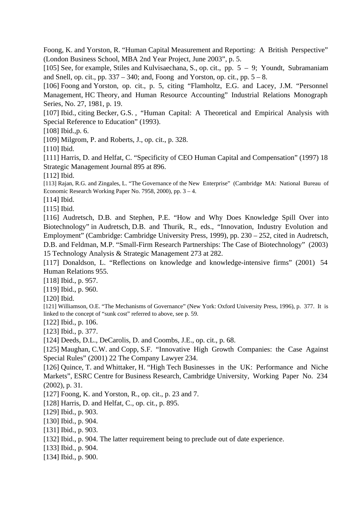Foong, K. and Yorston, R. "Human Capital Measurement and Reporting: A British Perspective" (London Business School, MBA 2nd Year Project, June 2003", p. 5.

[105] See, for example, Stiles and Kulvisaechana, S., op. cit., pp. 5 – 9; Youndt, Subramaniam and Snell, op. cit., pp.  $337 - 340$ ; and, Foong and Yorston, op. cit., pp.  $5 - 8$ .

[106] Foong and Yorston, op. cit., p. 5, citing "Flamholtz, E.G. and Lacey, J.M. "Personnel" Management, HC Theory, and Human Resource Accounting" Industrial Relations Monograph Series, No. 27, 1981, p. 19.

[107] Ibid., citing Becker, G.S., "Human Capital: A Theoretical and Empirical Analysis with Special Reference to Education" (1993).

[108] Ibid., p. 6.

[109] Milgrom, P. and Roberts, J., op. cit., p. 328.

[110] Ibid.

[111] Harris, D. and Helfat, C. "Specificity of CEO Human Capital and Compensation" (1997) 18 Strategic Management Journal 895 at 896.

[112] Ibid.

[113] Rajan, R.G. and Zingales, L. "The Governance of the New Enterprise" (Cambridge MA: National Bureau of Economic Research Working Paper No. 7958, 2000), pp. 3 – 4.

[114] Ibid.

[115] Ibid.

[116] Audretsch, D.B. and Stephen, P.E. "How and Why Does Knowledge Spill Over into Biotechnology" in Audretsch, D.B. and Thurik, R., eds., "Innovation, Industry Evolution and Employment" (Cambridge: Cambridge University Press, 1999), pp. 230 – 252, cited in Audretsch, D.B. and Feldman, M.P. "Small-Firm Research Partnerships: The Case of Biotechnology" (2003) 15 Technology Analysis & Strategic Management 273 at 282.

[117] Donaldson, L. "Reflections on knowledge and knowledge-intensive firms" (2001) 54 Human Relations 955.

[118] Ibid., p. 957.

[119] Ibid., p. 960.

[120] Ibid.

[121] Williamson, O.E. "The Mechanisms of Governance" (New York: Oxford University Press, 1996), p. 377. It is linked to the concept of "sunk cost" referred to above, see p. 59.

[122] Ibid., p. 106.

[123] Ibid., p. 377.

[124] Deeds, D.L., DeCarolis, D. and Coombs, J.E., op. cit., p. 68.

[125] Maughan, C.W. and Copp, S.F. "Innovative High Growth Companies: the Case Against Special Rules" (2001) 22 The Company Lawyer 234.

[126] Quince, T. and Whittaker, H. "High Tech Businesses in the UK: Performance and Niche Markets", ESRC Centre for Business Research, Cambridge University, Working Paper No. 234 (2002), p. 31.

[127] Foong, K. and Yorston, R., op. cit., p. 23 and 7.

[128] Harris, D. and Helfat, C., op. cit., p. 895.

[129] Ibid., p. 903.

[130] Ibid., p. 904.

[131] Ibid., p. 903.

[132] Ibid., p. 904. The latter requirement being to preclude out of date experience.

[133] Ibid., p. 904.

[134] Ibid., p. 900.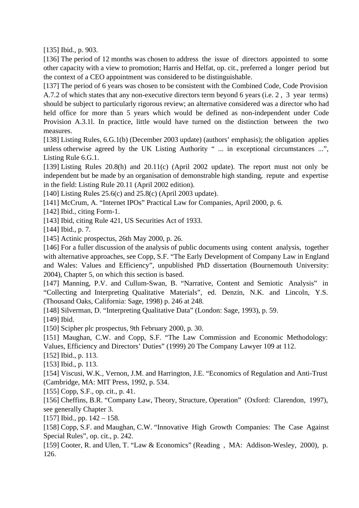[135] Ibid., p. 903.

[136] The period of 12 months was chosen to address the issue of directors appointed to some other capacity with a view to promotion; Harris and Helfat, op. cit., preferred a longer period but the context of a CEO appointment was considered to be distinguishable.

[137] The period of 6 years was chosen to be consistent with the Combined Code, Code Provision A.7.2 of which states that any non-executive directors term beyond 6 years (i.e. 2 , 3 year terms) should be subject to particularly rigorous review; an alternative considered was a director who had held office for more than 5 years which would be defined as non-independent under Code Provision A.3.1l. In practice, little would have turned on the distinction between the two measures.

[138] Listing Rules, 6.G.1(b) (December 2003 update) (authors' emphasis); the obligation applies unless otherwise agreed by the UK Listing Authority " ... in exceptional circumstances ...", Listing Rule 6.G.1.

[139] Listing Rules 20.8(h) and 20.11(c) (April 2002 update). The report must not only be independent but be made by an organisation of demonstrable high standing, repute and expertise in the field: Listing Rule 20.11 (April 2002 edition).

[140] Listing Rules 25.6(c) and 25.8(c) (April 2003 update).

[141] McCrum, A. "Internet IPOs" Practical Law for Companies, April 2000, p. 6.

[142] Ibid., citing Form-1.

[143] Ibid, citing Rule 421, US Securities Act of 1933.

[144] Ibid., p. 7.

[145] Actinic prospectus, 26th May 2000, p. 26.

[146] For a fuller discussion of the analysis of public documents using content analysis, together with alternative approaches, see Copp, S.F. "The Early Development of Company Law in England and Wales: Values and Efficiency", unpublished PhD dissertation (Bournemouth University: 2004), Chapter 5, on which this section is based.

[147] Manning, P.V. and Cullum-Swan, B. "Narrative, Content and Semiotic Analysis" in "Collecting and Interpreting Qualitative Materials", ed. Denzin, N.K. and Lincoln, Y.S. (Thousand Oaks, California: Sage, 1998) p. 246 at 248.

[148] Silverman, D. "Interpreting Qualitative Data" (London: Sage, 1993), p. 59.

[149] Ibid.

[150] Scipher plc prospectus, 9th February 2000, p. 30.

[151] Maughan, C.W. and Copp, S.F. "The Law Commission and Economic Methodology: Values, Efficiency and Directors' Duties" (1999) 20 The Company Lawyer 109 at 112.

[152] Ibid., p. 113.

[153] Ibid., p. 113.

[154] Viscusi, W.K., Vernon, J.M. and Harrington, J.E. "Economics of Regulation and Anti-Trust (Cambridge, MA: MIT Press, 1992, p. 534.

[155] Copp, S.F., op. cit., p. 41.

[156] Cheffins, B.R. "Company Law, Theory, Structure, Operation" (Oxford: Clarendon, 1997), see generally Chapter 3.

[157] Ibid., pp. 142 – 158.

[158] Copp, S.F. and Maughan, C.W. "Innovative High Growth Companies: The Case Against Special Rules", op. cit., p. 242.

[159] Cooter, R. and Ulen, T. "Law & Economics" (Reading, MA: Addison-Wesley, 2000), p. 126.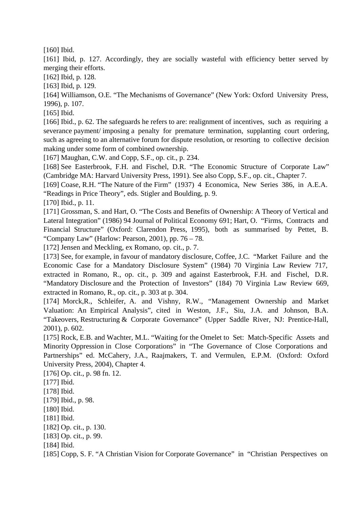[160] Ibid.

[161] Ibid, p. 127. Accordingly, they are socially wasteful with efficiency better served by merging their efforts.

[162] Ibid, p. 128.

[163] Ibid, p. 129.

[164] Williamson, O.E. "The Mechanisms of Governance" (New York: Oxford University Press, 1996), p. 107.

[165] Ibid.

[166] Ibid., p. 62. The safeguards he refers to are: realignment of incentives, such as requiring a severance payment/ imposing a penalty for premature termination, supplanting court ordering, such as agreeing to an alternative forum for dispute resolution, or resorting to collective decision making under some form of combined ownership.

[167] Maughan, C.W. and Copp, S.F., op. cit., p. 234.

[168] See Easterbrook, F.H. and Fischel, D.R. "The Economic Structure of Corporate Law" (Cambridge MA: Harvard University Press, 1991). See also Copp, S.F., op. cit., Chapter 7.

[169] Coase, R.H. "The Nature of the Firm" (1937) 4 Economica, New Series 386, in A.E.A. "Readings in Price Theory", eds. Stigler and Boulding, p. 9.

[170] Ibid., p. 11.

[171] Grossman, S. and Hart, O. "The Costs and Benefits of Ownership: A Theory of Vertical and Lateral Integration" (1986) 94 Journal of Political Economy 691; Hart, O. "Firms, Contracts and Financial Structure" (Oxford: Clarendon Press, 1995), both as summarised by Pettet, B. "Company Law" (Harlow: Pearson, 2001), pp.  $76 - 78$ .

[172] Jensen and Meckling, ex Romano, op. cit., p. 7.

[173] See, for example, in favour of mandatory disclosure, Coffee, J.C. "Market Failure and the Economic Case for a Mandatory Disclosure System" (1984) 70 Virginia Law Review 717, extracted in Romano, R., op. cit., p. 309 and against Easterbrook, F.H. and Fischel, D.R. "Mandatory Disclosure and the Protection of Investors" (184) 70 Virginia Law Review 669, extracted in Romano, R., op. cit., p. 303 at p. 304.

[174] Morck,R., Schleifer, A. and Vishny, R.W., "Management Ownership and Market Valuation: An Empirical Analysis", cited in Weston, J.F., Siu, J.A. and Johnson, B.A. "Takeovers, Restructuring & Corporate Governance" (Upper Saddle River, NJ: Prentice-Hall, 2001), p. 602.

[175] Rock, E.B. and Wachter, M.L. "Waiting for the Omelet to Set: Match-Specific Assets and Minority Oppression in Close Corporations" in "The Governance of Close Corporations and Partnerships" ed. McCahery, J.A., Raajmakers, T. and Vermulen, E.P.M. (Oxford: Oxford University Press, 2004), Chapter 4.

[176] Op. cit., p. 98 fn. 12.

[177] Ibid.

[178] Ibid.

[179] Ibid., p. 98.

[180] Ibid.

[181] Ibid.

[182] Op. cit., p. 130.

[183] Op. cit., p. 99.

[184] Ibid.

[185] Copp, S. F. "A Christian Vision for Corporate Governance" in "Christian Perspectives on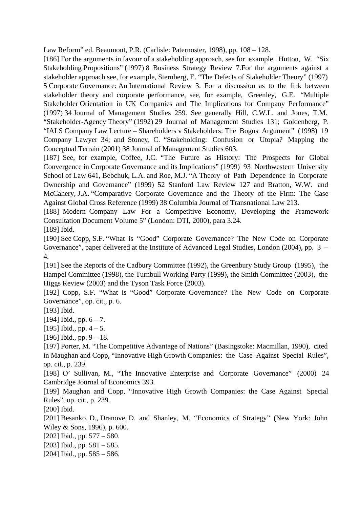Law Reform" ed. Beaumont, P.R. (Carlisle: Paternoster, 1998), pp. 108 – 128.

[186] For the arguments in favour of a stakeholding approach, see for example, Hutton, W. "Six" Stakeholding Propositions" (1997) 8 Business Strategy Review 7.For the arguments against a stakeholder approach see, for example, Sternberg, E. "The Defects of Stakeholder Theory" (1997) 5 Corporate Governance: An International Review 3. For a discussion as to the link between stakeholder theory and corporate performance, see, for example, Greenley, G.E. "Multiple Stakeholder Orientation in UK Companies and The Implications for Company Performance" (1997) 34 Journal of Management Studies 259. See generally Hill, C.W.L. and Jones, T.M. "Stakeholder-Agency Theory" (1992) 29 Journal of Management Studies 131; Goldenberg, P. "IALS Company Law Lecture – Shareholders v Stakeholders: The Bogus Argument" (1998) 19 Company Lawyer 34; and Stoney, C. "Stakeholding: Confusion or Utopia? Mapping the Conceptual Terrain (2001) 38 Journal of Management Studies 603.

[187] See, for example, Coffee, J.C. "The Future as History: The Prospects for Global Convergence in Corporate Governance and its Implications" (1999) 93 Northwestern University School of Law 641, Bebchuk, L.A. and Roe, M.J. "A Theory of Path Dependence in Corporate Ownership and Governance" (1999) 52 Stanford Law Review 127 and Bratton, W.W. and McCahery, J.A. "Comparative Corporate Governance and the Theory of the Firm: The Case Against Global Cross Reference (1999) 38 Columbia Journal of Transnational Law 213.

[188] Modern Company Law For a Competitive Economy, Developing the Framework Consultation Document Volume 5" (London: DTI, 2000), para 3.24.

[189] Ibid.

[190] See Copp, S.F. "What is "Good" Corporate Governance? The New Code on Corporate Governance", paper delivered at the Institute of Advanced Legal Studies, London (2004), pp. 3 – 4.

[191] See the Reports of the Cadbury Committee (1992), the Greenbury Study Group (1995), the Hampel Committee (1998), the Turnbull Working Party (1999), the Smith Committee (2003), the Higgs Review (2003) and the Tyson Task Force (2003).

[192] Copp, S.F. "What is "Good" Corporate Governance? The New Code on Corporate Governance", op. cit., p. 6.

[193] Ibid.

[194] Ibid., pp.  $6 - 7$ .

[195] Ibid., pp.  $4 - 5$ .

[196] Ibid., pp.  $9 - 18$ .

[197] Porter, M. "The Competitive Advantage of Nations" (Basingstoke: Macmillan, 1990), cited in Maughan and Copp, "Innovative High Growth Companies: the Case Against Special Rules", op. cit., p. 239.

[198] O' Sullivan, M., "The Innovative Enterprise and Corporate Governance" (2000) 24 Cambridge Journal of Economics 393.

[199] Maughan and Copp, "Innovative High Growth Companies: the Case Against Special Rules", op. cit., p. 239.

[200] Ibid.

[201] Besanko, D., Dranove, D. and Shanley, M. "Economics of Strategy" (New York: John Wiley & Sons, 1996), p. 600.

[202] Ibid., pp. 577 – 580.

[203] Ibid., pp. 581 – 585.

[204] Ibid., pp. 585 – 586.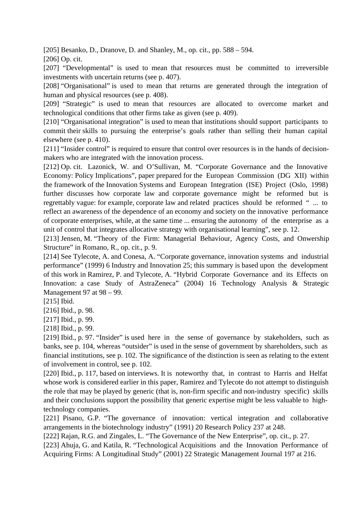[205] Besanko, D., Dranove, D. and Shanley, M., op. cit., pp. 588 – 594.

[206] Op. cit.

[207] "Developmental" is used to mean that resources must be committed to irreversible investments with uncertain returns (see p. 407).

[208] "Organisational" is used to mean that returns are generated through the integration of human and physical resources (see p. 408).

[209] "Strategic" is used to mean that resources are allocated to overcome market and technological conditions that other firms take as given (see p. 409).

[210] "Organisational integration" is used to mean that institutions should support participants to commit their skills to pursuing the enterprise's goals rather than selling their human capital elsewhere (see p. 410).

[211] "Insider control" is required to ensure that control over resources is in the hands of decisionmakers who are integrated with the innovation process.

[212] Op. cit. Lazonick, W. and O'Sullivan, M. "Corporate Governance and the Innovative Economy: Policy Implications", paper prepared for the European Commission (DG XII) within the framework of the Innovation Systems and European Integration (ISE) Project (Oslo, 1998) further discusses how corporate law and corporate governance might be reformed but is regrettably vague: for example, corporate law and related practices should be reformed " ... to reflect an awareness of the dependence of an economy and society on the innovative performance of corporate enterprises, while, at the same time ... ensuring the autonomy of the enterprise as a unit of control that integrates allocative strategy with organisational learning", see p. 12.

[213] Jensen, M. "Theory of the Firm: Managerial Behaviour, Agency Costs, and Onwership Structure" in Romano, R., op. cit., p. 9.

[214] See Tylecote, A. and Conesa, A. "Corporate governance, innovation systems and industrial performance" (1999) 6 Industry and Innovation 25; this summary is based upon the development of this work in Ramirez, P. and Tylecote, A. "Hybrid Corporate Governance and its Effects on Innovation: a case Study of AstraZeneca" (2004) 16 Technology Analysis & Strategic Management 97 at 98 – 99.

[215] Ibid.

[216] Ibid., p. 98.

[217] Ibid., p. 99.

[218] Ibid., p. 99.

[219] Ibid., p. 97. "Insider" is used here in the sense of governance by stakeholders, such as banks, see p. 104, whereas "outsider" is used in the sense of government by shareholders, such as financial institutions, see p. 102. The significance of the distinction is seen as relating to the extent of involvement in control, see p. 102.

[220] Ibid., p. 117, based on interviews. It is noteworthy that, in contrast to Harris and Helfat whose work is considered earlier in this paper, Ramirez and Tylecote do not attempt to distinguish the role that may be played by generic (that is, non-firm specific and non-industry specific) skills and their conclusions support the possibility that generic expertise might be less valuable to hightechnology companies.

[221] Pisano, G.P. "The governance of innovation: vertical integration and collaborative arrangements in the biotechnology industry" (1991) 20 Research Policy 237 at 248.

[222] Rajan, R.G. and Zingales, L. "The Governance of the New Enterprise", op. cit., p. 27.

[223] Ahuja, G. and Katila, R. "Technological Acquisitions and the Innovation Performance of Acquiring Firms: A Longitudinal Study" (2001) 22 Strategic Management Journal 197 at 216.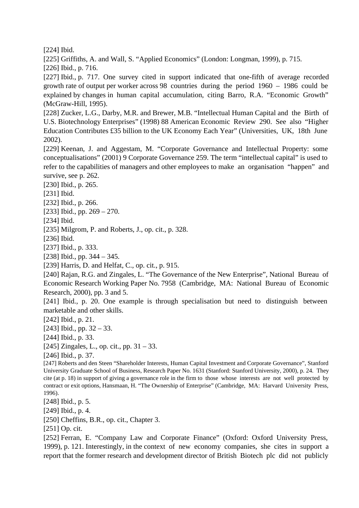[224] Ibid.

[225] Griffiths, A. and Wall, S. "Applied Economics" (London: Longman, 1999), p. 715.

[226] Ibid., p. 716.

[227] Ibid., p. 717. One survey cited in support indicated that one-fifth of average recorded growth rate of output per worker across 98 countries during the period 1960 – 1986 could be explained by changes in human capital accumulation, citing Barro, R.A. "Economic Growth" (McGraw-Hill, 1995).

[228] Zucker, L.G., Darby, M.R. and Brewer, M.B. "Intellectual Human Capital and the Birth of U.S. Biotechnology Enterprises" (1998) 88 American Economic Review 290. See also "Higher Education Contributes £35 billion to the UK Economy Each Year" (Universities, UK, 18th June 2002).

[229] Keenan, J. and Aggestam, M. "Corporate Governance and Intellectual Property: some conceptualisations" (2001) 9 Corporate Governance 259. The term "intellectual capital" is used to refer to the capabilities of managers and other employees to make an organisation "happen" and survive, see p. 262.

[230] Ibid., p. 265.

[231] Ibid.

[232] Ibid., p. 266.

[233] Ibid., pp. 269 – 270.

[234] Ibid.

[235] Milgrom, P. and Roberts, J., op. cit., p. 328.

[236] Ibid.

[237] Ibid., p. 333.

[238] Ibid., pp. 344 – 345.

[239] Harris, D. and Helfat, C., op. cit., p. 915.

[240] Rajan, R.G. and Zingales, L. "The Governance of the New Enterprise", National Bureau of Economic Research Working Paper No. 7958 (Cambridge, MA: National Bureau of Economic Research, 2000), pp. 3 and 5.

[241] Ibid., p. 20. One example is through specialisation but need to distinguish between marketable and other skills.

[242] Ibid., p. 21.

[243] Ibid., pp. 32 – 33.

[244] Ibid., p. 33.

[245] Zingales, L., op. cit., pp. 31 – 33.

[246] Ibid., p. 37.

[247] Roberts and den Steen "Shareholder Interests, Human Capital Investment and Corporate Governance", Stanford University Graduate School of Business, Research Paper No. 1631 (Stanford: Stanford University, 2000), p. 24. They cite (at p. 18) in support of giving a governance role in the firm to those whose interests are not well protected by contract or exit options, Hansmaan, H. "The Ownership of Enterprise" (Cambridge, MA: Harvard University Press, 1996).

[248] Ibid., p. 5.

[249] Ibid., p. 4.

[250] Cheffins, B.R., op. cit., Chapter 3.

[251] Op. cit.

[252] Ferran, E. "Company Law and Corporate Finance" (Oxford: Oxford University Press, 1999), p. 121. Interestingly, in the context of new economy companies, she cites in support a report that the former research and development director of British Biotech plc did not publicly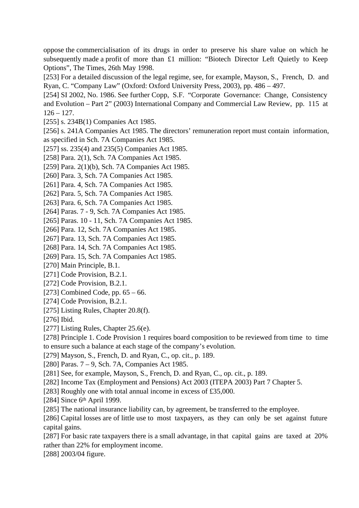oppose the commercialisation of its drugs in order to preserve his share value on which he subsequently made a profit of more than £1 million: "Biotech Director Left Quietly to Keep Options", The Times, 26th May 1998.

[253] For a detailed discussion of the legal regime, see, for example, Mayson, S., French, D. and Ryan, C. "Company Law" (Oxford: Oxford University Press, 2003), pp. 486 – 497.

[254] SI 2002, No. 1986. See further Copp, S.F. "Corporate Governance: Change, Consistency and Evolution – Part 2" (2003) International Company and Commercial Law Review, pp. 115 at  $126 - 127$ .

[255] s. 234B(1) Companies Act 1985.

[256] s. 241A Companies Act 1985. The directors' remuneration report must contain information, as specified in Sch. 7A Companies Act 1985.

[257] ss. 235(4) and 235(5) Companies Act 1985.

[258] Para. 2(1), Sch. 7A Companies Act 1985.

[259] Para. 2(1)(b), Sch. 7A Companies Act 1985.

[260] Para. 3, Sch. 7A Companies Act 1985.

[261] Para. 4, Sch. 7A Companies Act 1985.

[262] Para. 5, Sch. 7A Companies Act 1985.

[263] Para. 6, Sch. 7A Companies Act 1985.

[264] Paras. 7 - 9, Sch. 7A Companies Act 1985.

[265] Paras. 10 - 11, Sch. 7A Companies Act 1985.

[266] Para. 12, Sch. 7A Companies Act 1985.

[267] Para. 13, Sch. 7A Companies Act 1985.

[268] Para. 14, Sch. 7A Companies Act 1985.

[269] Para. 15, Sch. 7A Companies Act 1985.

[270] Main Principle, B.1.

[271] Code Provision, B.2.1.

[272] Code Provision, B.2.1.

[273] Combined Code, pp.  $65 - 66$ .

[274] Code Provision, B.2.1.

[275] Listing Rules, Chapter 20.8(f).

[276] Ibid.

[277] Listing Rules, Chapter 25.6(e).

[278] Principle 1. Code Provision 1 requires board composition to be reviewed from time to time to ensure such a balance at each stage of the company's evolution.

[279] Mayson, S., French, D. and Ryan, C., op. cit., p. 189.

[280] Paras. 7 – 9, Sch. 7A, Companies Act 1985.

[281] See, for example, Mayson, S., French, D. and Ryan, C., op. cit., p. 189.

[282] Income Tax (Employment and Pensions) Act 2003 (ITEPA 2003) Part 7 Chapter 5.

[283] Roughly one with total annual income in excess of £35,000.

[284] Since 6<sup>th</sup> April 1999.

[285] The national insurance liability can, by agreement, be transferred to the employee.

[286] Capital losses are of little use to most taxpayers, as they can only be set against future capital gains.

[287] For basic rate taxpayers there is a small advantage, in that capital gains are taxed at 20% rather than 22% for employment income.

[288] 2003/04 figure.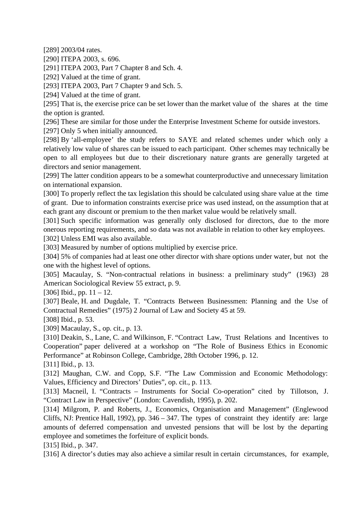[289] 2003/04 rates.

[290] ITEPA 2003, s. 696.

[291] ITEPA 2003, Part 7 Chapter 8 and Sch. 4.

[292] Valued at the time of grant.

[293] ITEPA 2003, Part 7 Chapter 9 and Sch. 5.

[294] Valued at the time of grant.

[295] That is, the exercise price can be set lower than the market value of the shares at the time the option is granted.

[296] These are similar for those under the Enterprise Investment Scheme for outside investors.

[297] Only 5 when initially announced.

[298] By 'all-employee' the study refers to SAYE and related schemes under which only a relatively low value of shares can be issued to each participant. Other schemes may technically be open to all employees but due to their discretionary nature grants are generally targeted at directors and senior management.

[299] The latter condition appears to be a somewhat counterproductive and unnecessary limitation on international expansion.

[300] To properly reflect the tax legislation this should be calculated using share value at the time of grant. Due to information constraints exercise price was used instead, on the assumption that at each grant any discount or premium to the then market value would be relatively small.

[301] Such specific information was generally only disclosed for directors, due to the more onerous reporting requirements, and so data was not available in relation to other key employees.

[302] Unless EMI was also available.

[303] Measured by number of options multiplied by exercise price.

[304] 5% of companies had at least one other director with share options under water, but not the one with the highest level of options.

[305] Macaulay, S. "Non-contractual relations in business: a preliminary study" (1963) 28 American Sociological Review 55 extract, p. 9.

[306] Ibid., pp.  $11 - 12$ .

[307] Beale, H. and Dugdale, T. "Contracts Between Businessmen: Planning and the Use of Contractual Remedies" (1975) 2 Journal of Law and Society 45 at 59.

[308] Ibid., p. 53.

[309] Macaulay, S., op. cit., p. 13.

[310] Deakin, S., Lane, C. and Wilkinson, F. "Contract Law, Trust Relations and Incentives to Cooperation" paper delivered at a workshop on "The Role of Business Ethics in Economic Performance" at Robinson College, Cambridge, 28th October 1996, p. 12.

[311] Ibid., p. 13.

[312] Maughan, C.W. and Copp, S.F. "The Law Commission and Economic Methodology: Values, Efficiency and Directors' Duties", op. cit., p. 113.

[313] Macneil, I. "Contracts – Instruments for Social Co-operation" cited by Tillotson, J. "Contract Law in Perspective" (London: Cavendish, 1995), p. 202.

[314] Milgrom, P. and Roberts, J., Economics, Organisation and Management" (Englewood Cliffs, NJ: Prentice Hall, 1992), pp. 346 – 347. The types of constraint they identify are: large amounts of deferred compensation and unvested pensions that will be lost by the departing employee and sometimes the forfeiture of explicit bonds.

[315] Ibid., p. 347.

[316] A director's duties may also achieve a similar result in certain circumstances, for example,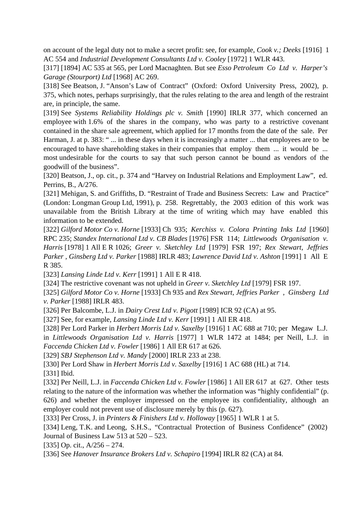on account of the legal duty not to make a secret profit: see, for example, *Cook v.; Deeks* [1916] 1 AC 554 and *Industrial Development Consultants Ltd v. Cooley* [1972] 1 WLR 443.

[317] [1894] AC 535 at 565, per Lord Macnaghten. But see *Esso Petroleum Co Ltd v. Harper's Garage (Stourport) Ltd* [1968] AC 269.

[318] See Beatson, J. "Anson's Law of Contract" (Oxford: Oxford University Press, 2002), p. 375, which notes, perhaps surprisingly, that the rules relating to the area and length of the restraint are, in principle, the same.

[319] See *Systems Reliability Holdings plc v. Smith* [1990] IRLR 377, which concerned an employee with 1.6% of the shares in the company, who was party to a restrictive covenant contained in the share sale agreement, which applied for 17 months from the date of the sale. Per Harman, J. at p. 383: "... in these days when it is increasingly a matter ... that employees are to be encouraged to have shareholding stakes in their companies that employ them ... it would be ... most undesirable for the courts to say that such person cannot be bound as vendors of the goodwill of the business".

[320] Beatson, J., op. cit., p. 374 and "Harvey on Industrial Relations and Employment Law", ed. Perrins, B., A/276.

[321] Mehigan, S. and Griffiths, D. "Restraint of Trade and Business Secrets: Law and Practice" (London: Longman Group Ltd, 1991), p. 258. Regrettably, the 2003 edition of this work was unavailable from the British Library at the time of writing which may have enabled this information to be extended.

[322] *Gilford Motor Co v. Horne* [1933] Ch 935; *Kerchiss v. Colora Printing Inks Ltd* [1960] RPC 235; *Standex International Ltd v. CB Blades* [1976] FSR 114; *Littlewoods Organisation v. Harris* [1978] 1 All E R 1026; *Greer v. Sketchley Ltd* [1979] FSR 197; *Rex Stewart, Jeffries Parker , Ginsberg Ltd v. Parker* [1988] IRLR 483; *Lawrence David Ltd v. Ashton* [1991] 1 All E R 385.

[323] *Lansing Linde Ltd v. Kerr* [1991] 1 All E R 418.

[324] The restrictive covenant was not upheld in *Greer v. Sketchley Ltd* [1979] FSR 197.

[325] *Gilford Motor Co v. Horne* [1933] Ch 935 and *Rex Stewart, Jeffries Parker , Ginsberg Ltd v. Parker* [1988] IRLR 483.

[326] Per Balcombe, L.J. in *Dairy Crest Ltd v. Pigott* [1989] ICR 92 (CA) at 95.

[327] See, for example, *Lansing Linde Ltd v. Kerr* [1991] 1 All ER 418.

[328] Per Lord Parker in *Herbert Morris Ltd v. Saxelby* [1916] 1 AC 688 at 710; per Megaw L.J.

in *Littlewoods Organisation Ltd v. Harris* [1977] 1 WLR 1472 at 1484; per Neill, L.J. in *Faccenda Chicken Ltd v. Fowler* [1986] 1 All ER 617 at 626.

[329] *SBJ Stephenson Ltd v. Mandy* [2000] IRLR 233 at 238.

[330] Per Lord Shaw in *Herbert Morris Ltd v. Saxelby* [1916] 1 AC 688 (HL) at 714.

[331] Ibid.

[332] Per Neill, L.J. in *Faccenda Chicken Ltd v. Fowler* [1986] 1 All ER 617 at 627. Other tests relating to the nature of the information was whether the information was "highly confidential" (p. 626) and whether the employer impressed on the employee its confidentiality, although an employer could not prevent use of disclosure merely by this (p. 627).

[333] Per Cross, J. in *Printers & Finishers Ltd v. Holloway* [1965] 1 WLR 1 at 5.

[334] Leng, T.K. and Leong, S.H.S., "Contractual Protection of Business Confidence" (2002) Journal of Business Law 513 at 520 – 523.

[335] Op. cit., A/256 – 274.

[336] See *Hanover Insurance Brokers Ltd v. Schapiro* [1994] IRLR 82 (CA) at 84.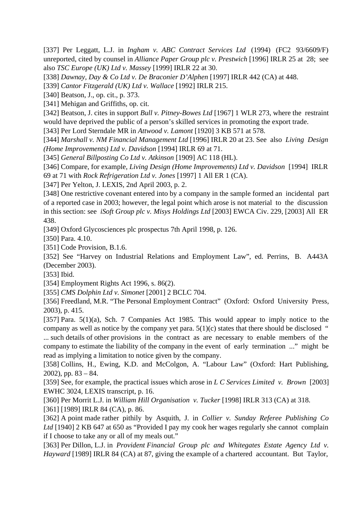[337] Per Leggatt, L.J. in *Ingham v. ABC Contract Services Ltd* (1994) (FC2 93/6609/F) unreported, cited by counsel in *Alliance Paper Group plc v. Prestwich* [1996] IRLR 25 at 28; see also *TSC Europe (UK) Ltd v. Massey* [1999] IRLR 22 at 30.

[338] *Dawnay, Day & Co Ltd v. De Braconier D'Alphen* [1997] IRLR 442 (CA) at 448.

[339] *Cantor Fitzgerald (UK) Ltd v. Wallace* [1992] IRLR 215.

[340] Beatson, J., op. cit., p. 373.

[341] Mehigan and Griffiths, op. cit.

[342] Beatson, J. cites in support *Bull v. Pitney-Bowes Ltd* [1967] 1 WLR 273, where the restraint would have deprived the public of a person's skilled services in promoting the export trade.

[343] Per Lord Sterndale MR in *Attwood v. Lamont* [1920] 3 KB 571 at 578.

[344] *Marshall v. NM Financial Management Ltd* [1996] IRLR 20 at 23. See also *Living Design (Home Improvements) Ltd v. Davidson* [1994] IRLR 69 at 71.

[345] *General Billposting Co Ltd v. Atkinson* [1909] AC 118 (HL).

[346] Compare, for example, *Living Design (Home Improvements) Ltd v. Davidson* [1994] IRLR 69 at 71 with *Rock Refrigeration Ltd v. Jones* [1997] 1 All ER 1 (CA).

[347] Per Yelton, J. LEXIS, 2nd April 2003, p. 2.

[348] One restrictive covenant entered into by a company in the sample formed an incidental part of a reported case in 2003; however, the legal point which arose is not material to the discussion in this section: see *iSoft Group plc v. Misys Holdings Ltd* [2003] EWCA Civ. 229, [2003] All ER 438.

[349] Oxford Glycosciences plc prospectus 7th April 1998, p. 126.

[350] Para. 4.10.

[351] Code Provision, B.1.6.

[352] See "Harvey on Industrial Relations and Employment Law", ed. Perrins, B. A443A (December 2003).

[353] Ibid.

[354] Employment Rights Act 1996, s. 86(2).

[355] *CMS Dolphin Ltd v. Simonet* [2001] 2 BCLC 704.

[356] Freedland, M.R. "The Personal Employment Contract" (Oxford: Oxford University Press, 2003), p. 415.

[357] Para.  $5(1)(a)$ , Sch. 7 Companies Act 1985. This would appear to imply notice to the company as well as notice by the company yet para.  $5(1)(c)$  states that there should be disclosed "

... such details of other provisions in the contract as are necessary to enable members of the company to estimate the liability of the company in the event of early termination ..." might be read as implying a limitation to notice given by the company.

[358] Collins, H., Ewing, K.D. and McColgon, A. "Labour Law" (Oxford: Hart Publishing, 2002), pp.  $83 - 84$ .

[359] See, for example, the practical issues which arose in *L C Services Limited v. Brown* [2003] EWHC 3024, LEXIS transcript, p. 16.

[360] Per Morrit L.J. in *William Hill Organisation v. Tucker* [1998] IRLR 313 (CA) at 318.

[361] [1989] IRLR 84 (CA), p. 86.

[362] A point made rather pithily by Asquith, J. in *Collier v. Sunday Referee Publishing Co Ltd* [1940] 2 KB 647 at 650 as "Provided I pay my cook her wages regularly she cannot complain if I choose to take any or all of my meals out."

[363] Per Dillon, L.J. in *Provident Financial Group plc and Whitegates Estate Agency Ltd v. Hayward* [1989] IRLR 84 (CA) at 87, giving the example of a chartered accountant. But Taylor,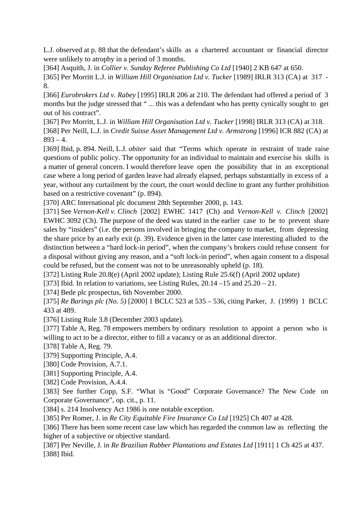L.J. observed at p. 88 that the defendant's skills as a chartered accountant or financial director were unlikely to atrophy in a period of 3 months.

[364] Asquith, J. in *Collier v. Sunday Referee Publishing Co Ltd* [1940] 2 KB 647 at 650.

[365] Per Morritt L.J. in *William Hill Organisation Ltd v. Tucker* [1989] IRLR 313 (CA) at 317 - 8.

[366] *Eurobrokers Ltd v. Rabey* [1995] IRLR 206 at 210. The defendant had offered a period of 3 months but the judge stressed that "... this was a defendant who has pretty cynically sought to get out of his contract".

[367] Per Morritt, L.J. in *William Hill Organisation Ltd v. Tucker* [1998] IRLR 313 (CA) at 318. [368] Per Neill, L.J. in *Credit Suisse Asset Management Ltd v. Armstrong* [1996] ICR 882 (CA) at  $893 - 4.$ 

[369] Ibid, p. 894. Neill, L.J. *obiter* said that "Terms which operate in restraint of trade raise questions of public policy. The opportunity for an individual to maintain and exercise his skills is a matter of general concern. I would therefore leave open the possibility that in an exceptional case where a long period of garden leave had already elapsed, perhaps substantially in excess of a year, without any curtailment by the court, the court would decline to grant any further prohibition based on a restrictive covenant" (p. 894).

[370] ARC International plc document 28th September 2000, p. 143.

[371] See *Vernon-Kell v. Clinch* [2002] EWHC 1417 (Ch) and *Vernon-Kell v. Clinch* [2002] EWHC 3092 (Ch). The purpose of the deed was stated in the earlier case to be to prevent share sales by "insiders" (i.e. the persons involved in bringing the company to market, from depressing the share price by an early exit (p. 39). Evidence given in the latter case interesting alluded to the distinction between a "hard lock-in period", when the company's brokers could refuse consent for a disposal without giving any reason, and a "soft lock-in period", when again consent to a disposal could be refused, but the consent was not to be unreasonably upheld (p. 18).

[372] Listing Rule 20.8(e) (April 2002 update); Listing Rule 25.6(f) (April 2002 update)

[373] Ibid. In relation to variations, see Listing Rules, 20.14 –15 and 25.20 – 21.

[374] Bede plc prospectus, 6th November 2000.

[375] *Re Barings plc (No. 5)* [2000] 1 BCLC 523 at 535 – 536, citing Parker, J. (1999) 1 BCLC 433 at 489.

[376] Listing Rule 3.8 (December 2003 update).

[377] Table A, Reg. 78 empowers members by ordinary resolution to appoint a person who is willing to act to be a director, either to fill a vacancy or as an additional director.

[378] Table A, Reg. 79.

[379] Supporting Principle, A.4.

[380] Code Provision, A.7.1.

[381] Supporting Principle, A.4.

[382] Code Provision, A.4.4.

[383] See further Copp, S.F. "What is "Good" Corporate Governance? The New Code on Corporate Governance", op. cit., p. 11.

[384] s. 214 Insolvency Act 1986 is one notable exception.

[385] Per Romer, J. in *Re City Equitable Fire Insurance Co Ltd* [1925] Ch 407 at 428.

[386] There has been some recent case law which has regarded the common law as reflecting the higher of a subjective or objective standard.

[387] Per Neville, J. in *Re Brazilian Rubber Plantations and Estates Ltd* [1911] 1 Ch 425 at 437. [388] Ibid.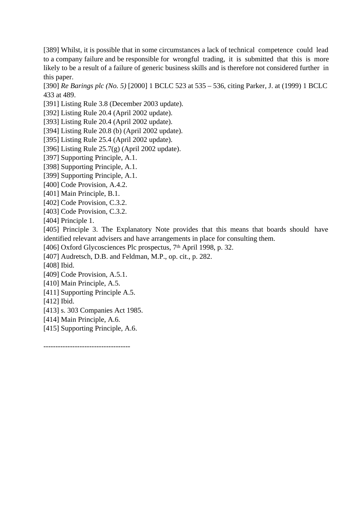[389] Whilst, it is possible that in some circumstances a lack of technical competence could lead to a company failure and be responsible for wrongful trading, it is submitted that this is more likely to be a result of a failure of generic business skills and is therefore not considered further in this paper.

[390] *Re Barings plc (No. 5)* [2000] 1 BCLC 523 at 535 – 536, citing Parker, J. at (1999) 1 BCLC 433 at 489.

[391] Listing Rule 3.8 (December 2003 update).

[392] Listing Rule 20.4 (April 2002 update).

[393] Listing Rule 20.4 (April 2002 update).

[394] Listing Rule 20.8 (b) (April 2002 update).

[395] Listing Rule 25.4 (April 2002 update).

[396] Listing Rule 25.7(g) (April 2002 update).

[397] Supporting Principle, A.1.

[398] Supporting Principle, A.1.

[399] Supporting Principle, A.1.

[400] Code Provision, A.4.2.

[401] Main Principle, B.1.

[402] Code Provision, C.3.2.

[403] Code Provision, C.3.2.

[404] Principle 1.

[405] Principle 3. The Explanatory Note provides that this means that boards should have identified relevant advisers and have arrangements in place for consulting them.

[406] Oxford Glycosciences Plc prospectus, 7<sup>th</sup> April 1998, p. 32.

[407] Audretsch, D.B. and Feldman, M.P., op. cit., p. 282.

[408] Ibid.

[409] Code Provision, A.5.1.

[410] Main Principle, A.5.

[411] Supporting Principle A.5.

[412] Ibid.

[413] s. 303 Companies Act 1985.

[414] Main Principle, A.6.

[415] Supporting Principle, A.6.

------------------------------------